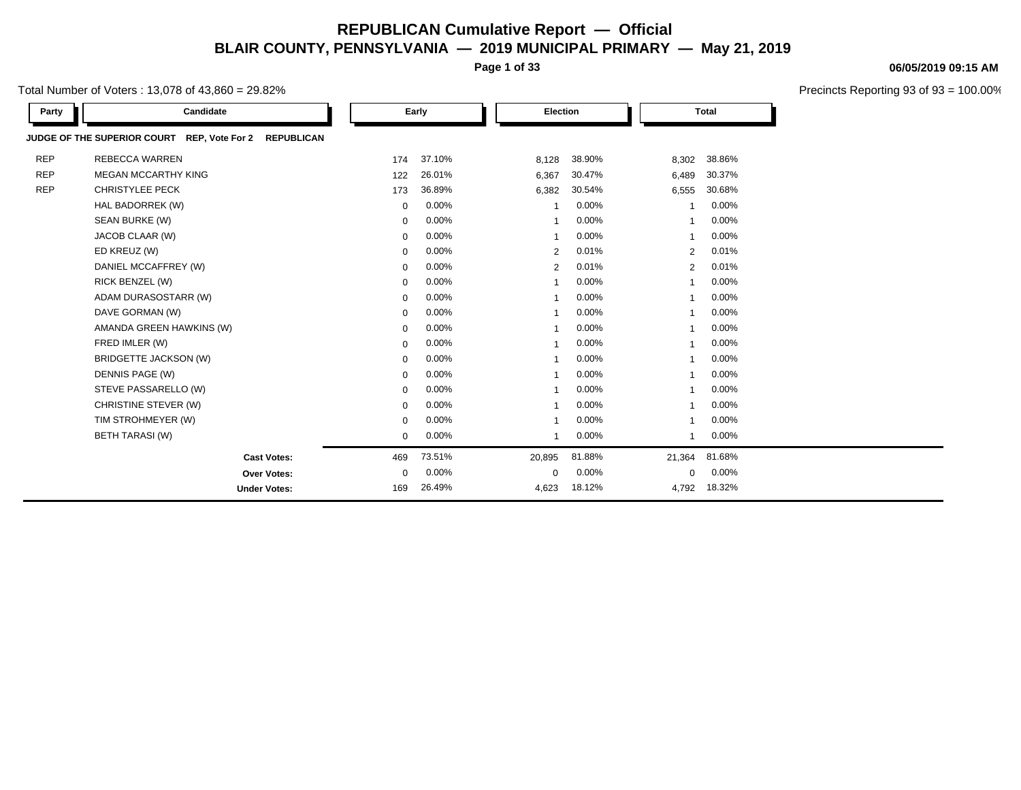**Page 1 of 33**

Total Number of Voters : 13,078 of 43,860 = 29.82%

| Party      | Candidate                                                        |             | Early    |                         | Election |                         | <b>Total</b> |  |
|------------|------------------------------------------------------------------|-------------|----------|-------------------------|----------|-------------------------|--------------|--|
|            | JUDGE OF THE SUPERIOR COURT REP, Vote For 2<br><b>REPUBLICAN</b> |             |          |                         |          |                         |              |  |
| <b>REP</b> | REBECCA WARREN                                                   | 174         | 37.10%   | 8,128                   | 38.90%   | 8,302                   | 38.86%       |  |
| <b>REP</b> | <b>MEGAN MCCARTHY KING</b>                                       | 122         | 26.01%   | 6,367                   | 30.47%   | 6,489                   | 30.37%       |  |
| <b>REP</b> | <b>CHRISTYLEE PECK</b>                                           | 173         | 36.89%   | 6,382                   | 30.54%   | 6,555                   | 30.68%       |  |
|            | HAL BADORREK (W)                                                 | $\mathbf 0$ | $0.00\%$ | $\overline{1}$          | 0.00%    | $\overline{\mathbf{1}}$ | 0.00%        |  |
|            | SEAN BURKE (W)                                                   | 0           | $0.00\%$ |                         | 0.00%    |                         | 0.00%        |  |
|            | JACOB CLAAR (W)                                                  | $\mathbf 0$ | 0.00%    |                         | 0.00%    |                         | 0.00%        |  |
|            | ED KREUZ (W)                                                     | $\mathbf 0$ | 0.00%    | 2                       | 0.01%    | 2                       | 0.01%        |  |
|            | DANIEL MCCAFFREY (W)                                             | $\mathbf 0$ | $0.00\%$ | 2                       | 0.01%    | 2                       | 0.01%        |  |
|            | RICK BENZEL (W)                                                  | 0           | 0.00%    |                         | 0.00%    |                         | 0.00%        |  |
|            | ADAM DURASOSTARR (W)                                             | $\mathbf 0$ | 0.00%    | $\overline{\mathbf{1}}$ | 0.00%    |                         | 0.00%        |  |
|            | DAVE GORMAN (W)                                                  | $\mathbf 0$ | 0.00%    |                         | 0.00%    |                         | 0.00%        |  |
|            | AMANDA GREEN HAWKINS (W)                                         | 0           | $0.00\%$ | -1                      | 0.00%    | -1                      | 0.00%        |  |
|            | FRED IMLER (W)                                                   | $\mathbf 0$ | 0.00%    |                         | $0.00\%$ |                         | 0.00%        |  |
|            | BRIDGETTE JACKSON (W)                                            | 0           | 0.00%    |                         | 0.00%    |                         | 0.00%        |  |
|            | DENNIS PAGE (W)                                                  | $\mathbf 0$ | $0.00\%$ |                         | 0.00%    |                         | 0.00%        |  |
|            | STEVE PASSARELLO (W)                                             | $\mathbf 0$ | $0.00\%$ |                         | 0.00%    |                         | 0.00%        |  |
|            | CHRISTINE STEVER (W)                                             | 0           | $0.00\%$ |                         | 0.00%    |                         | 0.00%        |  |
|            | TIM STROHMEYER (W)                                               | $\mathbf 0$ | 0.00%    |                         | 0.00%    |                         | 0.00%        |  |
|            | <b>BETH TARASI (W)</b>                                           | $\mathbf 0$ | 0.00%    | $\overline{\mathbf{1}}$ | 0.00%    |                         | 0.00%        |  |
|            | <b>Cast Votes:</b>                                               | 469         | 73.51%   | 20,895                  | 81.88%   | 21,364                  | 81.68%       |  |
|            | Over Votes:                                                      | 0           | $0.00\%$ | 0                       | 0.00%    | 0                       | 0.00%        |  |
|            | <b>Under Votes:</b>                                              | 169         | 26.49%   | 4,623                   | 18.12%   | 4,792                   | 18.32%       |  |

#### **06/05/2019 09:15 AM**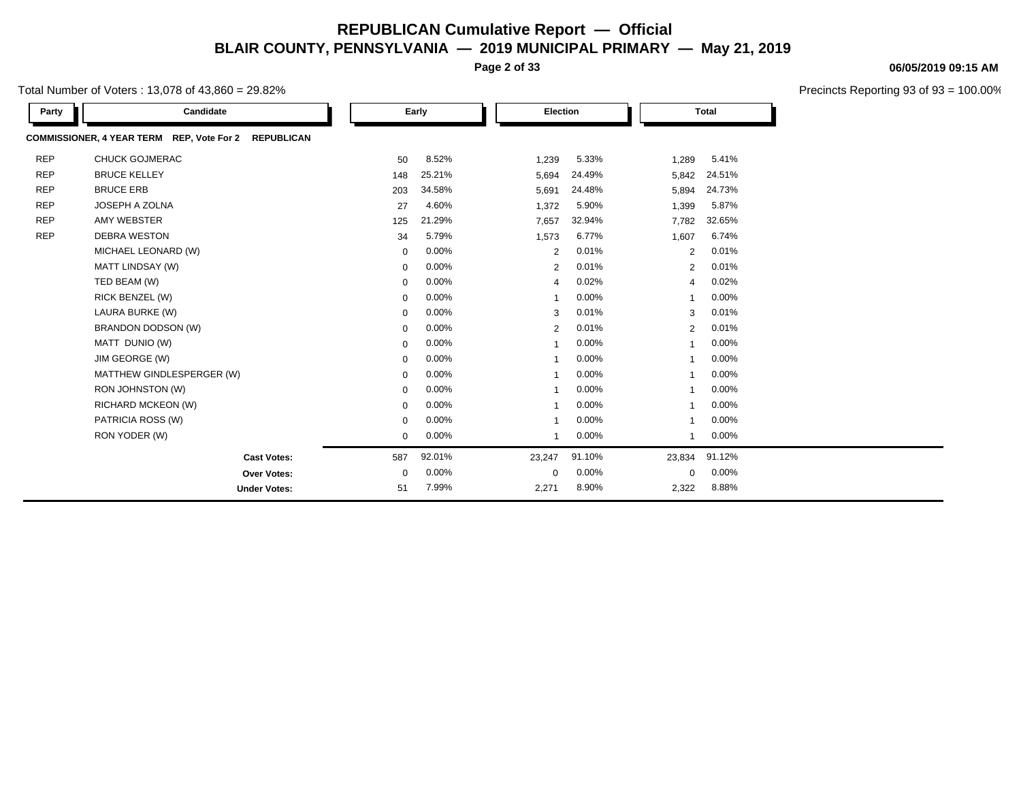**Page 2 of 33**

Total Number of Voters : 13,078 of 43,860 = 29.82%

| Party      | Candidate                                            |             | Early    |                | Election |             | <b>Total</b> |
|------------|------------------------------------------------------|-------------|----------|----------------|----------|-------------|--------------|
|            | COMMISSIONER, 4 YEAR TERM REP, Vote For 2 REPUBLICAN |             |          |                |          |             |              |
| <b>REP</b> | <b>CHUCK GOJMERAC</b>                                | 50          | 8.52%    | 1,239          | 5.33%    | 1,289       | 5.41%        |
| <b>REP</b> | <b>BRUCE KELLEY</b>                                  | 148         | 25.21%   | 5,694          | 24.49%   | 5,842       | 24.51%       |
| <b>REP</b> | <b>BRUCE ERB</b>                                     | 203         | 34.58%   | 5,691          | 24.48%   | 5,894       | 24.73%       |
| <b>REP</b> | JOSEPH A ZOLNA                                       | 27          | 4.60%    | 1,372          | 5.90%    | 1,399       | 5.87%        |
| <b>REP</b> | AMY WEBSTER                                          | 125         | 21.29%   | 7,657          | 32.94%   | 7,782       | 32.65%       |
| <b>REP</b> | <b>DEBRA WESTON</b>                                  | 34          | 5.79%    | 1,573          | 6.77%    | 1,607       | 6.74%        |
|            | MICHAEL LEONARD (W)                                  | $\mathbf 0$ | 0.00%    | 2              | 0.01%    | 2           | 0.01%        |
|            | MATT LINDSAY (W)                                     | 0           | $0.00\%$ | 2              | 0.01%    | 2           | 0.01%        |
|            | TED BEAM (W)                                         | 0           | $0.00\%$ | $\overline{4}$ | 0.02%    | 4           | 0.02%        |
|            | RICK BENZEL (W)                                      | 0           | $0.00\%$ | $\mathbf 1$    | 0.00%    | 1           | 0.00%        |
|            | LAURA BURKE (W)                                      | $\mathbf 0$ | $0.00\%$ | 3              | 0.01%    | 3           | 0.01%        |
|            | BRANDON DODSON (W)                                   | $\mathbf 0$ | 0.00%    | 2              | 0.01%    | 2           | 0.01%        |
|            | MATT DUNIO (W)                                       | $\mathbf 0$ | 0.00%    | -1             | 0.00%    |             | 0.00%        |
|            | JIM GEORGE (W)                                       | $\mathbf 0$ | 0.00%    |                | 0.00%    | -1          | 0.00%        |
|            | MATTHEW GINDLESPERGER (W)                            | $\mathbf 0$ | $0.00\%$ |                | 0.00%    |             | 0.00%        |
|            | RON JOHNSTON (W)                                     | 0           | 0.00%    | -1             | 0.00%    | -1          | 0.00%        |
|            | RICHARD MCKEON (W)                                   | 0           | $0.00\%$ | -1             | 0.00%    |             | 0.00%        |
|            | PATRICIA ROSS (W)                                    | 0           | 0.00%    | $\overline{1}$ | 0.00%    | 1           | 0.00%        |
|            | RON YODER (W)                                        | $\mathbf 0$ | $0.00\%$ | $\mathbf{1}$   | 0.00%    | 1           | 0.00%        |
|            | <b>Cast Votes:</b>                                   | 587         | 92.01%   | 23,247         | 91.10%   | 23,834      | 91.12%       |
|            | Over Votes:                                          | 0           | 0.00%    | 0              | 0.00%    | $\mathbf 0$ | 0.00%        |
|            | <b>Under Votes:</b>                                  | 51          | 7.99%    | 2,271          | 8.90%    | 2,322       | 8.88%        |

#### **06/05/2019 09:15 AM**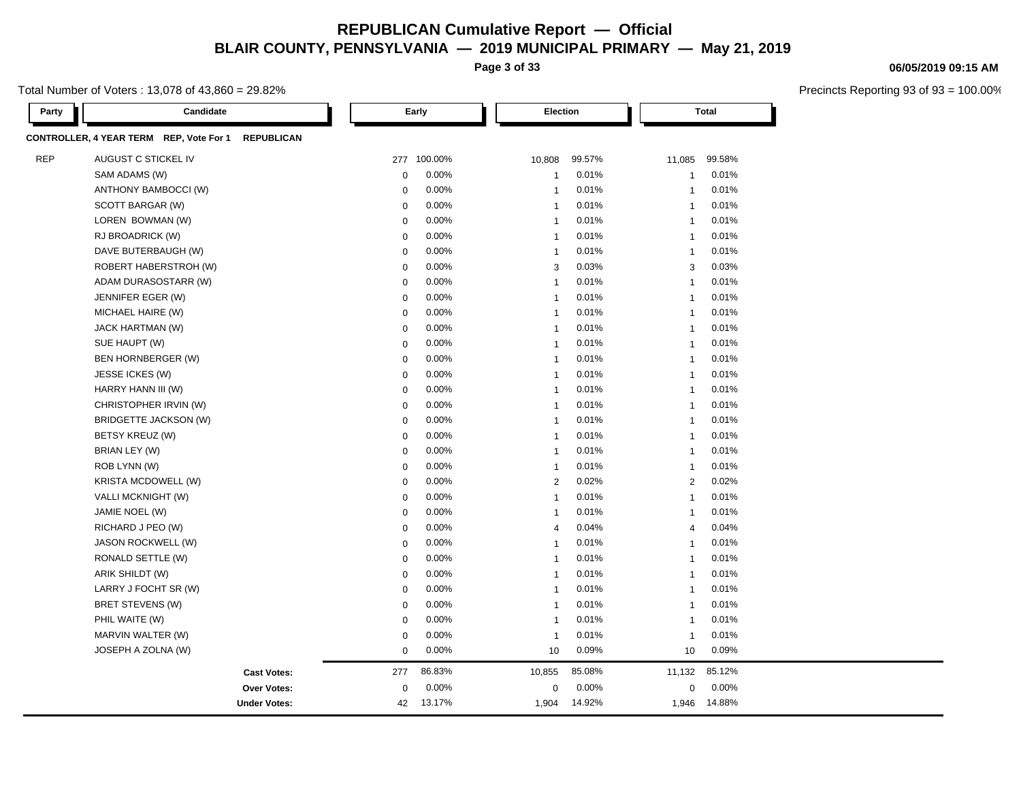**Page 3 of 33**

Total Number of Voters : 13,078 of 43,860 = 29.82%

| Party | Candidate                                                    |             | Early       | Election       |        |                | Total  |  |
|-------|--------------------------------------------------------------|-------------|-------------|----------------|--------|----------------|--------|--|
|       | CONTROLLER, 4 YEAR TERM REP, Vote For 1<br><b>REPUBLICAN</b> |             |             |                |        |                |        |  |
| REP   | AUGUST C STICKEL IV                                          |             | 277 100.00% | 10,808         | 99.57% | 11,085         | 99.58% |  |
|       | SAM ADAMS (W)                                                | $\mathbf 0$ | 0.00%       | $\overline{1}$ | 0.01%  | $\overline{1}$ | 0.01%  |  |
|       | ANTHONY BAMBOCCI (W)                                         | $\mathbf 0$ | 0.00%       | $\overline{1}$ | 0.01%  | $\overline{1}$ | 0.01%  |  |
|       | SCOTT BARGAR (W)                                             | $\mathbf 0$ | 0.00%       | $\overline{1}$ | 0.01%  | $\overline{1}$ | 0.01%  |  |
|       | LOREN BOWMAN (W)                                             | $\mathbf 0$ | 0.00%       | $\overline{1}$ | 0.01%  | $\overline{1}$ | 0.01%  |  |
|       | RJ BROADRICK (W)                                             | $\mathbf 0$ | 0.00%       | $\overline{1}$ | 0.01%  | $\mathbf{1}$   | 0.01%  |  |
|       | DAVE BUTERBAUGH (W)                                          | $\mathbf 0$ | 0.00%       | $\overline{1}$ | 0.01%  | $\overline{1}$ | 0.01%  |  |
|       | ROBERT HABERSTROH (W)                                        | $\mathbf 0$ | 0.00%       | 3              | 0.03%  | 3              | 0.03%  |  |
|       | ADAM DURASOSTARR (W)                                         | $\mathbf 0$ | 0.00%       | $\overline{1}$ | 0.01%  | $\overline{1}$ | 0.01%  |  |
|       | JENNIFER EGER (W)                                            | $\mathbf 0$ | 0.00%       | $\overline{1}$ | 0.01%  | $\overline{1}$ | 0.01%  |  |
|       | MICHAEL HAIRE (W)                                            | $\mathbf 0$ | 0.00%       | $\overline{1}$ | 0.01%  | $\overline{1}$ | 0.01%  |  |
|       | JACK HARTMAN (W)                                             | $\mathbf 0$ | 0.00%       | $\overline{1}$ | 0.01%  | $\overline{1}$ | 0.01%  |  |
|       | SUE HAUPT (W)                                                | $\mathbf 0$ | 0.00%       | $\overline{1}$ | 0.01%  | $\overline{1}$ | 0.01%  |  |
|       | BEN HORNBERGER (W)                                           | $\mathbf 0$ | 0.00%       | $\overline{1}$ | 0.01%  | $\overline{1}$ | 0.01%  |  |
|       | JESSE ICKES (W)                                              | $\mathbf 0$ | 0.00%       | $\overline{1}$ | 0.01%  | $\overline{1}$ | 0.01%  |  |
|       | HARRY HANN III (W)                                           | $\mathbf 0$ | 0.00%       | $\overline{1}$ | 0.01%  | $\overline{1}$ | 0.01%  |  |
|       | CHRISTOPHER IRVIN (W)                                        | $\mathbf 0$ | 0.00%       | $\overline{1}$ | 0.01%  | $\overline{1}$ | 0.01%  |  |
|       | BRIDGETTE JACKSON (W)                                        | $\mathbf 0$ | 0.00%       | $\overline{1}$ | 0.01%  | $\overline{1}$ | 0.01%  |  |
|       | BETSY KREUZ (W)                                              | $\mathbf 0$ | 0.00%       | $\overline{1}$ | 0.01%  | $\overline{1}$ | 0.01%  |  |
|       | BRIAN LEY (W)                                                | $\mathbf 0$ | 0.00%       | $\overline{1}$ | 0.01%  | $\overline{1}$ | 0.01%  |  |
|       | ROB LYNN (W)                                                 | $\mathbf 0$ | 0.00%       | $\overline{1}$ | 0.01%  | $\mathbf{1}$   | 0.01%  |  |
|       | <b>KRISTA MCDOWELL (W)</b>                                   | $\mathbf 0$ | 0.00%       | $\overline{2}$ | 0.02%  | 2              | 0.02%  |  |
|       | VALLI MCKNIGHT (W)                                           | $\mathbf 0$ | 0.00%       | $\overline{1}$ | 0.01%  | $\overline{1}$ | 0.01%  |  |
|       | JAMIE NOEL (W)                                               | $\mathbf 0$ | 0.00%       | $\overline{1}$ | 0.01%  | $\overline{1}$ | 0.01%  |  |
|       | RICHARD J PEO (W)                                            | $\mathbf 0$ | 0.00%       | $\overline{4}$ | 0.04%  | $\overline{4}$ | 0.04%  |  |
|       | JASON ROCKWELL (W)                                           | $\mathbf 0$ | 0.00%       | $\overline{1}$ | 0.01%  | $\overline{1}$ | 0.01%  |  |
|       | RONALD SETTLE (W)                                            | $\mathbf 0$ | 0.00%       | $\overline{1}$ | 0.01%  | $\overline{1}$ | 0.01%  |  |
|       | ARIK SHILDT (W)                                              | $\mathbf 0$ | 0.00%       | $\overline{1}$ | 0.01%  | $\overline{1}$ | 0.01%  |  |
|       | LARRY J FOCHT SR (W)                                         | $\mathbf 0$ | 0.00%       | $\overline{1}$ | 0.01%  | $\overline{1}$ | 0.01%  |  |
|       | BRET STEVENS (W)                                             | $\mathbf 0$ | 0.00%       | $\overline{1}$ | 0.01%  | $\overline{1}$ | 0.01%  |  |
|       | PHIL WAITE (W)                                               | $\mathbf 0$ | 0.00%       | $\overline{1}$ | 0.01%  | $\overline{1}$ | 0.01%  |  |
|       | MARVIN WALTER (W)                                            | $\mathbf 0$ | 0.00%       | $\overline{1}$ | 0.01%  | $\overline{1}$ | 0.01%  |  |
|       | JOSEPH A ZOLNA (W)                                           | $\mathbf 0$ | 0.00%       | 10             | 0.09%  | 10             | 0.09%  |  |
|       | <b>Cast Votes:</b>                                           | 277         | 86.83%      | 10,855         | 85.08% | 11,132         | 85.12% |  |
|       | Over Votes:                                                  | $\mathbf 0$ | 0.00%       | $\mathbf 0$    | 0.00%  | $\mathbf 0$    | 0.00%  |  |
|       | <b>Under Votes:</b>                                          | 42          | 13.17%      | 1,904          | 14.92% | 1,946          | 14.88% |  |

#### **06/05/2019 09:15 AM**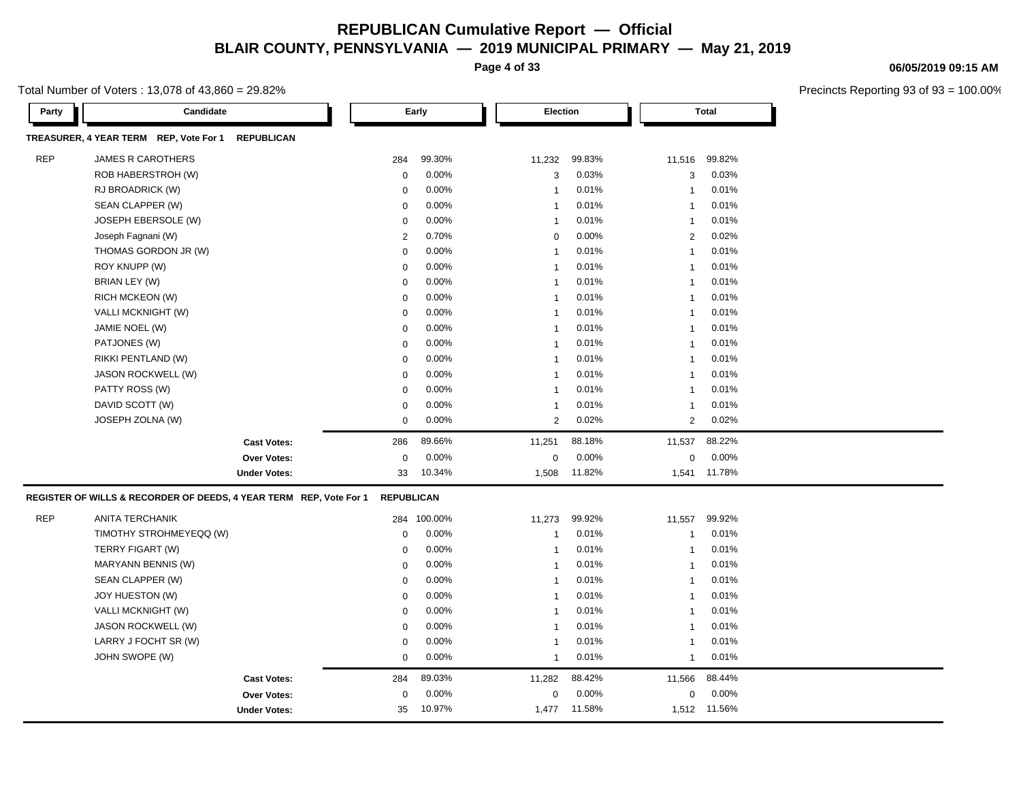**Page 4 of 33**

Total Number of Voters : 13,078 of 43,860 = 29.82%

| Candidate<br>Party                                                 |                   | Early   | Election                |        | <b>Total</b>   |              |
|--------------------------------------------------------------------|-------------------|---------|-------------------------|--------|----------------|--------------|
| TREASURER, 4 YEAR TERM REP, Vote For 1<br><b>REPUBLICAN</b>        |                   |         |                         |        |                |              |
| <b>REP</b><br><b>JAMES R CAROTHERS</b>                             | 284               | 99.30%  | 11,232                  | 99.83% | 11,516         | 99.82%       |
| ROB HABERSTROH (W)                                                 | $\mathbf 0$       | 0.00%   | 3                       | 0.03%  | 3              | 0.03%        |
| RJ BROADRICK (W)                                                   | $\Omega$          | 0.00%   | $\overline{1}$          | 0.01%  | $\overline{1}$ | 0.01%        |
| SEAN CLAPPER (W)                                                   | $\mathbf 0$       | 0.00%   | $\overline{1}$          | 0.01%  | $\overline{1}$ | 0.01%        |
| JOSEPH EBERSOLE (W)                                                | $\mathbf 0$       | 0.00%   | $\overline{1}$          | 0.01%  | $\overline{1}$ | 0.01%        |
| Joseph Fagnani (W)                                                 | $\overline{2}$    | 0.70%   | $\mathbf 0$             | 0.00%  | 2              | 0.02%        |
| THOMAS GORDON JR (W)                                               | $\pmb{0}$         | 0.00%   | $\overline{1}$          | 0.01%  | -1             | 0.01%        |
| ROY KNUPP (W)                                                      | 0                 | 0.00%   | $\overline{1}$          | 0.01%  | -1             | 0.01%        |
| BRIAN LEY (W)                                                      | $\mathbf 0$       | 0.00%   | $\overline{1}$          | 0.01%  | -1             | 0.01%        |
| RICH MCKEON (W)                                                    | $\mathbf 0$       | 0.00%   | $\overline{1}$          | 0.01%  | -1             | 0.01%        |
| VALLI MCKNIGHT (W)                                                 | $\mathbf 0$       | 0.00%   | $\overline{1}$          | 0.01%  | $\mathbf{1}$   | 0.01%        |
| JAMIE NOEL (W)                                                     | $\mathbf 0$       | 0.00%   | $\overline{\mathbf{1}}$ | 0.01%  | -1             | 0.01%        |
| PATJONES (W)                                                       | $\mathbf 0$       | 0.00%   | $\overline{1}$          | 0.01%  | -1             | 0.01%        |
| RIKKI PENTLAND (W)                                                 | $\mathbf 0$       | 0.00%   | $\overline{\mathbf{1}}$ | 0.01%  | $\overline{1}$ | 0.01%        |
| <b>JASON ROCKWELL (W)</b>                                          | $\mathbf 0$       | 0.00%   | $\overline{1}$          | 0.01%  | -1             | 0.01%        |
| PATTY ROSS (W)                                                     | $\mathbf 0$       | 0.00%   | $\overline{1}$          | 0.01%  | $\mathbf{1}$   | 0.01%        |
| DAVID SCOTT (W)                                                    | $\mathbf 0$       | 0.00%   | $\overline{1}$          | 0.01%  | $\overline{1}$ | 0.01%        |
| JOSEPH ZOLNA (W)                                                   | $\mathbf 0$       | 0.00%   | 2                       | 0.02%  | $\overline{2}$ | 0.02%        |
| <b>Cast Votes:</b>                                                 | 286               | 89.66%  | 11,251                  | 88.18% | 11,537         | 88.22%       |
| Over Votes:                                                        | $\mathbf 0$       | 0.00%   | $\mathbf 0$             | 0.00%  | 0              | 0.00%        |
| <b>Under Votes:</b>                                                | 33                | 10.34%  | 1,508                   | 11.82% | 1,541          | 11.78%       |
| REGISTER OF WILLS & RECORDER OF DEEDS, 4 YEAR TERM REP, Vote For 1 | <b>REPUBLICAN</b> |         |                         |        |                |              |
| <b>REP</b><br>ANITA TERCHANIK                                      | 284               | 100.00% | 11,273                  | 99.92% | 11,557         | 99.92%       |
| TIMOTHY STROHMEYEQQ (W)                                            | $\mathbf 0$       | 0.00%   | $\mathbf{1}$            | 0.01%  | $\mathbf{1}$   | 0.01%        |
| TERRY FIGART (W)                                                   | $\mathbf 0$       | 0.00%   | $\overline{1}$          | 0.01%  | $\overline{1}$ | 0.01%        |
| MARYANN BENNIS (W)                                                 | $\mathbf 0$       | 0.00%   | $\overline{1}$          | 0.01%  | $\mathbf{1}$   | 0.01%        |
| SEAN CLAPPER (W)                                                   | $\mathbf 0$       | 0.00%   | $\overline{1}$          | 0.01%  | -1             | 0.01%        |
| JOY HUESTON (W)                                                    | $\mathbf 0$       | 0.00%   | $\overline{1}$          | 0.01%  | $\overline{1}$ | 0.01%        |
| VALLI MCKNIGHT (W)                                                 | $\mathbf 0$       | 0.00%   | $\overline{1}$          | 0.01%  | $\overline{1}$ | 0.01%        |
| JASON ROCKWELL (W)                                                 | $\mathbf 0$       | 0.00%   | $\overline{\mathbf{1}}$ | 0.01%  | $\overline{1}$ | 0.01%        |
| LARRY J FOCHT SR (W)                                               | $\mathbf 0$       | 0.00%   | $\overline{1}$          | 0.01%  | -1             | 0.01%        |
| JOHN SWOPE (W)                                                     | $\pmb{0}$         | 0.00%   | $\overline{1}$          | 0.01%  | $\mathbf{1}$   | 0.01%        |
| <b>Cast Votes:</b>                                                 | 284               | 89.03%  | 11,282                  | 88.42% | 11,566         | 88.44%       |
| <b>Over Votes:</b>                                                 | $\Omega$          | 0.00%   | $\Omega$                | 0.00%  | 0              | 0.00%        |
| <b>Under Votes:</b>                                                | 35                | 10.97%  | 1,477                   | 11.58% |                | 1,512 11.56% |

#### **06/05/2019 09:15 AM**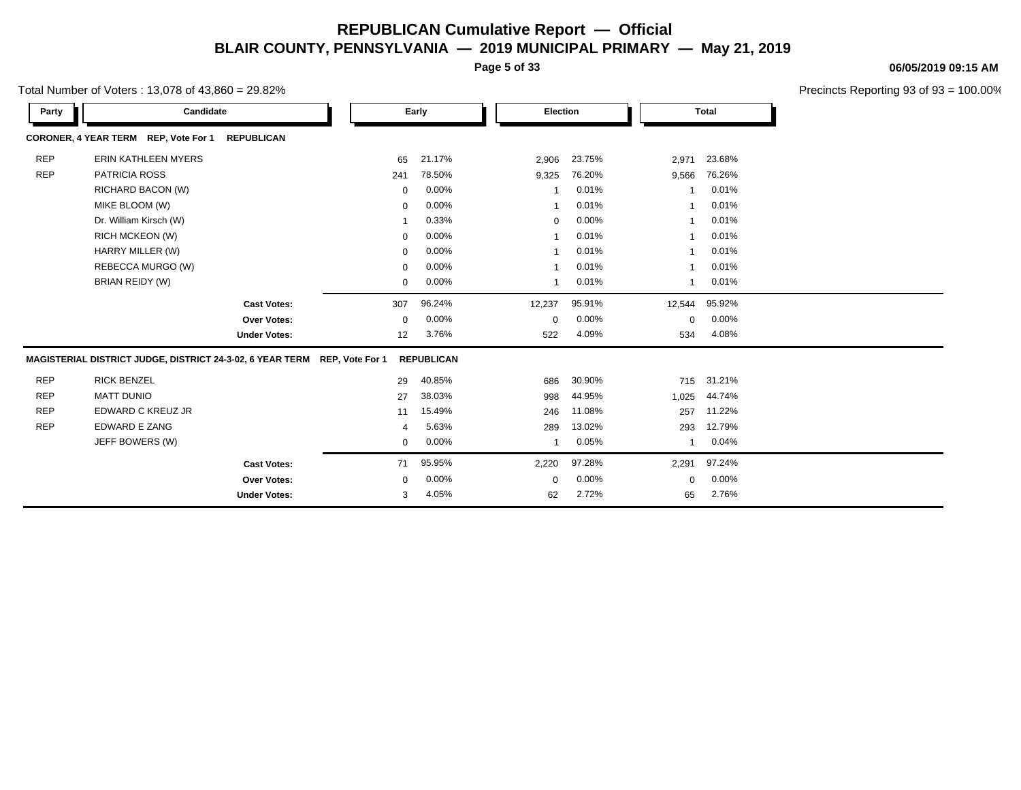**Page 5 of 33**

Total Number of Voters : 13,078 of 43,860 = 29.82%

| Party      | Candidate                                                                 |                     |             | Early             | <b>Election</b> |        |             | <b>Total</b> |
|------------|---------------------------------------------------------------------------|---------------------|-------------|-------------------|-----------------|--------|-------------|--------------|
|            | CORONER, 4 YEAR TERM REP, Vote For 1                                      | <b>REPUBLICAN</b>   |             |                   |                 |        |             |              |
| <b>REP</b> | <b>ERIN KATHLEEN MYERS</b>                                                |                     | 65          | 21.17%            | 2,906           | 23.75% | 2,971       | 23.68%       |
| <b>REP</b> | <b>PATRICIA ROSS</b>                                                      |                     | 241         | 78.50%            | 9,325           | 76.20% | 9,566       | 76.26%       |
|            | RICHARD BACON (W)                                                         |                     | $\mathbf 0$ | 0.00%             |                 | 0.01%  |             | 0.01%        |
|            | MIKE BLOOM (W)                                                            |                     | $\mathbf 0$ | 0.00%             |                 | 0.01%  |             | 0.01%        |
|            | Dr. William Kirsch (W)                                                    |                     | -1          | 0.33%             | $\mathbf 0$     | 0.00%  |             | 0.01%        |
|            | RICH MCKEON (W)                                                           |                     | 0           | 0.00%             |                 | 0.01%  |             | 0.01%        |
|            | HARRY MILLER (W)                                                          |                     | 0           | 0.00%             |                 | 0.01%  |             | 0.01%        |
|            | REBECCA MURGO (W)                                                         |                     | 0           | 0.00%             |                 | 0.01%  |             | 0.01%        |
|            | BRIAN REIDY (W)                                                           |                     | 0           | 0.00%             |                 | 0.01%  |             | 0.01%        |
|            |                                                                           | <b>Cast Votes:</b>  | 307         | 96.24%            | 12,237          | 95.91% | 12,544      | 95.92%       |
|            |                                                                           | <b>Over Votes:</b>  | 0           | 0.00%             | 0               | 0.00%  | $\mathbf 0$ | 0.00%        |
|            |                                                                           | <b>Under Votes:</b> | 12          | 3.76%             | 522             | 4.09%  | 534         | 4.08%        |
|            | MAGISTERIAL DISTRICT JUDGE, DISTRICT 24-3-02, 6 YEAR TERM REP, Vote For 1 |                     |             | <b>REPUBLICAN</b> |                 |        |             |              |
| <b>REP</b> | <b>RICK BENZEL</b>                                                        |                     | 29          | 40.85%            | 686             | 30.90% | 715         | 31.21%       |
| <b>REP</b> | <b>MATT DUNIO</b>                                                         |                     | 27          | 38.03%            | 998             | 44.95% | 1,025       | 44.74%       |
| <b>REP</b> | EDWARD C KREUZ JR                                                         |                     | 11          | 15.49%            | 246             | 11.08% | 257         | 11.22%       |
| <b>REP</b> | <b>EDWARD E ZANG</b>                                                      |                     | 4           | 5.63%             | 289             | 13.02% | 293         | 12.79%       |
|            | JEFF BOWERS (W)                                                           |                     | 0           | 0.00%             | -1              | 0.05%  |             | 0.04%        |
|            |                                                                           | <b>Cast Votes:</b>  | 71          | 95.95%            | 2,220           | 97.28% | 2,291       | 97.24%       |
|            |                                                                           | <b>Over Votes:</b>  | 0           | 0.00%             | 0               | 0.00%  | $\Omega$    | 0.00%        |
|            |                                                                           | <b>Under Votes:</b> | 3           | 4.05%             | 62              | 2.72%  | 65          | 2.76%        |

**06/05/2019 09:15 AM**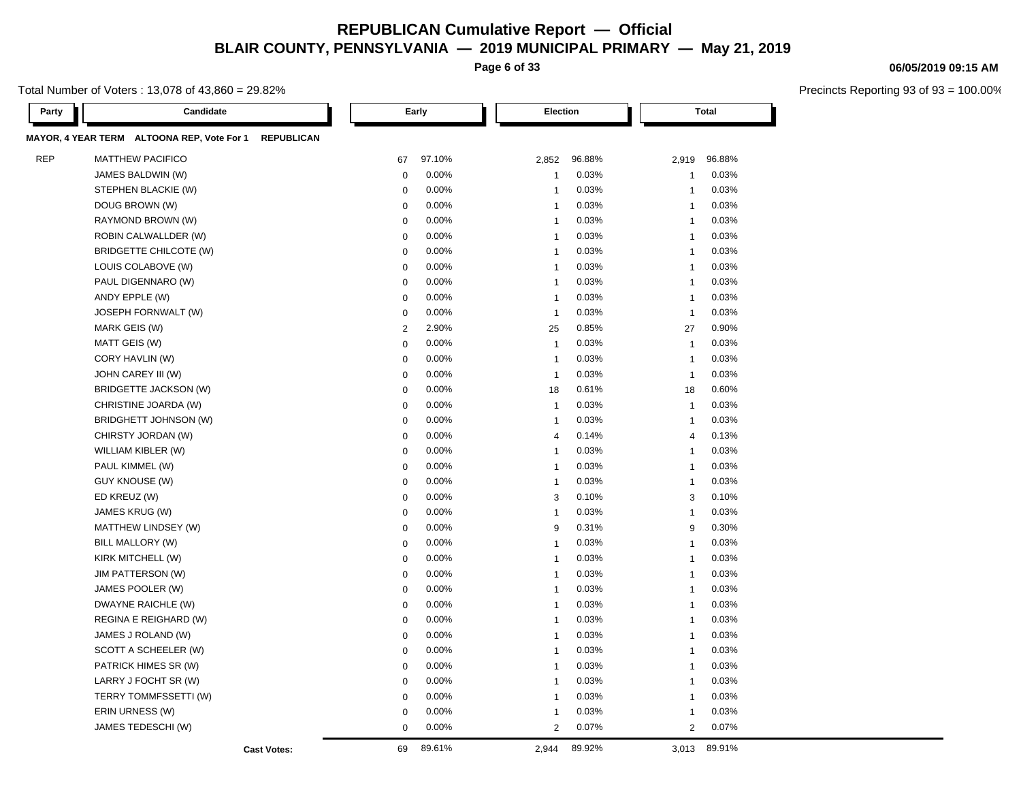**Page 6 of 33**

Total Number of Voters : 13,078 of 43,860 = 29.82%

| Party      | Candidate                                                       |                | Early    |  | Election                |        |  | <b>Total</b>   |        |  |
|------------|-----------------------------------------------------------------|----------------|----------|--|-------------------------|--------|--|----------------|--------|--|
|            | MAYOR, 4 YEAR TERM ALTOONA REP, Vote For 1<br><b>REPUBLICAN</b> |                |          |  |                         |        |  |                |        |  |
| <b>REP</b> | <b>MATTHEW PACIFICO</b>                                         | 67             | 97.10%   |  | 2,852                   | 96.88% |  | 2,919          | 96.88% |  |
|            | JAMES BALDWIN (W)                                               | $\mathbf 0$    | 0.00%    |  | $\mathbf{1}$            | 0.03%  |  | $\mathbf{1}$   | 0.03%  |  |
|            | STEPHEN BLACKIE (W)                                             | 0              | 0.00%    |  | $\mathbf{1}$            | 0.03%  |  | $\mathbf{1}$   | 0.03%  |  |
|            | DOUG BROWN (W)                                                  | $\mathbf 0$    | 0.00%    |  | $\mathbf{1}$            | 0.03%  |  | $\mathbf{1}$   | 0.03%  |  |
|            | RAYMOND BROWN (W)                                               | $\mathbf 0$    | $0.00\%$ |  | $\mathbf{1}$            | 0.03%  |  | $\mathbf{1}$   | 0.03%  |  |
|            | ROBIN CALWALLDER (W)                                            | $\mathbf 0$    | 0.00%    |  | $\mathbf{1}$            | 0.03%  |  | $\mathbf{1}$   | 0.03%  |  |
|            | <b>BRIDGETTE CHILCOTE (W)</b>                                   | $\mathbf 0$    | 0.00%    |  | $\mathbf{1}$            | 0.03%  |  | $\mathbf{1}$   | 0.03%  |  |
|            | LOUIS COLABOVE (W)                                              | $\mathbf 0$    | 0.00%    |  | $\overline{1}$          | 0.03%  |  | $\mathbf{1}$   | 0.03%  |  |
|            | PAUL DIGENNARO (W)                                              | $\mathbf 0$    | 0.00%    |  | $\mathbf{1}$            | 0.03%  |  | $\mathbf{1}$   | 0.03%  |  |
|            | ANDY EPPLE (W)                                                  | $\mathbf 0$    | 0.00%    |  | $\mathbf{1}$            | 0.03%  |  | $\mathbf{1}$   | 0.03%  |  |
|            | JOSEPH FORNWALT (W)                                             | $\mathbf 0$    | 0.00%    |  | $\overline{1}$          | 0.03%  |  | $\mathbf 1$    | 0.03%  |  |
|            | MARK GEIS (W)                                                   | $\overline{2}$ | 2.90%    |  | 25                      | 0.85%  |  | 27             | 0.90%  |  |
|            | MATT GEIS (W)                                                   | $\mathbf 0$    | 0.00%    |  | $\mathbf{1}$            | 0.03%  |  | $\mathbf{1}$   | 0.03%  |  |
|            | CORY HAVLIN (W)                                                 | $\mathbf 0$    | 0.00%    |  | $\mathbf{1}$            | 0.03%  |  | $\mathbf{1}$   | 0.03%  |  |
|            | JOHN CAREY III (W)                                              | $\mathbf 0$    | 0.00%    |  | $\overline{1}$          | 0.03%  |  | $\mathbf{1}$   | 0.03%  |  |
|            | BRIDGETTE JACKSON (W)                                           | $\mathbf 0$    | 0.00%    |  | 18                      | 0.61%  |  | 18             | 0.60%  |  |
|            | CHRISTINE JOARDA (W)                                            | $\mathbf 0$    | 0.00%    |  | $\mathbf{1}$            | 0.03%  |  | $\mathbf{1}$   | 0.03%  |  |
|            | BRIDGHETT JOHNSON (W)                                           | $\mathbf 0$    | 0.00%    |  | $\mathbf{1}$            | 0.03%  |  | $\mathbf{1}$   | 0.03%  |  |
|            | CHIRSTY JORDAN (W)                                              | $\mathbf 0$    | 0.00%    |  | $\overline{4}$          | 0.14%  |  | $\overline{4}$ | 0.13%  |  |
|            | WILLIAM KIBLER (W)                                              | $\mathbf 0$    | 0.00%    |  | $\overline{1}$          | 0.03%  |  | $\mathbf{1}$   | 0.03%  |  |
|            | PAUL KIMMEL (W)                                                 | $\mathbf 0$    | 0.00%    |  | $\mathbf{1}$            | 0.03%  |  | $\overline{1}$ | 0.03%  |  |
|            | <b>GUY KNOUSE (W)</b>                                           | $\mathbf 0$    | 0.00%    |  | $\overline{1}$          | 0.03%  |  | $\mathbf{1}$   | 0.03%  |  |
|            | ED KREUZ (W)                                                    | $\mathbf 0$    | 0.00%    |  | 3                       | 0.10%  |  | 3              | 0.10%  |  |
|            | JAMES KRUG (W)                                                  | $\mathbf 0$    | 0.00%    |  | $\overline{1}$          | 0.03%  |  | $\mathbf{1}$   | 0.03%  |  |
|            | MATTHEW LINDSEY (W)                                             | $\mathbf 0$    | 0.00%    |  | 9                       | 0.31%  |  | 9              | 0.30%  |  |
|            | BILL MALLORY (W)                                                | $\mathbf 0$    | 0.00%    |  | $\mathbf{1}$            | 0.03%  |  | $\mathbf{1}$   | 0.03%  |  |
|            | KIRK MITCHELL (W)                                               | $\mathbf 0$    | 0.00%    |  | $\overline{1}$          | 0.03%  |  | $\mathbf{1}$   | 0.03%  |  |
|            | JIM PATTERSON (W)                                               | $\mathbf 0$    | 0.00%    |  | $\mathbf{1}$            | 0.03%  |  | $\mathbf{1}$   | 0.03%  |  |
|            | JAMES POOLER (W)                                                | $\mathbf 0$    | 0.00%    |  | $\overline{1}$          | 0.03%  |  | $\overline{1}$ | 0.03%  |  |
|            | DWAYNE RAICHLE (W)                                              | $\mathbf 0$    | 0.00%    |  | $\overline{\mathbf{1}}$ | 0.03%  |  | $\overline{1}$ | 0.03%  |  |
|            | REGINA E REIGHARD (W)                                           | $\mathbf 0$    | 0.00%    |  | $\mathbf{1}$            | 0.03%  |  | $\mathbf{1}$   | 0.03%  |  |
|            | JAMES J ROLAND (W)                                              | $\mathbf 0$    | 0.00%    |  | $\mathbf{1}$            | 0.03%  |  | -1             | 0.03%  |  |
|            | SCOTT A SCHEELER (W)                                            | $\mathbf 0$    | 0.00%    |  | $\mathbf{1}$            | 0.03%  |  | $\overline{1}$ | 0.03%  |  |
|            | PATRICK HIMES SR (W)                                            | $\mathbf 0$    | 0.00%    |  | $\mathbf{1}$            | 0.03%  |  | $\mathbf{1}$   | 0.03%  |  |
|            | LARRY J FOCHT SR (W)                                            | 0              | 0.00%    |  | $\mathbf{1}$            | 0.03%  |  | $\mathbf{1}$   | 0.03%  |  |
|            | TERRY TOMMFSSETTI (W)                                           | $\mathbf 0$    | 0.00%    |  | $\mathbf{1}$            | 0.03%  |  | $\mathbf{1}$   | 0.03%  |  |
|            | ERIN URNESS (W)                                                 | $\mathbf 0$    | 0.00%    |  | $\mathbf{1}$            | 0.03%  |  | $\overline{1}$ | 0.03%  |  |
|            | JAMES TEDESCHI (W)                                              | $\mathbf 0$    | 0.00%    |  | $\overline{2}$          | 0.07%  |  | $\overline{2}$ | 0.07%  |  |
|            | <b>Cast Votes:</b>                                              | 69             | 89.61%   |  | 2,944                   | 89.92% |  | 3,013          | 89.91% |  |

#### **06/05/2019 09:15 AM**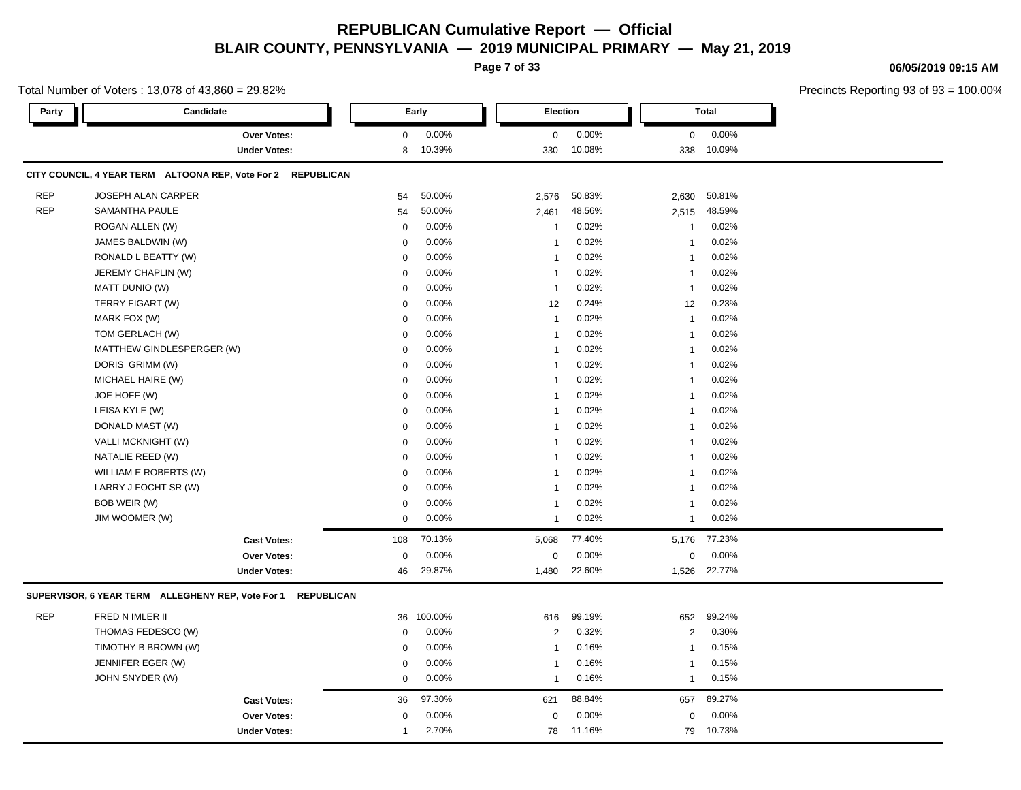**Page 7 of 33**

#### **06/05/2019 09:15 AM**

| Total Number of Voters: 13,078 of 43,860 = 29.82% |                                                              |             |         |                |        |                |              | Precincts Reporting 93 of 93 = |
|---------------------------------------------------|--------------------------------------------------------------|-------------|---------|----------------|--------|----------------|--------------|--------------------------------|
| Party                                             | Candidate                                                    |             | Early   | Election       |        |                | <b>Total</b> |                                |
|                                                   | Over Votes:                                                  | 0           | 0.00%   | 0              | 0.00%  | 0              | 0.00%        |                                |
|                                                   | <b>Under Votes:</b>                                          | 8           | 10.39%  | 330            | 10.08% | 338            | 10.09%       |                                |
|                                                   | CITY COUNCIL, 4 YEAR TERM ALTOONA REP, Vote For 2 REPUBLICAN |             |         |                |        |                |              |                                |
| <b>REP</b>                                        | JOSEPH ALAN CARPER                                           | 54          | 50.00%  | 2,576          | 50.83% | 2,630          | 50.81%       |                                |
| <b>REP</b>                                        | SAMANTHA PAULE                                               | 54          | 50.00%  | 2,461          | 48.56% | 2,515          | 48.59%       |                                |
|                                                   | ROGAN ALLEN (W)                                              | $\mathbf 0$ | 0.00%   | $\mathbf{1}$   | 0.02%  | -1             | 0.02%        |                                |
|                                                   | JAMES BALDWIN (W)                                            | $\Omega$    | 0.00%   | $\mathbf{1}$   | 0.02%  | -1             | 0.02%        |                                |
|                                                   | RONALD L BEATTY (W)                                          | $\Omega$    | 0.00%   | 1              | 0.02%  |                | 0.02%        |                                |
|                                                   | JEREMY CHAPLIN (W)                                           | $\mathbf 0$ | 0.00%   | $\overline{1}$ | 0.02%  | -1             | 0.02%        |                                |
|                                                   | MATT DUNIO (W)                                               | $\Omega$    | 0.00%   | $\overline{1}$ | 0.02%  | 1              | 0.02%        |                                |
|                                                   | TERRY FIGART (W)                                             | 0           | 0.00%   | 12             | 0.24%  | 12             | 0.23%        |                                |
|                                                   | MARK FOX (W)                                                 | 0           | 0.00%   | $\mathbf{1}$   | 0.02%  | -1             | 0.02%        |                                |
|                                                   | TOM GERLACH (W)                                              | 0           | 0.00%   | $\mathbf{1}$   | 0.02%  | -1             | 0.02%        |                                |
|                                                   | MATTHEW GINDLESPERGER (W)                                    | $\Omega$    | 0.00%   | $\mathbf{1}$   | 0.02%  |                | 0.02%        |                                |
|                                                   | DORIS GRIMM (W)                                              | 0           | 0.00%   | $\mathbf{1}$   | 0.02%  | -1             | 0.02%        |                                |
|                                                   | MICHAEL HAIRE (W)                                            | 0           | 0.00%   | $\mathbf{1}$   | 0.02%  |                | 0.02%        |                                |
|                                                   | JOE HOFF (W)                                                 | 0           | 0.00%   | $\mathbf{1}$   | 0.02%  | 1              | 0.02%        |                                |
|                                                   | LEISA KYLE (W)                                               | $\mathbf 0$ | 0.00%   | $\mathbf{1}$   | 0.02%  |                | 0.02%        |                                |
|                                                   | DONALD MAST (W)                                              | 0           | 0.00%   | $\mathbf{1}$   | 0.02%  | -1             | 0.02%        |                                |
|                                                   | <b>VALLI MCKNIGHT (W)</b>                                    | $\mathbf 0$ | 0.00%   | $\mathbf{1}$   | 0.02%  |                | 0.02%        |                                |
|                                                   | NATALIE REED (W)                                             | 0           | 0.00%   | $\mathbf{1}$   | 0.02%  | -1             | 0.02%        |                                |
|                                                   | WILLIAM E ROBERTS (W)                                        | 0           | 0.00%   | $\mathbf{1}$   | 0.02%  |                | 0.02%        |                                |
|                                                   | LARRY J FOCHT SR (W)                                         | 0           | 0.00%   | $\mathbf{1}$   | 0.02%  | -1             | 0.02%        |                                |
|                                                   | BOB WEIR (W)                                                 | $\mathbf 0$ | 0.00%   | $\mathbf{1}$   | 0.02%  |                | 0.02%        |                                |
|                                                   | JIM WOOMER (W)                                               | 0           | 0.00%   | $\mathbf{1}$   | 0.02%  | -1             | 0.02%        |                                |
|                                                   | <b>Cast Votes:</b>                                           | 108         | 70.13%  | 5,068          | 77.40% | 5,176          | 77.23%       |                                |
|                                                   | Over Votes:                                                  | 0           | 0.00%   | 0              | 0.00%  | 0              | 0.00%        |                                |
|                                                   | <b>Under Votes:</b>                                          | 46          | 29.87%  | 1,480          | 22.60% | 1,526          | 22.77%       |                                |
|                                                   | SUPERVISOR, 6 YEAR TERM ALLEGHENY REP, Vote For 1 REPUBLICAN |             |         |                |        |                |              |                                |
| <b>REP</b>                                        | FRED N IMLER II                                              | 36          | 100.00% | 616            | 99.19% | 652            | 99.24%       |                                |
|                                                   | THOMAS FEDESCO (W)                                           | $\mathbf 0$ | 0.00%   | $\overline{2}$ | 0.32%  | $\overline{2}$ | 0.30%        |                                |
|                                                   | TIMOTHY B BROWN (W)                                          | 0           | 0.00%   | $\mathbf{1}$   | 0.16%  | $\mathbf{1}$   | 0.15%        |                                |
|                                                   | JENNIFER EGER (W)                                            | 0           | 0.00%   | $\mathbf{1}$   | 0.16%  | -1             | 0.15%        |                                |
|                                                   | JOHN SNYDER (W)                                              | 0           | 0.00%   | $\mathbf{1}$   | 0.16%  | -1             | 0.15%        |                                |
|                                                   | <b>Cast Votes:</b>                                           | 36          | 97.30%  | 621            | 88.84% | 657            | 89.27%       |                                |
|                                                   | <b>Over Votes:</b>                                           | 0           | 0.00%   | $\mathbf 0$    | 0.00%  | $\Omega$       | 0.00%        |                                |
|                                                   | <b>Under Votes:</b>                                          | 1           | 2.70%   | 78             | 11.16% | 79             | 10.73%       |                                |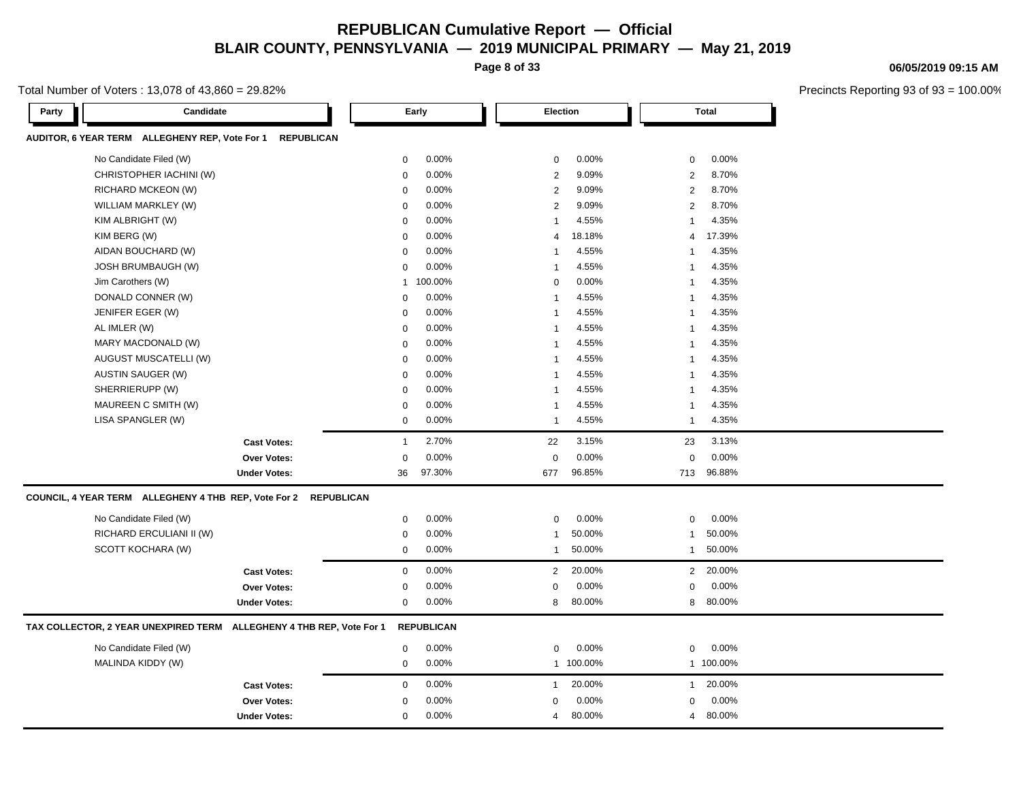**Page 8 of 33**

Total Number of Voters : 13,078 of 43,860 = 29.82%

**Party Candidate Early Election Total AUDITOR, 6 YEAR TERM ALLEGHENY REP, Vote For 1 REPUBLICAN** No Candidate Filed (W)  $0.00\%$  0.00% 0 0.00% 0 0.00% 0 0.00% 0 0.00% 0 0.00% 0 0.00% 0 0.00% 0 0.00% 0 0.00% 0 0.00% 0 0.00% 0 0.00% 0 0.00% 0 0.00% 0 0.00% 0 0.00% 0 0.00% 0 0.00% 0 0.00% 0 0.00% 0 0.00% 0 0.00% 0 0.00% CHRISTOPHER IACHINI (W) 0 0.00% 2 9.09% 2 8.70% RICHARD MCKEON (W) 0 0.00% 2 9.09% 2 8.70% WILLIAM MARKLEY (W) 0 0.00% 2 9.09% 2 8.70% KIM ALBRIGHT (W) 0 0.00% 1 4.55% 1 4.35% KIM BERG (W) 0 0.00% 4 18.18% 4 17.39% AIDAN BOUCHARD (W)  $0.00\%$  1 4.55% 1 4.35% 1 4.35% JOSH BRUMBAUGH (W) 0 0.00% 1 4.55% 1 4.35% Jim Carothers (W) 1 100.00% 0 0.00% 1 4.35% DONALD CONNER (W) 0 0.00% 1 4.55% 1 4.35% JENIFER EGER (W) 0 0.00% 1 4.55% 1 4.35% AL IMLER (W) 0 0.00% 1 4.55% 1 4.35% MARY MACDONALD (W) 0 0.00% 1 4.55% 1 4.35% AUGUST MUSCATELLI (W)  $0.00\%$  1 4.55% 1 4.35% AUSTIN SAUGER (W) 0 0.00% 1 4.55% 1 4.35% SHERRIERUPP (W) 0 0.00% 1 4.55% 1 4.35% MAUREEN C SMITH (W) 0 0.00% 1 4.55% 1 4.35% LISA SPANGLER (W) 0 0.00% 1 4.55% 1 4.35% **Cast Votes:** 1 2.70% 22 3.15% 23 3.13% **Over Votes:** 0 0.00% Under Votes: 36 97.30% 0.00% 0 677 96.85% 677 713 96.85% 96.88% 0.00% 0 0.00% **COUNCIL, 4 YEAR TERM ALLEGHENY 4 THB REP, Vote For 2 REPUBLICAN** No Candidate Filed (W)  $0.00\%$  0.00% 0 0.00% 0 0.00% 0 0.00% RICHARD ERCULIANI II (W)  $0.00\%$  1 50.00% 1 50.00% 1 50.00% 1 50.00% SCOTT KOCHARA (W) 0 0.00% 1 50.00% 1 50.00% **Cast Votes:** 0 0.00% 2 20.00% 2 20.00% **Over Votes:** 0 0.00% **Under Votes:** 0 0.00% 0 8 80.00% 8 8 80.00% 80.00% 0.00% 0 0.00% **TAX COLLECTOR, 2 YEAR UNEXPIRED TERM ALLEGHENY 4 THB REP, Vote For 1 REPUBLICAN** No Candidate Filed (W) 0 0.00% 0 0.00% 0 0.00% MALINDA KIDDY (W) 0 0.00% 1 100.00% 1 100.00% **Cast Votes:** 0 0.00% 1 20.00% 1 20.00% **Over Votes:** 0 0.00% **Under Votes:** 0 0.00% 0 4 80.00% 4 4 80.00% 80.00%0.00% 0 0.00%

#### **06/05/2019 09:15 AM**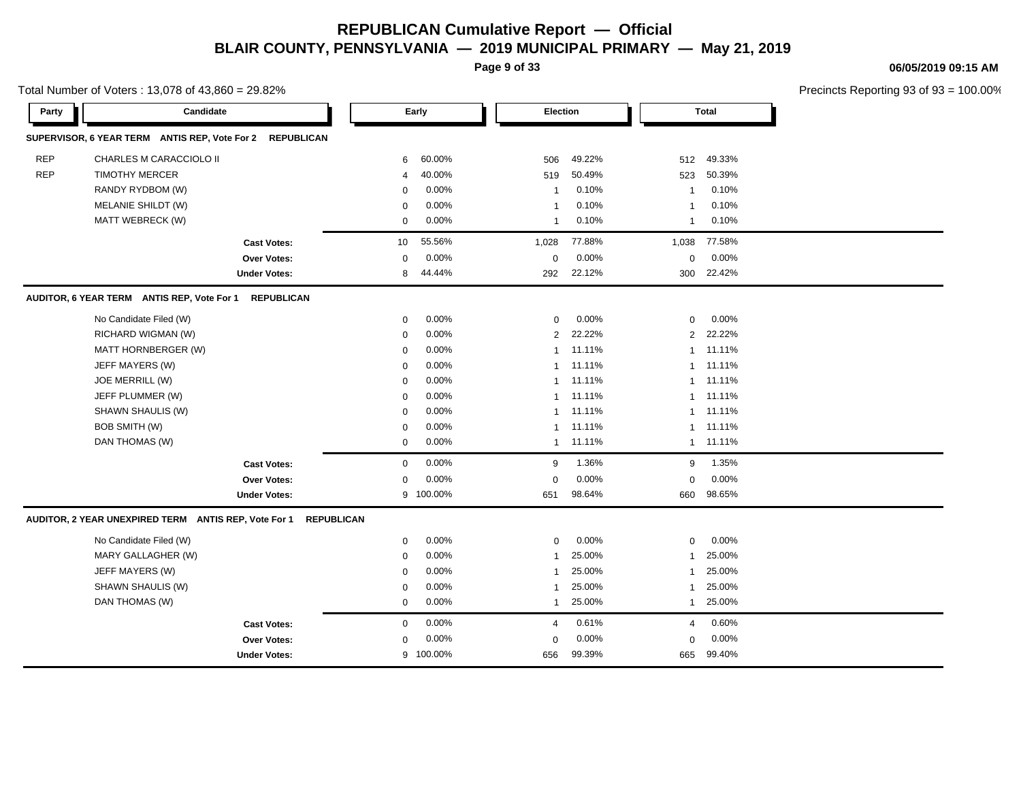**Page 9 of 33**

**06/05/2019 09:15 AM**

|            | Total Number of Voters: 13,078 of 43,860 = 29.82%        |                     |              |           |                |        |                |              | Precincts Reporting 93 of 93 |
|------------|----------------------------------------------------------|---------------------|--------------|-----------|----------------|--------|----------------|--------------|------------------------------|
| Party      | Candidate                                                |                     |              | Early     | Election       |        |                | <b>Total</b> |                              |
|            | SUPERVISOR, 6 YEAR TERM ANTIS REP, Vote For 2 REPUBLICAN |                     |              |           |                |        |                |              |                              |
| <b>REP</b> | CHARLES M CARACCIOLO II                                  |                     | 6            | 60.00%    | 506            | 49.22% | 512            | 49.33%       |                              |
| <b>REP</b> | <b>TIMOTHY MERCER</b>                                    |                     | 4            | 40.00%    | 519            | 50.49% | 523            | 50.39%       |                              |
|            | RANDY RYDBOM (W)                                         |                     | 0            | 0.00%     | $\mathbf 1$    | 0.10%  | $\mathbf 1$    | 0.10%        |                              |
|            | MELANIE SHILDT (W)                                       |                     | $\mathbf 0$  | 0.00%     | -1             | 0.10%  | $\mathbf 1$    | 0.10%        |                              |
|            | MATT WEBRECK (W)                                         |                     | $\mathbf{0}$ | 0.00%     | $\overline{1}$ | 0.10%  | $\mathbf{1}$   | 0.10%        |                              |
|            |                                                          | <b>Cast Votes:</b>  | 10           | 55.56%    | 1,028          | 77.88% | 1,038          | 77.58%       |                              |
|            |                                                          | Over Votes:         | 0            | 0.00%     | $\mathbf 0$    | 0.00%  | $\mathbf 0$    | 0.00%        |                              |
|            |                                                          | <b>Under Votes:</b> | 8            | 44.44%    | 292            | 22.12% | 300            | 22.42%       |                              |
|            | AUDITOR, 6 YEAR TERM ANTIS REP, Vote For 1 REPUBLICAN    |                     |              |           |                |        |                |              |                              |
|            | No Candidate Filed (W)                                   |                     | 0            | 0.00%     | $\mathbf 0$    | 0.00%  | $\mathbf 0$    | 0.00%        |                              |
|            | RICHARD WIGMAN (W)                                       |                     | 0            | 0.00%     | 2              | 22.22% | $\overline{2}$ | 22.22%       |                              |
|            | MATT HORNBERGER (W)                                      |                     | 0            | 0.00%     | $\mathbf 1$    | 11.11% | $\mathbf{1}$   | 11.11%       |                              |
|            | JEFF MAYERS (W)                                          |                     | 0            | 0.00%     | $\mathbf 1$    | 11.11% |                | 1 11.11%     |                              |
|            | JOE MERRILL (W)                                          |                     | $\mathbf 0$  | 0.00%     | $\overline{1}$ | 11.11% |                | 1 11.11%     |                              |
|            | JEFF PLUMMER (W)                                         |                     | $\mathbf 0$  | 0.00%     | $\overline{1}$ | 11.11% |                | 1 11.11%     |                              |
|            | SHAWN SHAULIS (W)                                        |                     | $\mathbf 0$  | 0.00%     | $\mathbf{1}$   | 11.11% |                | 1 11.11%     |                              |
|            | BOB SMITH (W)                                            |                     | 0            | 0.00%     | $\mathbf 1$    | 11.11% |                | 1 11.11%     |                              |
|            | DAN THOMAS (W)                                           |                     | 0            | 0.00%     | $\mathbf{1}$   | 11.11% |                | 1 11.11%     |                              |
|            |                                                          | <b>Cast Votes:</b>  | $\mathbf{0}$ | 0.00%     | 9              | 1.36%  | 9              | 1.35%        |                              |
|            |                                                          | Over Votes:         | $\mathbf 0$  | 0.00%     | $\mathbf 0$    | 0.00%  | $\Omega$       | 0.00%        |                              |
|            |                                                          | <b>Under Votes:</b> | 9            | 100.00%   | 651            | 98.64% | 660            | 98.65%       |                              |
|            | AUDITOR, 2 YEAR UNEXPIRED TERM ANTIS REP, Vote For 1     | <b>REPUBLICAN</b>   |              |           |                |        |                |              |                              |
|            | No Candidate Filed (W)                                   |                     | 0            | 0.00%     | $\mathbf 0$    | 0.00%  | $\mathbf 0$    | 0.00%        |                              |
|            | MARY GALLAGHER (W)                                       |                     | $\mathbf 0$  | 0.00%     | $\overline{1}$ | 25.00% | 1              | 25.00%       |                              |
|            | JEFF MAYERS (W)                                          |                     | $\mathbf 0$  | 0.00%     | $\overline{1}$ | 25.00% | $\mathbf 1$    | 25.00%       |                              |
|            | SHAWN SHAULIS (W)                                        |                     | 0            | 0.00%     | $\mathbf 1$    | 25.00% | $\mathbf 1$    | 25.00%       |                              |
|            | DAN THOMAS (W)                                           |                     | $\mathbf{0}$ | 0.00%     | $\overline{1}$ | 25.00% | $\mathbf{1}$   | 25.00%       |                              |
|            |                                                          | <b>Cast Votes:</b>  | 0            | 0.00%     | 4              | 0.61%  | $\overline{4}$ | 0.60%        |                              |
|            |                                                          | Over Votes:         | $\mathbf 0$  | 0.00%     | $\mathbf 0$    | 0.00%  | $\mathbf 0$    | 0.00%        |                              |
|            |                                                          | <b>Under Votes:</b> |              | 9 100.00% | 656            | 99.39% | 665            | 99.40%       |                              |
|            |                                                          |                     |              |           |                |        |                |              |                              |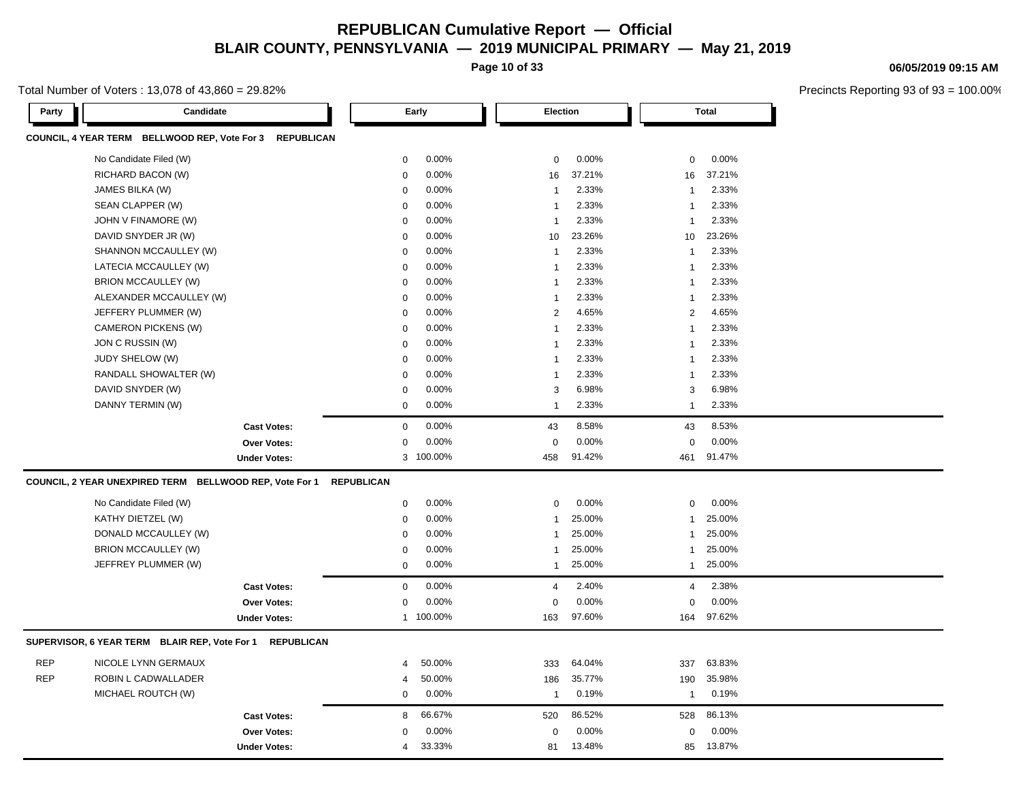**Page 10 of 33**

Total Number of Voters : 13,078 of 43,860 = 29.82%

**Party Candidate Early Election Total COUNCIL, 4 YEAR TERM BELLWOOD REP, Vote For 3 REPUBLICAN** No Candidate Filed (W)  $0.00\%$  0.00% 0 0.00% 0 0.00% 0 0.00% RICHARD BACON (W) 0 0.00% 16 37.21% 16 37.21% JAMES BILKA (W) 0 0.00% 1 2.33% 1 2.33% SEAN CLAPPER (W) 0 0.00% 1 2.33% 1 2.33% JOHN V FINAMORE (W) 8 2.33% 1 2.33% 1 2.33% 1 2.33% 1 2.33% 1 2.33% 1 2.33% 1 2.33% 1 2.33% 1 2.33% 1 2.33% 1 2.33% 1 2.33% 1 2.33% 1 2.33% 1 2.33% 1 2.33% 1 2.33% 1 2.33% 1 2.33% 1 2.33% 1 2.33% 1 2.33% 1 2.33% 1 2.33% 1 DAVID SNYDER JR (W) 10 23.26% 10 23.26% 10 23.26% 10 23.26% 10 23.26% 10 23.26% 10 23.26% 10 23.26% 10 23.26% 10 23.26% 10 23.26% 10 23.26% 10 23.26% 10 23.26% 10 23.26% 10 23.26% 10 23.26% 10 23.26% 10 23.26% 10 23.26% 10 SHANNON MCCAULLEY (W) 0 0.00% 1 2.33% 1 2.33% LATECIA MCCAULLEY (W) 0 0.00% 1 2.33% 1 2.33% BRION MCCAULLEY (W) 0 0.00% 1 2.33% 1 2.33% ALEXANDER MCCAULLEY (W) 0 0.00% 1 2.33% 1 2.33% JEFFERY PLUMMER (W) 0 0.00% 2 4.65% 2 4.65% CAMERON PICKENS (W) 1 2.33% 1 2.33% 1 2.33% 1 2.33% JON C RUSSIN (W) 0 0.00% 1 2.33% 1 2.33% JUDY SHELOW (W) 0 0.00% 1 2.33% 1 2.33% RANDALL SHOWALTER (W) 0 0.00% 1 2.33% 1 2.33% DAVID SNYDER (W) 0 0.00% 3 6.98% 3 6.98% DANNY TERMIN (W) 0 0.00% 1 2.33% 1 2.33% **Cast Votes:** 0 0.00% 43 8.58% 43 8.53% **Over Votes:** 0 0.00% **Under Votes:** 0.00% 0 100.00% 458 461 91.42% 91.47% 0.00% 0 0.00% **COUNCIL, 2 YEAR UNEXPIRED TERM BELLWOOD REP, Vote For 1 REPUBLICAN** No Candidate Filed (W)  $0.00\%$  0.00% 0 0.00% 0 0.00% 0 0.00% KATHY DIETZEL (W) 0 0.00% 1 25.00% 1 25.00% DONALD MCCAULLEY (W) 0 0.00% 1 25.00% 1 25.00% BRION MCCAULLEY (W) 0 0.00% 1 25.00% 1 25.00% JEFFREY PLUMMER (W) 0 0.00% 1 25.00% 1 25.00% **Cast Votes:** 0 0.00% 4 2.40% 4 2.38% **Over Votes:** 0 **Under Votes:** 0.00% 1 100.00% 163 97.60%  $0.00%$  163 164 97.60% 97.62% 0.00% 0 0.00% **SUPERVISOR, 6 YEAR TERM BLAIR REP, Vote For 1 REPUBLICAN** REP NICOLE LYNN GERMAUX 4 50.00% 333 64.04% 337 63.83% REP ROBIN L CADWALLADER 4 50.00% 186 35.77% 190 35.98% MICHAEL ROUTCH (W)  $0.00\%$  1 0.19% 1 0.19% 1 0.19% **Cast Votes:** 8 66.67% 520 86.52% 528 86.13% **Over Votes:** 0 0.00% **Under Votes:** 4 0.00% 0 81 13.48% 81 85 13.48% 13.87%0.00% 0 0.00%

#### **06/05/2019 09:15 AM**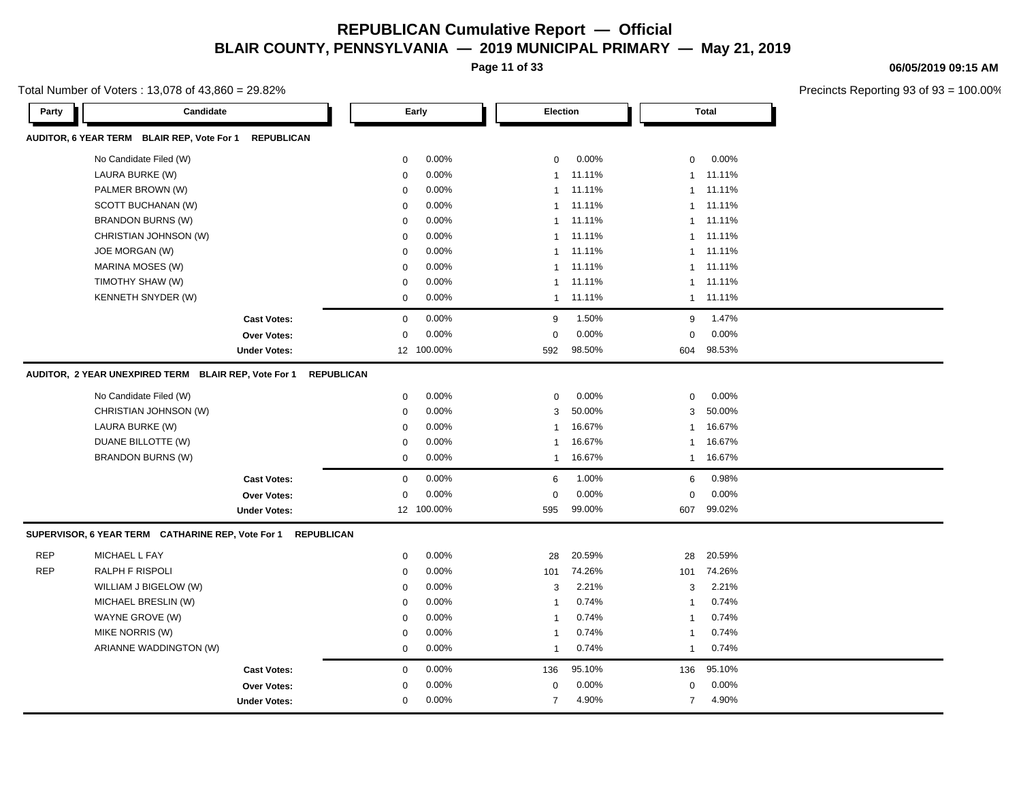**Page 11 of 33**

Total Number of Voters : 13,078 of 43,860 = 29.82%

**Party Candidate Early Election Total AUDITOR, 6 YEAR TERM BLAIR REP, Vote For 1 REPUBLICAN** No Candidate Filed (W)  $0.00\%$  0.00% 0 0.00% 0 0.00% 0 0.00% 0 0.00% 0 0.00% 0 0.00% 0 0.00% 0 0.00% 0 0.00% 0 0.00% 0 0.00% 0 0.00% 0 0.00% 0 0.00% 0 0.00% 0 0.00% 0 0.00% 0 0.00% 0 0.00% 0 0.00% 0 0.00% 0 0.00% 0 0.00% LAURA BURKE (W) 0 0.00% 1 11.11% 1 11.11% PALMER BROWN (W) 1 11.11% 1 11.11% 1 11.11% 1 11.11% 1 11.11% 1 11.11% 1 11.11% 1 11.11% 1 11.11% 1 11.11% 1 1 SCOTT BUCHANAN (W)  $0.00\%$  1 11.11% 1 11.11% 1 11.11% BRANDON BURNS (W) 0 0.00% 1 11.11% 1 11.11% CHRISTIAN JOHNSON (W)  $0.00\%$  1 11.11% 1 11.11% 1 11.11% JOE MORGAN (W) 0 0.00% 1 11.11% 1 11.11% MARINA MOSES (W) 0 0.00% 1 11.11% 1 11.11% TIMOTHY SHAW (W) 0 0.00% 1 11.11% 1 11.11% KENNETH SNYDER (W) 11.11% 10 11.11% 11.11% 11.11% 11.11% 11.11% 11.11% 11.11% 11.11% 11.11% 11.11% 1 **Cast Votes:** 0 0.00% 9 1.50% 9 1.47% **Over Votes:** 0 0.00% **Under Votes:** 12 100.00% 0.00% 0 592 604 98.50% 98.53% 0.00% 0 0.00% **AUDITOR, 2 YEAR UNEXPIRED TERM BLAIR REP, Vote For 1 REPUBLICAN** No Candidate Filed (W)  $0.00\%$  0.00% 0 0.00% 0 0.00% 0 0.00% CHRISTIAN JOHNSON (W)  $0.00\%$  0.00% 3 50.00% 3 50.00% 3 50.00% LAURA BURKE (W) 0 0.00% 1 16.67% 1 16.67% DUANE BILLOTTE (W) 16.67% 1 16.67% 1 16.67% 1 16.67% 1 16.67% 1 16.67% 1 16.67% 1 16.67% 1 16.67% 1 16.67% 1 1 BRANDON BURNS (W) 0 0.00% 1 16.67% 1 16.67% **Cast Votes:** 0 0.00% 6 1.00% 6 0.98% **Over Votes:** 0 **Under Votes:** 12 100.00% 0.00% 0 595 607 99.00% 99.02% 0.00% 0 0.00% **SUPERVISOR, 6 YEAR TERM CATHARINE REP, Vote For 1 REPUBLICAN** REP MICHAEL L FAY 0 0.00% 28 20.59% 28 20.59% REP RALPH F RISPOLI 0 0.00% 101 74.26% 101 74.26% WILLIAM J BIGELOW (W) 0 0.00% 3 2.21% 3 2.21% MICHAEL BRESLIN (W) 0 0.00% 1 0.74% 1 0.74% WAYNE GROVE (W) 0 0.00% 1 0.74% 1 0.74% MIKE NORRIS (W) 0 0.00% 1 0.74% 1 0.74% ARIANNE WADDINGTON (W) 1 0.74% 1 0.74% 1 0.74% 1 0.74% 1 0.74% **Cast Votes:** 0 0.00% 136 95.10% 136 95.10% **Over Votes:** 0 0.00% **Under Votes:** 0 0.00% 0 7 4.90% 7 4.90% 7 4.90% 0.00% 0 4.90% 4.90%0.00%

#### **06/05/2019 09:15 AM**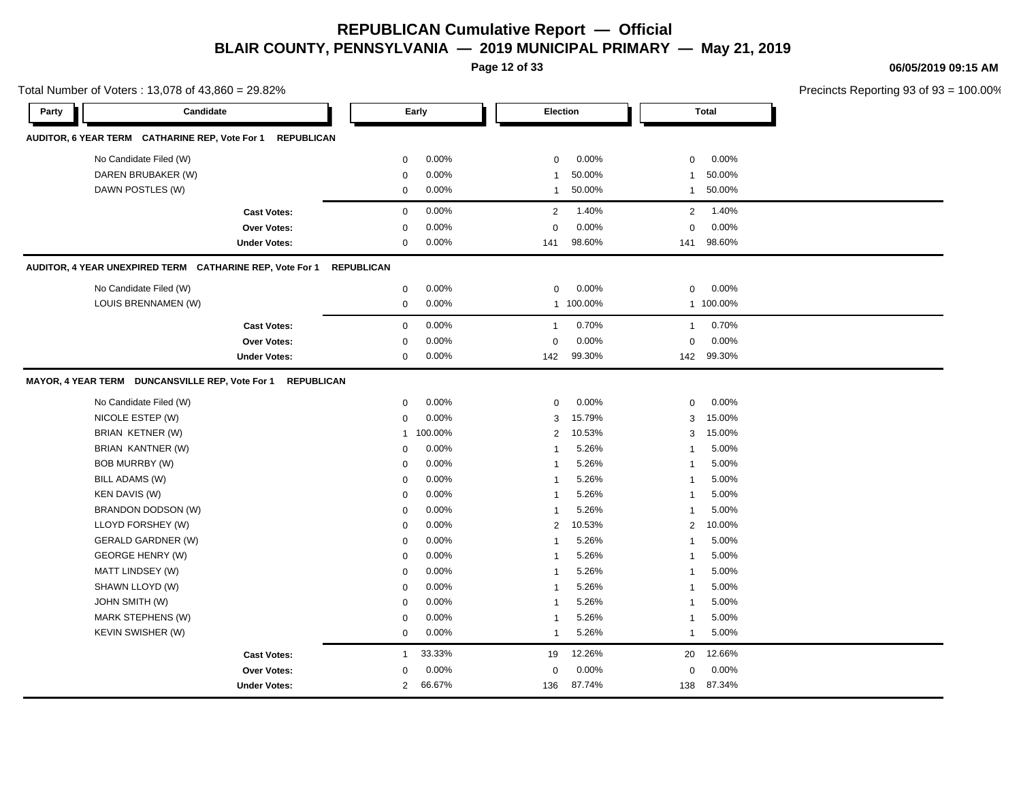**Page 12 of 33**

**06/05/2019 09:15 AM**

| Total Number of Voters: 13,078 of 43,860 = 29.82% |                                                            |                     |                   |         | Precincts Reporting 93 of 93 = 100.00% |           |                          |  |
|---------------------------------------------------|------------------------------------------------------------|---------------------|-------------------|---------|----------------------------------------|-----------|--------------------------|--|
| Party                                             | Candidate                                                  |                     |                   | Early   | Election                               |           | <b>Total</b>             |  |
|                                                   | AUDITOR, 6 YEAR TERM CATHARINE REP, Vote For 1             | <b>REPUBLICAN</b>   |                   |         |                                        |           |                          |  |
|                                                   | No Candidate Filed (W)                                     |                     | 0                 | 0.00%   | $\mathbf 0$                            | 0.00%     | 0.00%<br>$\mathbf 0$     |  |
|                                                   | DAREN BRUBAKER (W)                                         |                     | 0                 | 0.00%   | -1                                     | 50.00%    | 50.00%<br>$\mathbf{1}$   |  |
|                                                   | DAWN POSTLES (W)                                           |                     | 0                 | 0.00%   | $\mathbf{1}$                           | 50.00%    | 50.00%<br>$\mathbf{1}$   |  |
|                                                   |                                                            | <b>Cast Votes:</b>  | $\mathbf 0$       | 0.00%   | 2                                      | 1.40%     | 1.40%<br>$\overline{2}$  |  |
|                                                   |                                                            | Over Votes:         | $\mathbf 0$       | 0.00%   | $\mathbf 0$                            | 0.00%     | 0.00%<br>$\mathbf 0$     |  |
|                                                   |                                                            | <b>Under Votes:</b> | 0                 | 0.00%   | 141                                    | 98.60%    | 98.60%<br>141            |  |
|                                                   | AUDITOR, 4 YEAR UNEXPIRED TERM CATHARINE REP, Vote For 1   |                     | <b>REPUBLICAN</b> |         |                                        |           |                          |  |
|                                                   | No Candidate Filed (W)                                     |                     | $\mathbf 0$       | 0.00%   | 0                                      | 0.00%     | 0.00%<br>0               |  |
|                                                   | LOUIS BRENNAMEN (W)                                        |                     | 0                 | 0.00%   |                                        | 1 100.00% | 1 100.00%                |  |
|                                                   |                                                            | <b>Cast Votes:</b>  | $\mathbf 0$       | 0.00%   | $\overline{1}$                         | 0.70%     | 0.70%<br>$\mathbf{1}$    |  |
|                                                   |                                                            | Over Votes:         | $\mathbf{0}$      | 0.00%   | $\mathbf 0$                            | 0.00%     | 0.00%<br>$\mathbf 0$     |  |
|                                                   |                                                            | <b>Under Votes:</b> | 0                 | 0.00%   | 142                                    | 99.30%    | 142 99.30%               |  |
|                                                   | MAYOR, 4 YEAR TERM DUNCANSVILLE REP, Vote For 1 REPUBLICAN |                     |                   |         |                                        |           |                          |  |
|                                                   | No Candidate Filed (W)                                     |                     | 0                 | 0.00%   | 0                                      | 0.00%     | 0.00%<br>$\mathbf 0$     |  |
|                                                   | NICOLE ESTEP (W)                                           |                     | $\mathbf{0}$      | 0.00%   | 3                                      | 15.79%    | 15.00%<br>3              |  |
|                                                   | BRIAN KETNER (W)                                           |                     | $\mathbf{1}$      | 100.00% | 2                                      | 10.53%    | 15.00%<br>3              |  |
|                                                   | BRIAN KANTNER (W)                                          |                     | 0                 | 0.00%   | -1                                     | 5.26%     | 5.00%<br>1               |  |
|                                                   | BOB MURRBY (W)                                             |                     | $\mathbf{0}$      | 0.00%   | -1                                     | 5.26%     | 5.00%<br>1               |  |
|                                                   | BILL ADAMS (W)                                             |                     | 0                 | 0.00%   | -1                                     | 5.26%     | 5.00%<br>1               |  |
|                                                   | <b>KEN DAVIS (W)</b>                                       |                     | 0                 | 0.00%   | -1                                     | 5.26%     | 5.00%<br>$\mathbf{1}$    |  |
|                                                   | BRANDON DODSON (W)                                         |                     | 0                 | 0.00%   | -1                                     | 5.26%     | 5.00%<br>$\mathbf{1}$    |  |
|                                                   | LLOYD FORSHEY (W)                                          |                     | $\mathbf 0$       | 0.00%   | 2                                      | 10.53%    | 10.00%<br>$\overline{2}$ |  |
|                                                   | <b>GERALD GARDNER (W)</b>                                  |                     | $\Omega$          | 0.00%   | -1                                     | 5.26%     | 5.00%<br>$\mathbf{1}$    |  |
|                                                   | <b>GEORGE HENRY (W)</b>                                    |                     | 0                 | 0.00%   | -1                                     | 5.26%     | 5.00%<br>$\mathbf{1}$    |  |
|                                                   | MATT LINDSEY (W)                                           |                     | $\mathbf 0$       | 0.00%   | -1                                     | 5.26%     | 5.00%<br>1               |  |
|                                                   | SHAWN LLOYD (W)                                            |                     | 0                 | 0.00%   | -1                                     | 5.26%     | 5.00%<br>1               |  |
|                                                   | <b>JOHN SMITH (W)</b>                                      |                     | $\mathbf 0$       | 0.00%   | -1                                     | 5.26%     | 5.00%<br>1               |  |
|                                                   | MARK STEPHENS (W)                                          |                     | 0                 | 0.00%   | -1                                     | 5.26%     | 5.00%<br>-1              |  |
|                                                   | KEVIN SWISHER (W)                                          |                     | 0                 | 0.00%   | $\overline{1}$                         | 5.26%     | 5.00%<br>-1              |  |
|                                                   |                                                            | <b>Cast Votes:</b>  | $\mathbf{1}$      | 33.33%  | 19                                     | 12.26%    | 12.66%<br>20             |  |
|                                                   |                                                            | Over Votes:         | $\Omega$          | 0.00%   | $\mathbf 0$                            | 0.00%     | 0.00%<br>$\mathbf 0$     |  |
|                                                   |                                                            | <b>Under Votes:</b> | $\overline{2}$    | 66.67%  | 136                                    | 87.74%    | 138 87.34%               |  |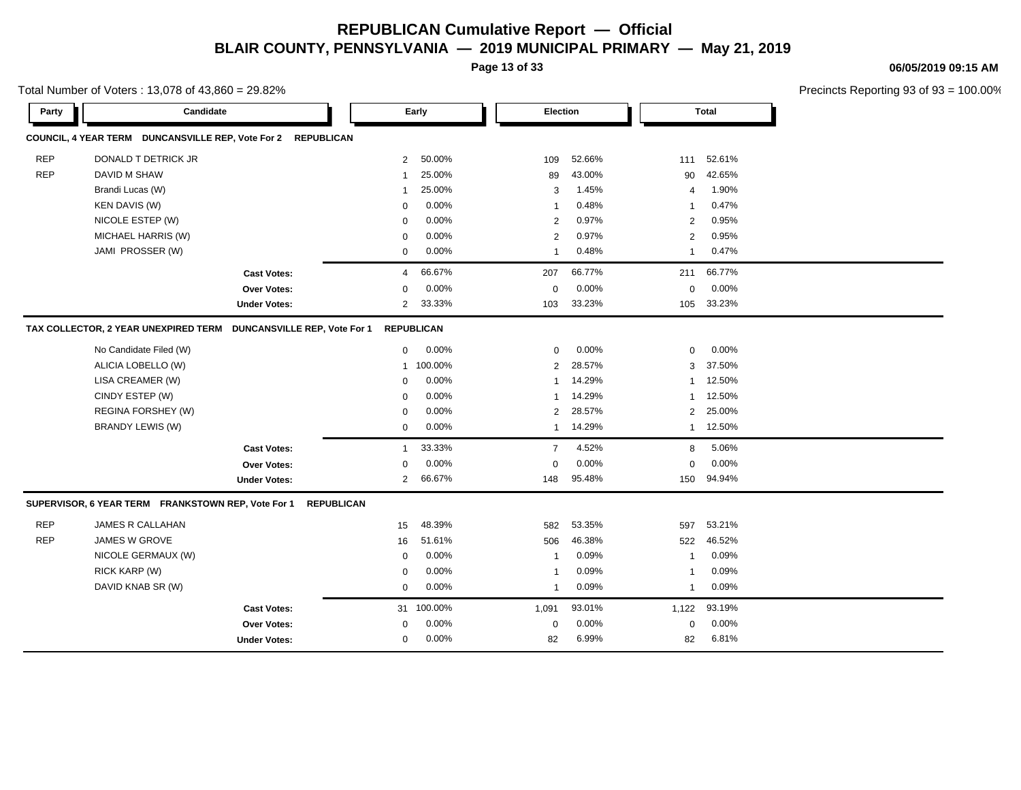**Page 13 of 33**

**06/05/2019 09:15 AM**

|            | Total Number of Voters: 13,078 of 43,860 = 29.82%            |                              |                |                   |                          |        |                |              | Precincts Reporting 93 of 9 |
|------------|--------------------------------------------------------------|------------------------------|----------------|-------------------|--------------------------|--------|----------------|--------------|-----------------------------|
| Party      | Candidate                                                    |                              |                | Early             | Election                 |        |                | <b>Total</b> |                             |
|            | COUNCIL, 4 YEAR TERM DUNCANSVILLE REP, Vote For 2 REPUBLICAN |                              |                |                   |                          |        |                |              |                             |
| <b>REP</b> | DONALD T DETRICK JR                                          |                              | $\overline{2}$ | 50.00%            | 109                      | 52.66% | 111            | 52.61%       |                             |
| <b>REP</b> | DAVID M SHAW                                                 |                              | $\mathbf 1$    | 25.00%            | 89                       | 43.00% | 90             | 42.65%       |                             |
|            | Brandi Lucas (W)                                             |                              | $\mathbf 1$    | 25.00%            | 3                        | 1.45%  | $\overline{4}$ | 1.90%        |                             |
|            | KEN DAVIS (W)                                                |                              | $\mathbf 0$    | 0.00%             | $\overline{\phantom{a}}$ | 0.48%  | - 1            | 0.47%        |                             |
|            | NICOLE ESTEP (W)                                             |                              | $\mathbf 0$    | 0.00%             | 2                        | 0.97%  | 2              | 0.95%        |                             |
|            | MICHAEL HARRIS (W)                                           |                              | $\mathbf 0$    | 0.00%             | $\overline{2}$           | 0.97%  | $\overline{2}$ | 0.95%        |                             |
|            | JAMI PROSSER (W)                                             |                              | $\mathbf 0$    | 0.00%             | $\overline{\mathbf{1}}$  | 0.48%  | $\overline{1}$ | 0.47%        |                             |
|            |                                                              | <b>Cast Votes:</b>           | 4              | 66.67%            | 207                      | 66.77% | 211            | 66.77%       |                             |
|            |                                                              | Over Votes:                  | $\mathbf 0$    | 0.00%             | $\mathbf 0$              | 0.00%  | 0              | 0.00%        |                             |
|            |                                                              | <b>Under Votes:</b>          | 2              | 33.33%            | 103                      | 33.23% | 105            | 33.23%       |                             |
|            | TAX COLLECTOR, 2 YEAR UNEXPIRED TERM                         | DUNCANSVILLE REP, Vote For 1 |                | <b>REPUBLICAN</b> |                          |        |                |              |                             |
|            | No Candidate Filed (W)                                       |                              | $\mathbf 0$    | 0.00%             | $\mathbf 0$              | 0.00%  | $\mathbf 0$    | 0.00%        |                             |
|            | ALICIA LOBELLO (W)                                           |                              | 1              | 100.00%           | $\overline{2}$           | 28.57% | 3              | 37.50%       |                             |
|            | LISA CREAMER (W)                                             |                              | $\mathbf 0$    | 0.00%             | $\overline{\mathbf{1}}$  | 14.29% | -1             | 12.50%       |                             |
|            | CINDY ESTEP (W)                                              |                              | $\mathbf 0$    | 0.00%             | $\overline{1}$           | 14.29% | $\overline{1}$ | 12.50%       |                             |
|            | REGINA FORSHEY (W)                                           |                              | $\mathbf 0$    | 0.00%             | $\overline{2}$           | 28.57% | $\overline{2}$ | 25.00%       |                             |
|            | <b>BRANDY LEWIS (W)</b>                                      |                              | $\mathbf 0$    | 0.00%             | $\overline{1}$           | 14.29% | $\mathbf{1}$   | 12.50%       |                             |
|            |                                                              | <b>Cast Votes:</b>           | $\mathbf{1}$   | 33.33%            | $\overline{7}$           | 4.52%  | 8              | 5.06%        |                             |
|            |                                                              | <b>Over Votes:</b>           | $\mathbf 0$    | 0.00%             | $\mathbf 0$              | 0.00%  | 0              | 0.00%        |                             |
|            |                                                              | <b>Under Votes:</b>          | 2              | 66.67%            | 148                      | 95.48% | 150            | 94.94%       |                             |
|            | SUPERVISOR, 6 YEAR TERM FRANKSTOWN REP, Vote For 1           | <b>REPUBLICAN</b>            |                |                   |                          |        |                |              |                             |
| <b>REP</b> | JAMES R CALLAHAN                                             |                              | 15             | 48.39%            | 582                      | 53.35% | 597            | 53.21%       |                             |
| <b>REP</b> | JAMES W GROVE                                                |                              | 16             | 51.61%            | 506                      | 46.38% | 522            | 46.52%       |                             |
|            | NICOLE GERMAUX (W)                                           |                              | $\mathbf 0$    | 0.00%             | -1                       | 0.09%  | -1             | 0.09%        |                             |
|            | RICK KARP (W)                                                |                              | 0              | 0.00%             | -1                       | 0.09%  | -1             | 0.09%        |                             |
|            | DAVID KNAB SR (W)                                            |                              | $\mathbf 0$    | 0.00%             | $\overline{\mathbf{1}}$  | 0.09%  | $\overline{1}$ | 0.09%        |                             |
|            |                                                              | <b>Cast Votes:</b>           | 31             | 100.00%           | 1,091                    | 93.01% | 1,122          | 93.19%       |                             |
|            |                                                              | <b>Over Votes:</b>           | 0              | 0.00%             | 0                        | 0.00%  | 0              | 0.00%        |                             |
|            |                                                              | <b>Under Votes:</b>          | $\mathbf 0$    | 0.00%             | 82                       | 6.99%  | 82             | 6.81%        |                             |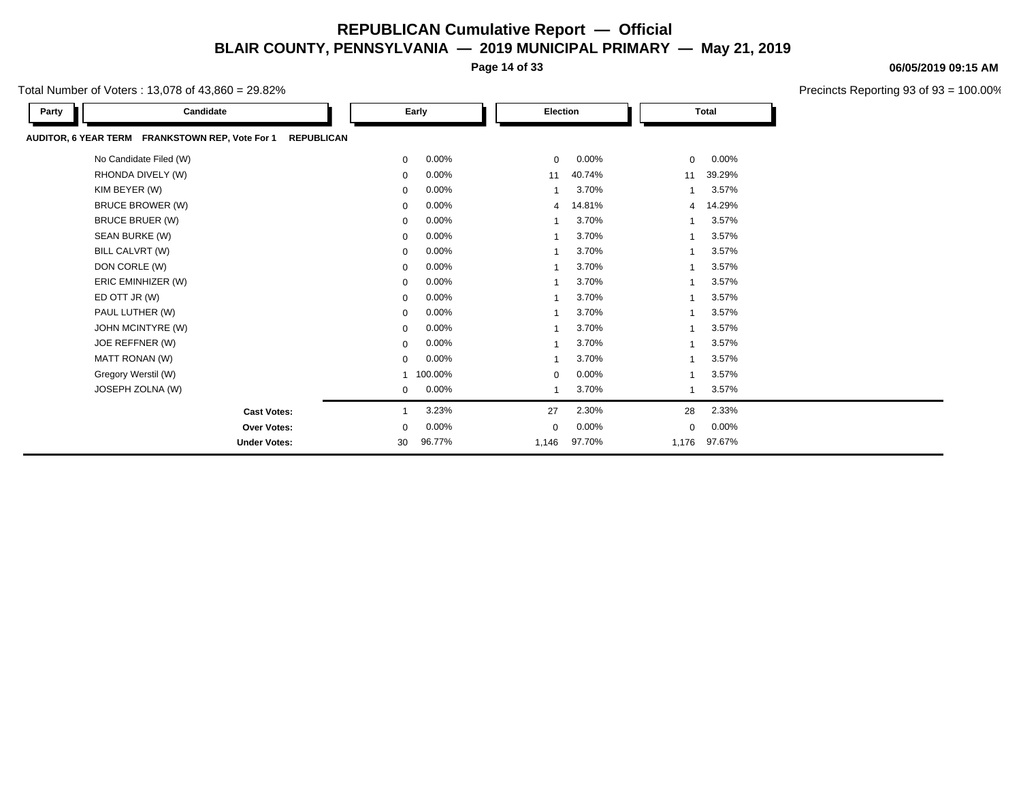**Page 14 of 33**

Total Number of Voters : 13,078 of 43,860 = 29.82%

| Candidate<br>Party                                                   |             | Early   | Election       |        |                | <b>Total</b> |
|----------------------------------------------------------------------|-------------|---------|----------------|--------|----------------|--------------|
| AUDITOR, 6 YEAR TERM FRANKSTOWN REP, Vote For 1<br><b>REPUBLICAN</b> |             |         |                |        |                |              |
| No Candidate Filed (W)                                               | $\mathbf 0$ | 0.00%   | 0              | 0.00%  | 0              | 0.00%        |
| RHONDA DIVELY (W)                                                    | 0           | 0.00%   | 11             | 40.74% | 11             | 39.29%       |
| KIM BEYER (W)                                                        | 0           | 0.00%   | $\mathbf{1}$   | 3.70%  | 1              | 3.57%        |
| <b>BRUCE BROWER (W)</b>                                              | 0           | 0.00%   | $\overline{4}$ | 14.81% | $\overline{4}$ | 14.29%       |
| <b>BRUCE BRUER (W)</b>                                               | 0           | 0.00%   | $\mathbf{1}$   | 3.70%  |                | 3.57%        |
| SEAN BURKE (W)                                                       | 0           | 0.00%   | $\mathbf{1}$   | 3.70%  | 1              | 3.57%        |
| BILL CALVRT (W)                                                      | 0           | 0.00%   | $\mathbf{1}$   | 3.70%  | 1              | 3.57%        |
| DON CORLE (W)                                                        | 0           | 0.00%   | $\mathbf{1}$   | 3.70%  |                | 3.57%        |
| ERIC EMINHIZER (W)                                                   | 0           | 0.00%   | $\mathbf{1}$   | 3.70%  | 1              | 3.57%        |
| ED OTT JR (W)                                                        | 0           | 0.00%   | $\mathbf{1}$   | 3.70%  |                | 3.57%        |
| PAUL LUTHER (W)                                                      | 0           | 0.00%   | $\mathbf{1}$   | 3.70%  |                | 3.57%        |
| JOHN MCINTYRE (W)                                                    | 0           | 0.00%   | $\mathbf{1}$   | 3.70%  | 1              | 3.57%        |
| JOE REFFNER (W)                                                      | 0           | 0.00%   | 1              | 3.70%  | 1              | 3.57%        |
| MATT RONAN (W)                                                       | $\Omega$    | 0.00%   | $\mathbf{1}$   | 3.70%  | 1              | 3.57%        |
| Gregory Werstil (W)                                                  |             | 100.00% | $\mathbf 0$    | 0.00%  | 1              | 3.57%        |
| JOSEPH ZOLNA (W)                                                     | 0           | 0.00%   | 1              | 3.70%  | 1              | 3.57%        |
| <b>Cast Votes:</b>                                                   |             | 3.23%   | 27             | 2.30%  | 28             | 2.33%        |
| <b>Over Votes:</b>                                                   | 0           | 0.00%   | $\mathbf 0$    | 0.00%  | 0              | 0.00%        |
| <b>Under Votes:</b>                                                  | 30          | 96.77%  | 1,146          | 97.70% | 1,176          | 97.67%       |

#### **06/05/2019 09:15 AM**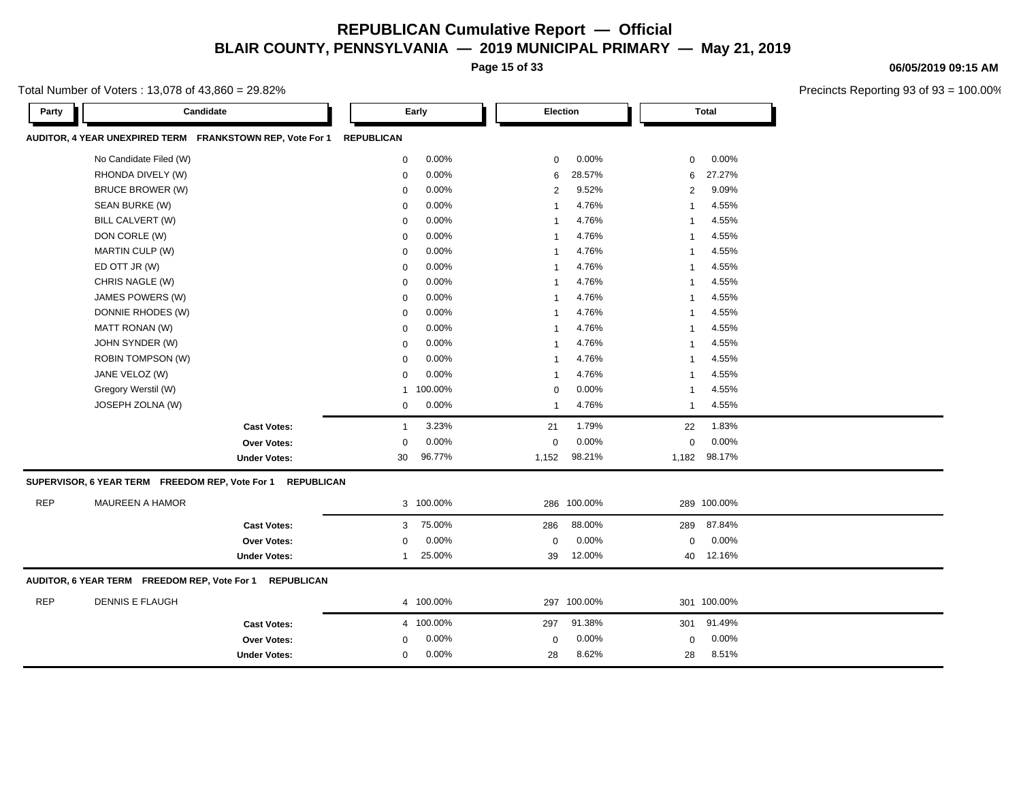**Page 15 of 33**

Total Number of Voters : 13,078 of 43,860 = 29.82%

**Party Candidate Early Election Total AUDITOR, 4 YEAR UNEXPIRED TERM FRANKSTOWN REP, Vote For 1 REPUBLICAN** No Candidate Filed (W) **0 0.00%** 0 0.00% 0 0.00% 0 0.00% 0 0.00% 0 0.00% 0 0.00% 0 0.00% 0 0.00% 0 0.00% 0 0.00% 0 0.00% 0 0.00% 0 0.00% 0 0.00% 0 0.00% 0 0.00% 0 0.00% 0 0.00% 0 0.00% 0 0.00% 0 0.00% 0 0.00% 0 0.00% 0 0.0 RHONDA DIVELY (W) 0 0.00% 6 28.57% 6 27.27% BRUCE BROWER (W) 0 0.00% 2 9.52% 2 9.09% SEAN BURKE (W) 0 0.00% 1 4.76% 1 4.55% BILL CALVERT (W) 0 0.00% 1 4.76% 1 4.55% DON CORLE (W) 0 0.00% 1 4.76% 1 4.55% MARTIN CULP (W) 0 0.00% 1 4.76% 1 4.55% ED OTT JR (W) 0 0.00% 1 4.76% 1 4.55% CHRIS NAGLE (W) 0 0.00% 1 4.76% 1 4.55% JAMES POWERS (W) 0 0.00% 1 4.76% 1 4.55% DONNIE RHODES (W) 0 0.00% 1 4.76% 1 4.55% MATT RONAN (W) 0 0.00% 1 4.76% 1 4.55% JOHN SYNDER (W) 0 0.00% 1 4.76% 1 4.55% ROBIN TOMPSON (W) 0 0.00% 1 4.76% 1 4.55% JANE VELOZ (W) 0 0.00% 1 4.76% 1 4.55% Gregory Werstil (W) 1 100.00% 0 0.00% 1 4.55% JOSEPH ZOLNA (W) 0 0.00% 1 4.76% 1 4.55% **Cast Votes:** 1 3.23% 21 1.79% 22 1.83% **Over Votes:** 0 0.00% Under Votes: 30 96.77% 0.00% 0 1,152 98.21% 1,152 1,182 98.21% 98.17% 0.00% 0 0.00% **SUPERVISOR, 6 YEAR TERM FREEDOM REP, Vote For 1 REPUBLICAN** REP MAUREEN A HAMOR 3 100.00% 286 100.00% 289 100.00% **Cast Votes:** 3 75.00% 286 88.00% 289 87.84% **Over Votes:** 0 0.00% Under Votes: 1 25.00% 0.00% 0 39 12.00% 39 40 12.00% 12.16% 0.00% 0 0.00% **AUDITOR, 6 YEAR TERM FREEDOM REP, Vote For 1 REPUBLICAN** REP DENNIS E FLAUGH 4 100.00% 297 100.00% 301 100.00% **Cast Votes:** 4 100.00% 297 91.38% 301 91.49% **Over Votes:** 0 0.00% **Under Votes:** 0 0.00% 0 0.00% 28 28 8.62% 8.51%0.00% 0 0.00%

#### **06/05/2019 09:15 AM**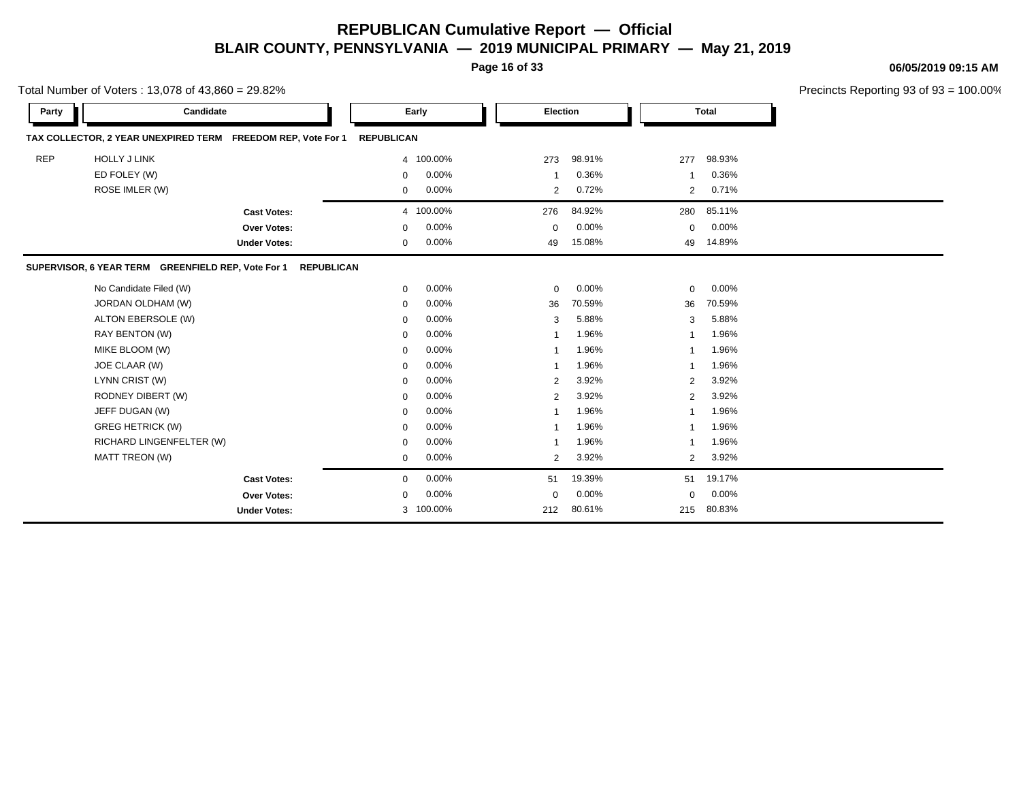**Page 16 of 33**

**06/05/2019 09:15 AM**

|            | Total Number of Voters: 13,078 of 43,860 = 29.82%            |                     |                   |           | Precincts Reporting 93 of 93 = 100.00% |          |                |              |  |
|------------|--------------------------------------------------------------|---------------------|-------------------|-----------|----------------------------------------|----------|----------------|--------------|--|
| Party      | Candidate                                                    |                     |                   | Early     | Election                               |          |                | <b>Total</b> |  |
|            | TAX COLLECTOR, 2 YEAR UNEXPIRED TERM FREEDOM REP, Vote For 1 |                     | <b>REPUBLICAN</b> |           |                                        |          |                |              |  |
| <b>REP</b> | <b>HOLLY J LINK</b>                                          |                     |                   | 4 100.00% | 273                                    | 98.91%   | 277            | 98.93%       |  |
|            | ED FOLEY (W)                                                 |                     | 0                 | 0.00%     | -1                                     | 0.36%    | 1              | 0.36%        |  |
|            | ROSE IMLER (W)                                               |                     | $\mathbf 0$       | 0.00%     | 2                                      | 0.72%    | $\overline{2}$ | 0.71%        |  |
|            |                                                              | <b>Cast Votes:</b>  |                   | 4 100.00% | 276                                    | 84.92%   | 280            | 85.11%       |  |
|            |                                                              | Over Votes:         | 0                 | 0.00%     | $\Omega$                               | $0.00\%$ | 0              | $0.00\%$     |  |
|            |                                                              | <b>Under Votes:</b> | $\mathbf 0$       | 0.00%     | 49                                     | 15.08%   | 49             | 14.89%       |  |
|            | SUPERVISOR, 6 YEAR TERM GREENFIELD REP, Vote For 1           | <b>REPUBLICAN</b>   |                   |           |                                        |          |                |              |  |
|            | No Candidate Filed (W)                                       |                     | $\mathbf 0$       | 0.00%     | $\mathbf 0$                            | $0.00\%$ | 0              | 0.00%        |  |
|            | JORDAN OLDHAM (W)                                            |                     | 0                 | 0.00%     | 36                                     | 70.59%   | 36             | 70.59%       |  |
|            | ALTON EBERSOLE (W)                                           |                     | $\mathbf 0$       | 0.00%     | 3                                      | 5.88%    | 3              | 5.88%        |  |
|            | RAY BENTON (W)                                               |                     | $\mathbf 0$       | 0.00%     |                                        | 1.96%    |                | 1.96%        |  |
|            | MIKE BLOOM (W)                                               |                     | $\mathbf 0$       | 0.00%     |                                        | 1.96%    | 1              | 1.96%        |  |
|            | JOE CLAAR (W)                                                |                     | 0                 | 0.00%     | -1                                     | 1.96%    | 1              | 1.96%        |  |
|            | LYNN CRIST (W)                                               |                     | $\mathbf 0$       | 0.00%     | $\overline{2}$                         | 3.92%    | 2              | 3.92%        |  |
|            | RODNEY DIBERT (W)                                            |                     | $\mathbf 0$       | 0.00%     | $\overline{2}$                         | 3.92%    | $\overline{2}$ | 3.92%        |  |
|            | JEFF DUGAN (W)                                               |                     | $\mathbf 0$       | 0.00%     |                                        | 1.96%    | 1              | 1.96%        |  |
|            | <b>GREG HETRICK (W)</b>                                      |                     | $\Omega$          | 0.00%     |                                        | 1.96%    |                | 1.96%        |  |
|            | RICHARD LINGENFELTER (W)                                     |                     | 0                 | 0.00%     |                                        | 1.96%    | 1              | 1.96%        |  |
|            | MATT TREON (W)                                               |                     | $\mathbf 0$       | 0.00%     | 2                                      | 3.92%    | $\overline{2}$ | 3.92%        |  |
|            |                                                              | <b>Cast Votes:</b>  | $\mathbf 0$       | 0.00%     | 51                                     | 19.39%   | 51             | 19.17%       |  |
|            |                                                              | Over Votes:         | $\mathbf 0$       | 0.00%     | $\Omega$                               | 0.00%    | 0              | $0.00\%$     |  |
|            |                                                              | <b>Under Votes:</b> |                   | 3 100.00% | 212                                    | 80.61%   | 215            | 80.83%       |  |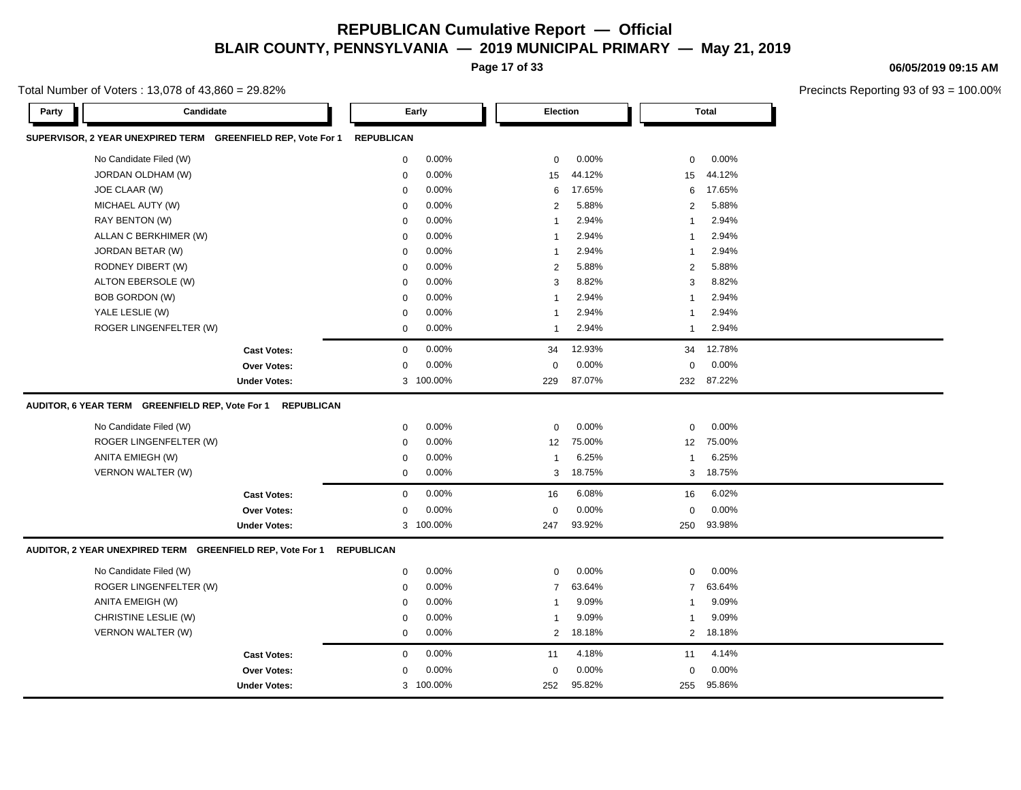**Page 17 of 33**

Total Number of Voters  $\cdot$  13,078 of 43,860 = 29,82%

**06/05/2019 09:15 AM**

| Candidate<br>Party                                                   | Early                   | Election                 | <b>Total</b>                |  |
|----------------------------------------------------------------------|-------------------------|--------------------------|-----------------------------|--|
| SUPERVISOR, 2 YEAR UNEXPIRED TERM GREENFIELD REP, Vote For 1         | <b>REPUBLICAN</b>       |                          |                             |  |
| No Candidate Filed (W)                                               | 0.00%<br>$\mathbf 0$    | 0.00%<br>$\mathbf 0$     | 0.00%<br>0                  |  |
| JORDAN OLDHAM (W)                                                    | 0.00%<br>0              | 44.12%<br>15             | 44.12%<br>15                |  |
| JOE CLAAR (W)                                                        | 0.00%<br>$\mathbf 0$    | 17.65%<br>6              | 17.65%<br>6                 |  |
| MICHAEL AUTY (W)                                                     | $0.00\%$<br>$\mathbf 0$ | 5.88%<br>$\overline{2}$  | 5.88%<br>$\overline{2}$     |  |
| RAY BENTON (W)                                                       | 0.00%<br>0              | 2.94%<br>$\mathbf{1}$    | 2.94%<br>$\mathbf 1$        |  |
| ALLAN C BERKHIMER (W)                                                | 0.00%<br>$\mathbf 0$    | 2.94%<br>$\mathbf{1}$    | 2.94%<br>1                  |  |
| JORDAN BETAR (W)                                                     | 0.00%<br>$\mathbf 0$    | 2.94%<br>$\mathbf 1$     | 2.94%<br>$\mathbf 1$        |  |
| RODNEY DIBERT (W)                                                    | 0.00%<br>$\mathbf 0$    | 5.88%<br>2               | 5.88%<br>2                  |  |
| ALTON EBERSOLE (W)                                                   | 0.00%<br>$\mathbf 0$    | 8.82%<br>3               | 8.82%<br>3                  |  |
| BOB GORDON (W)                                                       | 0.00%<br>$\mathbf 0$    | 2.94%<br>$\overline{1}$  | 2.94%<br>$\mathbf 1$        |  |
| YALE LESLIE (W)                                                      | 0.00%<br>$\mathbf 0$    | 2.94%<br>$\mathbf{1}$    | 2.94%<br>1                  |  |
| ROGER LINGENFELTER (W)                                               | 0.00%<br>0              | 2.94%<br>$\mathbf{1}$    | 2.94%<br>1                  |  |
| <b>Cast Votes:</b>                                                   | 0.00%<br>$\mathbf 0$    | 12.93%<br>34             | 12.78%<br>34                |  |
| Over Votes:                                                          | 0.00%<br>$\mathbf 0$    | 0.00%<br>$\mathbf 0$     | 0.00%<br>0                  |  |
| <b>Under Votes:</b>                                                  | 3 100.00%               | 87.07%<br>229            | 87.22%<br>232               |  |
| AUDITOR, 6 YEAR TERM GREENFIELD REP, Vote For 1<br><b>REPUBLICAN</b> |                         |                          |                             |  |
| No Candidate Filed (W)                                               | 0.00%<br>$\mathbf 0$    | 0.00%<br>$\mathbf 0$     | 0.00%<br>0                  |  |
| ROGER LINGENFELTER (W)                                               | 0.00%<br>0              | 75.00%<br>12             | 75.00%<br>$12 \overline{ }$ |  |
| ANITA EMIEGH (W)                                                     | 0.00%<br>0              | 6.25%<br>$\mathbf{1}$    | 6.25%<br>$\mathbf{1}$       |  |
| <b>VERNON WALTER (W)</b>                                             | 0.00%<br>0              | 18.75%<br>3              | 18.75%<br>3                 |  |
| <b>Cast Votes:</b>                                                   | 0.00%<br>$\mathbf 0$    | 6.08%<br>16              | 6.02%<br>16                 |  |
| <b>Over Votes:</b>                                                   | 0.00%<br>$\mathbf 0$    | 0.00%<br>$\mathbf 0$     | 0.00%<br>$\mathbf 0$        |  |
| <b>Under Votes:</b>                                                  | 3 100.00%               | 93.92%<br>247            | 93.98%<br>250               |  |
| AUDITOR, 2 YEAR UNEXPIRED TERM GREENFIELD REP, Vote For 1            | <b>REPUBLICAN</b>       |                          |                             |  |
| No Candidate Filed (W)                                               | 0.00%<br>$\mathbf 0$    | 0.00%<br>$\mathbf 0$     | 0.00%<br>0                  |  |
| ROGER LINGENFELTER (W)                                               | $0.00\%$<br>0           | 63.64%<br>$\overline{7}$ | 63.64%<br>$\overline{7}$    |  |
| ANITA EMEIGH (W)                                                     | 0.00%<br>$\mathbf 0$    | 9.09%<br>$\mathbf{1}$    | 9.09%<br>$\mathbf 1$        |  |
| CHRISTINE LESLIE (W)                                                 | 0.00%<br>$\mathbf 0$    | 9.09%<br>1               | 9.09%<br>1                  |  |
| VERNON WALTER (W)                                                    | 0.00%<br>0              | 18.18%<br>$\overline{2}$ | 18.18%<br>$\overline{2}$    |  |
| <b>Cast Votes:</b>                                                   | 0.00%<br>$\mathbf 0$    | 4.18%<br>11              | 4.14%<br>11                 |  |
| <b>Over Votes:</b>                                                   | 0.00%<br>$\mathbf 0$    | 0.00%<br>$\mathbf 0$     | 0.00%<br>0                  |  |
| <b>Under Votes:</b>                                                  | 3 100.00%               | 95.82%<br>252            | 255 95.86%                  |  |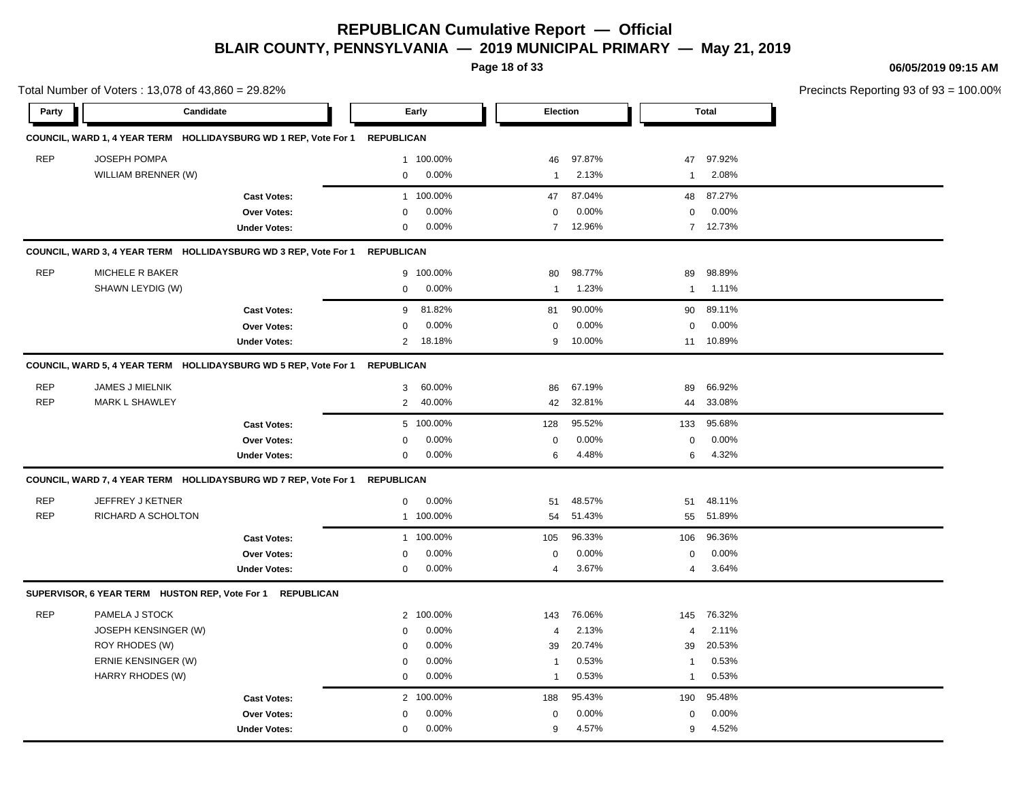**Page 18 of 33**

**06/05/2019 09:15 AM**

Total Number of Voters : 13,078 of 43,860 = 29.82% Precincts Reporting 93 of 93 = 100.00% **Party Candidate Early Election Total COUNCIL, WARD 1, 4 YEAR TERM HOLLIDAYSBURG WD 1 REP, Vote For 1 REPUBLICAN** REP JOSEPH POMPA 1 100.00% 46 97.87% 47 97.92% WILLIAM BRENNER (W) 0 0.00% 1 2.13% 1 2.08% **Cast Votes:** 1 100.00% 47 87.04% 48 87.27% **Over Votes:** 0 0.00% **Under Votes:** 0 0.00% 0 7 12.96% 7 7 12.96% 12.73% 0.00% 0 0.00% **COUNCIL, WARD 3, 4 YEAR TERM HOLLIDAYSBURG WD 3 REP, Vote For 1 REPUBLICAN** REP MICHELE R BAKER 9 100.00% 80 98.77% 89 98.89% SHAWN LEYDIG (W) 0 0.00% 1 1.23% 1 1.11% **Cast Votes:** 9 81.82% 81 90.00% 90 89.11% **Over Votes:** 0 0.00% **Under Votes:** 2 18.18% 0.00% 0 9 10.00% 9 11 10.00% 10.89% 0.00% 0 0.00% **COUNCIL, WARD 5, 4 YEAR TERM HOLLIDAYSBURG WD 5 REP, Vote For 1 REPUBLICAN** REP JAMES J MIELNIK 3 60.00% 86 67.19% 89 66.92% REP MARK L SHAWLEY 2 40.00% 42 32.81% 44 33.08% **Cast Votes:** 5 100.00% 128 95.52% 133 95.68% **Over Votes:** 0 0.00% **Under Votes:** 0 0.00% 0 6 4.48% 6 4.48% 6 4.32% 0.00% 0 0.00% 4.48% 4.32% **COUNCIL, WARD 7, 4 YEAR TERM HOLLIDAYSBURG WD 7 REP, Vote For 1 REPUBLICAN** REP JEFFREY J KETNER 0 0.00% 51 48.57% 51 48.11% REP RICHARD A SCHOLTON 1 100.00% 54 51.43% 55 51.89% **Cast Votes:** 1 100.00% 105 96.33% 106 96.36% **Over Votes:** 0 0.00% **Under Votes:** 0 0.00% 0 4 3.67% 4 3.67% 4 3.64% 0.00% 0 3.67% 3.64% 0.00% **SUPERVISOR, 6 YEAR TERM HUSTON REP, Vote For 1 REPUBLICAN** REP PAMELA J STOCK 2 100.00% 143 76.06% 145 76.32% JOSEPH KENSINGER (W) 0 0.00% 4 2.13% 4 2.11% ROY RHODES (W) 0 0.00% 39 20.74% 39 20.53% ERNIE KENSINGER (W) 1 0.53% 1 0.53% 1 0.53% 1 0.53% 1 0.53% 1 0.53% 1 0.53% 1 0.53% 1 0.53% 1 0.53% 1 0.53% 1 0.53% 1 0.53% 1 0.53% 1 0.53% 1 0.53% 1 0.53% 1 0.53% 1 0.53% 1 0.53% 1 0.53% 1 0.53% 1 0.53% 1 0.53% 1 0.53% 1 HARRY RHODES (W) 0 0.00% 1 0.53% 1 0.53% **Cast Votes:** 2 100.00% 188 95.43% 190 95.48% **Over Votes:** 0 0.00% **Under Votes:** 0 0.00% 0 9 4.57% 9 4.57% 9 4.52% 0.00% 0 0.00% 4.57% 4.52%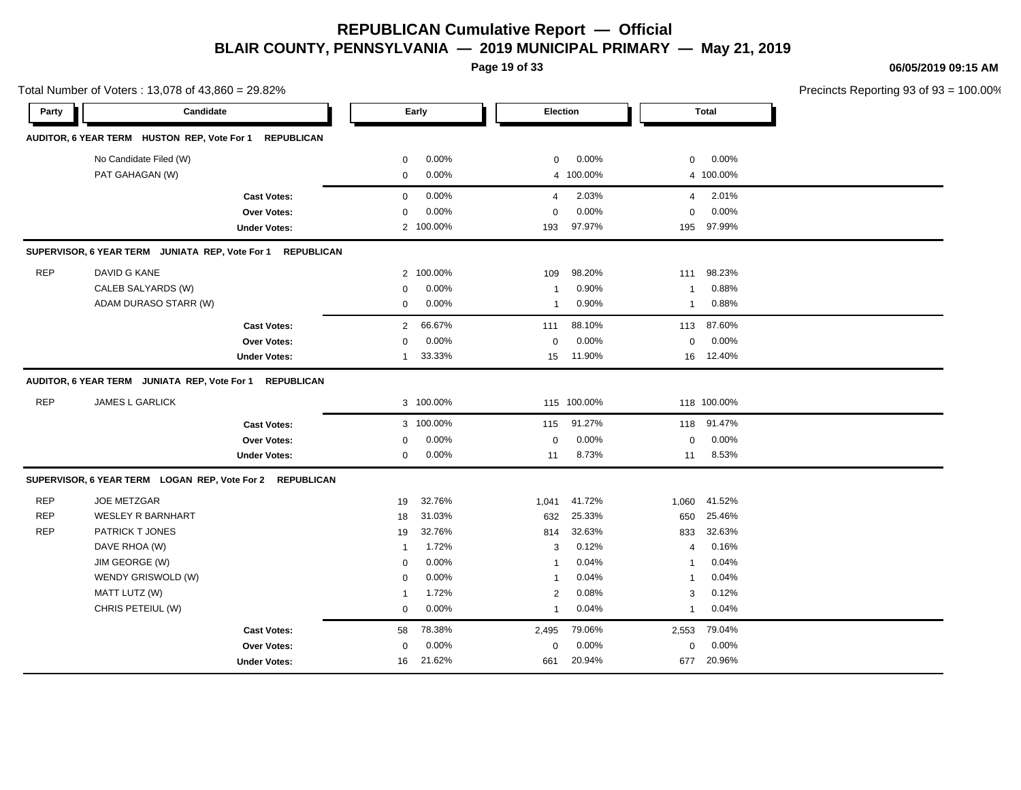**Page 19 of 33**

**06/05/2019 09:15 AM**

|            | Total Number of Voters: 13,078 of 43,860 = 29.82%          |                     |                |           |                |             |                |              | Precincts Reporting 93 of 93 = 100.00% |
|------------|------------------------------------------------------------|---------------------|----------------|-----------|----------------|-------------|----------------|--------------|----------------------------------------|
| Party      | Candidate                                                  |                     |                | Early     | Election       |             |                | <b>Total</b> |                                        |
|            | AUDITOR, 6 YEAR TERM HUSTON REP, Vote For 1 REPUBLICAN     |                     |                |           |                |             |                |              |                                        |
|            |                                                            |                     |                |           |                |             |                |              |                                        |
|            | No Candidate Filed (W)                                     |                     | 0              | 0.00%     | $\mathbf 0$    | 0.00%       | 0              | 0.00%        |                                        |
|            | PAT GAHAGAN (W)                                            |                     | 0              | 0.00%     |                | 4 100.00%   |                | 4 100.00%    |                                        |
|            |                                                            | <b>Cast Votes:</b>  | $\mathbf 0$    | 0.00%     | $\overline{4}$ | 2.03%       | $\overline{4}$ | 2.01%        |                                        |
|            |                                                            | Over Votes:         | 0              | 0.00%     | $\Omega$       | 0.00%       | $\mathbf 0$    | $0.00\%$     |                                        |
|            |                                                            | <b>Under Votes:</b> |                | 2 100.00% | 193            | 97.97%      | 195            | 97.99%       |                                        |
|            | SUPERVISOR, 6 YEAR TERM JUNIATA REP, Vote For 1 REPUBLICAN |                     |                |           |                |             |                |              |                                        |
| <b>REP</b> | DAVID G KANE                                               |                     |                | 2 100.00% | 109            | 98.20%      | 111            | 98.23%       |                                        |
|            | CALEB SALYARDS (W)                                         |                     | $\Omega$       | 0.00%     | -1             | 0.90%       | $\overline{1}$ | 0.88%        |                                        |
|            | ADAM DURASO STARR (W)                                      |                     | 0              | 0.00%     | -1             | 0.90%       | $\overline{1}$ | 0.88%        |                                        |
|            |                                                            | <b>Cast Votes:</b>  | $\overline{2}$ | 66.67%    | 111            | 88.10%      | 113            | 87.60%       |                                        |
|            |                                                            | Over Votes:         | 0              | 0.00%     | $\mathbf 0$    | 0.00%       | $\mathbf 0$    | 0.00%        |                                        |
|            |                                                            | <b>Under Votes:</b> | 1              | 33.33%    | 15             | 11.90%      | 16             | 12.40%       |                                        |
|            | AUDITOR, 6 YEAR TERM JUNIATA REP, Vote For 1 REPUBLICAN    |                     |                |           |                |             |                |              |                                        |
| <b>REP</b> | JAMES L GARLICK                                            |                     |                | 3 100.00% |                | 115 100.00% |                | 118 100.00%  |                                        |
|            |                                                            | <b>Cast Votes:</b>  |                | 3 100.00% | 115            | 91.27%      | 118            | 91.47%       |                                        |
|            |                                                            | <b>Over Votes:</b>  | 0              | 0.00%     | $\mathbf 0$    | 0.00%       | 0              | 0.00%        |                                        |
|            |                                                            | <b>Under Votes:</b> | 0              | 0.00%     | 11             | 8.73%       | 11             | 8.53%        |                                        |
|            | SUPERVISOR, 6 YEAR TERM LOGAN REP, Vote For 2 REPUBLICAN   |                     |                |           |                |             |                |              |                                        |
| <b>REP</b> | <b>JOE METZGAR</b>                                         |                     | 19             | 32.76%    | 1,041          | 41.72%      | 1,060          | 41.52%       |                                        |
| <b>REP</b> | <b>WESLEY R BARNHART</b>                                   |                     | 18             | 31.03%    | 632            | 25.33%      | 650            | 25.46%       |                                        |
| <b>REP</b> | PATRICK T JONES                                            |                     | 19             | 32.76%    | 814            | 32.63%      | 833            | 32.63%       |                                        |
|            | DAVE RHOA (W)                                              |                     | $\overline{1}$ | 1.72%     | 3              | 0.12%       | $\overline{4}$ | 0.16%        |                                        |
|            | JIM GEORGE (W)                                             |                     | $\Omega$       | 0.00%     |                | 0.04%       | $\overline{1}$ | 0.04%        |                                        |
|            | WENDY GRISWOLD (W)                                         |                     | $\Omega$       | 0.00%     |                | 0.04%       | $\overline{1}$ | 0.04%        |                                        |
|            | MATT LUTZ (W)                                              |                     | 1              | 1.72%     | 2              | 0.08%       | 3              | 0.12%        |                                        |
|            | CHRIS PETEIUL (W)                                          |                     | $\mathbf 0$    | 0.00%     | 1              | 0.04%       | $\mathbf{1}$   | 0.04%        |                                        |
|            |                                                            | <b>Cast Votes:</b>  | 58             | 78.38%    | 2,495          | 79.06%      | 2,553          | 79.04%       |                                        |
|            |                                                            | <b>Over Votes:</b>  | 0              | 0.00%     | $\mathbf 0$    | 0.00%       | 0              | $0.00\%$     |                                        |

661 20.94%

661 677 20.94% 20.96%

Under Votes: 16 21.62%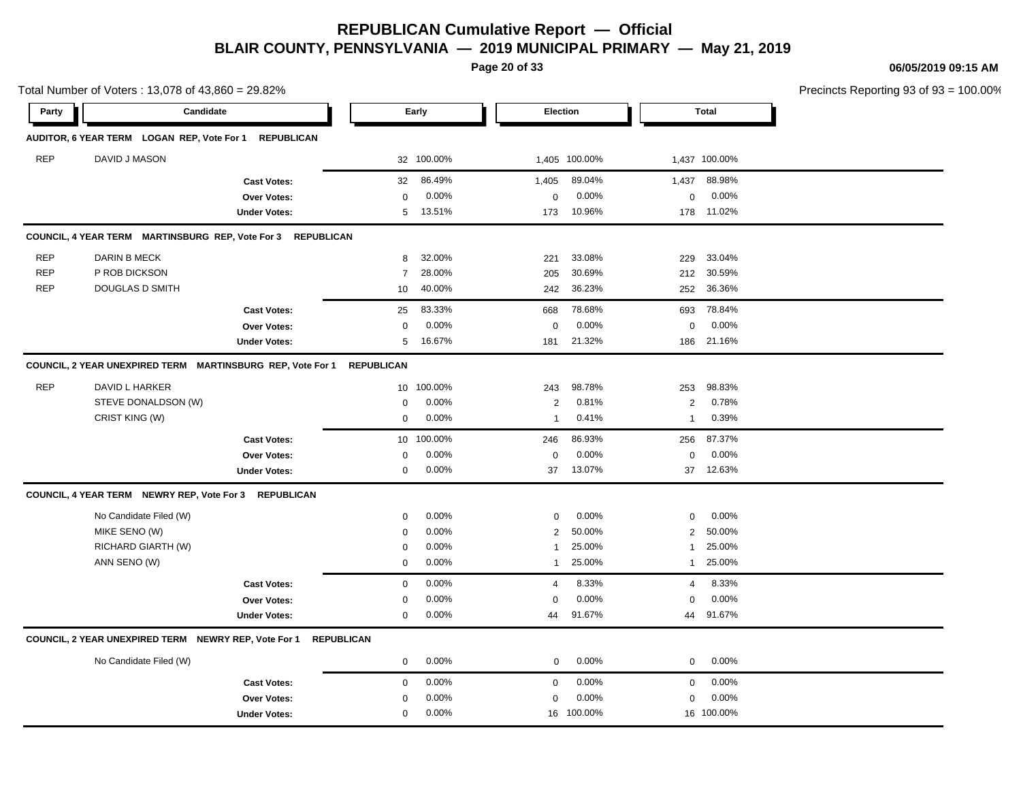**Page 20 of 33**

0.00% 16 100.00% 16 100.00% 16 100.00%

100.00% 100.00%

**06/05/2019 09:15 AM**

Precincts Reporting 93 of 93 = 100.00%

**Party Candidate Early Election Total AUDITOR, 6 YEAR TERM LOGAN REP, Vote For 1 REPUBLICAN** REP DAVID J MASON 32 100.00% 1,405 100.00% 1,437 100.00% **Cast Votes:** 32 86.49% 1,405 89.04% 1,437 88.98% **Over Votes:** 0 0.00% **Under Votes:** 5 13.51% 0.00% 0 173 10.96% 173 178 10.96% 11.02% 0.00% 0 0.00% **COUNCIL, 4 YEAR TERM MARTINSBURG REP, Vote For 3 REPUBLICAN** REP DARIN B MECK 8 32.00% 221 33.08% 229 33.04% REP P ROB DICKSON 7 28.00% 205 30.69% 212 30.59% REP DOUGLAS D SMITH 10 40.00% 242 36.23% 252 36.36% **Cast Votes:** 25 83.33% 668 78.68% 693 78.84% **Over Votes:** 0 0.00% Under Votes: 5 16.67% 0.00% 0 181 21.32% 181 186 21.32% 21.16% 0.00% 0 0.00% **COUNCIL, 2 YEAR UNEXPIRED TERM MARTINSBURG REP, Vote For 1 REPUBLICAN** REP DAVID L HARKER 10 100.00% 243 98.78% 253 98.83% STEVE DONALDSON (W)  $0.00\%$   $0.00\%$   $2.0.81\%$   $2.0.78\%$ CRIST KING (W) 0 0.00% 1 0.41% 1 0.39% **Cast Votes:** 10 100.00% 246 86.93% 256 87.37% **Over Votes:** 0 **Under Votes:** 0 0.00% 0 37 13.07% 37 37 13.07% 12.63% 0.00% 0 0.00% **COUNCIL, 4 YEAR TERM NEWRY REP, Vote For 3 REPUBLICAN** No Candidate Filed (W)  $0.00\%$  0.00% 0 0.00% 0 0.00% 0 0.00% MIKE SENO (W) 0 0.00% 2 50.00% 2 50.00% RICHARD GIARTH (W) 0 0.00% 1 25.00% 1 25.00% ANN SENO (W) 0 0.00% 1 25.00% 1 25.00% **Cast Votes:** 0 0.00% 4 8.33% 4 8.33% **Over Votes:** 0 0.00% **Under Votes:** 0 0.00% 0 44 91.67% 44 44 91.67% 91.67% 0.00% 0 0.00% **COUNCIL, 2 YEAR UNEXPIRED TERM NEWRY REP, Vote For 1 REPUBLICAN** No Candidate Filed (W) 0 0.00% 0 0.00% 0 0.00% **Cast Votes:** 0 0.00% 0 0.00% 0 0.00% **Over Votes:** 0 0.00% 0.00% 0 0.00% 0 0.00%

**Under Votes:** 0

Total Number of Voters : 13,078 of 43,860 = 29.82%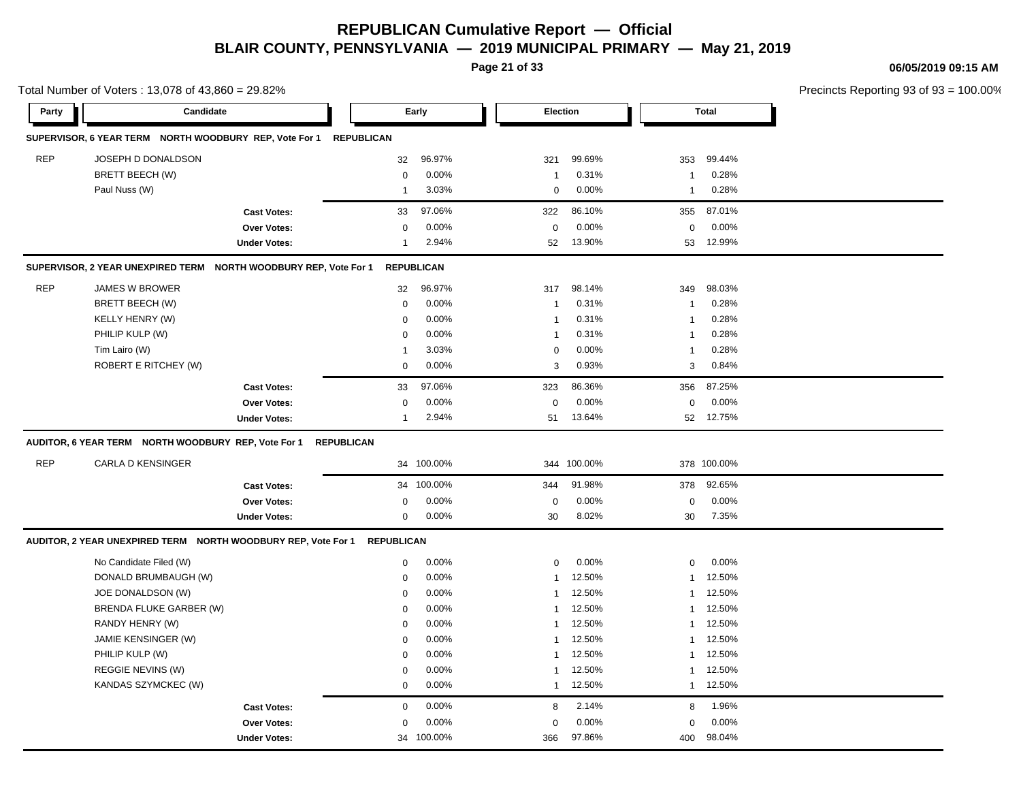**Page 21 of 33**

**06/05/2019 09:15 AM**

|            | Total Number of Voters: 13,078 of 43,860 = 29.82%                        |                     |                   |                   |                |             |              |              | Precincts Reporting 93 of 93 = 100.00% |
|------------|--------------------------------------------------------------------------|---------------------|-------------------|-------------------|----------------|-------------|--------------|--------------|----------------------------------------|
| Party      | Candidate                                                                |                     |                   | Early             | Election       |             |              | <b>Total</b> |                                        |
|            | SUPERVISOR, 6 YEAR TERM NORTH WOODBURY REP, Vote For 1 REPUBLICAN        |                     |                   |                   |                |             |              |              |                                        |
| <b>REP</b> | JOSEPH D DONALDSON                                                       |                     | 32                | 96.97%            | 321            | 99.69%      | 353          | 99.44%       |                                        |
|            | BRETT BEECH (W)                                                          |                     | $\mathbf 0$       | 0.00%             | -1             | 0.31%       | $\mathbf{1}$ | 0.28%        |                                        |
|            | Paul Nuss (W)                                                            |                     | $\overline{1}$    | 3.03%             | $\mathbf 0$    | 0.00%       | $\mathbf{1}$ | 0.28%        |                                        |
|            |                                                                          | <b>Cast Votes:</b>  | 33                | 97.06%            | 322            | 86.10%      | 355          | 87.01%       |                                        |
|            |                                                                          | Over Votes:         | 0                 | 0.00%             | $\mathbf 0$    | 0.00%       | $\mathbf 0$  | 0.00%        |                                        |
|            |                                                                          | <b>Under Votes:</b> | $\overline{1}$    | 2.94%             | 52             | 13.90%      | 53           | 12.99%       |                                        |
|            | SUPERVISOR, 2 YEAR UNEXPIRED TERM NORTH WOODBURY REP, Vote For 1         |                     |                   | <b>REPUBLICAN</b> |                |             |              |              |                                        |
| <b>REP</b> | JAMES W BROWER                                                           |                     | 32                | 96.97%            | 317            | 98.14%      | 349          | 98.03%       |                                        |
|            | BRETT BEECH (W)                                                          |                     | $\mathbf 0$       | 0.00%             | $\overline{1}$ | 0.31%       | $\mathbf{1}$ | 0.28%        |                                        |
|            | KELLY HENRY (W)                                                          |                     | $\mathbf 0$       | 0.00%             | $\mathbf{1}$   | 0.31%       | $\mathbf{1}$ | 0.28%        |                                        |
|            | PHILIP KULP (W)                                                          |                     | $\Omega$          | 0.00%             | $\overline{1}$ | 0.31%       | 1            | 0.28%        |                                        |
|            | Tim Lairo (W)                                                            |                     | -1                | 3.03%             | $\mathbf 0$    | 0.00%       | $\mathbf{1}$ | 0.28%        |                                        |
|            | ROBERT E RITCHEY (W)                                                     |                     | 0                 | 0.00%             | 3              | 0.93%       | 3            | 0.84%        |                                        |
|            |                                                                          | <b>Cast Votes:</b>  | 33                | 97.06%            | 323            | 86.36%      | 356          | 87.25%       |                                        |
|            |                                                                          | Over Votes:         | $\mathbf 0$       | 0.00%             | $\mathbf 0$    | 0.00%       | $\mathbf 0$  | 0.00%        |                                        |
|            |                                                                          | <b>Under Votes:</b> | $\mathbf{1}$      | 2.94%             |                | 51 13.64%   |              | 52 12.75%    |                                        |
|            | AUDITOR, 6 YEAR TERM NORTH WOODBURY REP, Vote For 1                      |                     | <b>REPUBLICAN</b> |                   |                |             |              |              |                                        |
| <b>REP</b> | <b>CARLA D KENSINGER</b>                                                 |                     |                   | 34 100.00%        |                | 344 100.00% |              | 378 100.00%  |                                        |
|            |                                                                          | <b>Cast Votes:</b>  |                   | 34 100.00%        | 344            | 91.98%      | 378          | 92.65%       |                                        |
|            |                                                                          | Over Votes:         | $\mathbf 0$       | 0.00%             | $\mathbf 0$    | 0.00%       | $\mathbf 0$  | 0.00%        |                                        |
|            |                                                                          | <b>Under Votes:</b> | 0                 | 0.00%             | 30             | 8.02%       | 30           | 7.35%        |                                        |
|            | AUDITOR, 2 YEAR UNEXPIRED TERM NORTH WOODBURY REP, Vote For 1 REPUBLICAN |                     |                   |                   |                |             |              |              |                                        |
|            | No Candidate Filed (W)                                                   |                     | $\mathbf 0$       | 0.00%             | $\mathbf 0$    | 0.00%       | $\mathbf 0$  | 0.00%        |                                        |
|            | DONALD BRUMBAUGH (W)                                                     |                     | 0                 | 0.00%             | $\mathbf{1}$   | 12.50%      | $\mathbf{1}$ | 12.50%       |                                        |
|            | JOE DONALDSON (W)                                                        |                     | $\mathbf 0$       | 0.00%             | -1             | 12.50%      | $\mathbf{1}$ | 12.50%       |                                        |
|            | BRENDA FLUKE GARBER (W)                                                  |                     | $\mathbf 0$       | 0.00%             | 1              | 12.50%      |              | 1 12.50%     |                                        |
|            | RANDY HENRY (W)                                                          |                     | 0                 | 0.00%             | 1              | 12.50%      | 1            | 12.50%       |                                        |
|            | JAMIE KENSINGER (W)                                                      |                     | 0                 | 0.00%             | 1              | 12.50%      | $\mathbf{1}$ | 12.50%       |                                        |
|            | PHILIP KULP (W)                                                          |                     | $\Omega$          | 0.00%             | -1             | 12.50%      | $\mathbf{1}$ | 12.50%       |                                        |
|            | REGGIE NEVINS (W)                                                        |                     | 0                 | 0.00%             | -1             | 12.50%      |              | 1 12.50%     |                                        |
|            | KANDAS SZYMCKEC (W)                                                      |                     | $\mathbf 0$       | 0.00%             | $\mathbf{1}$   | 12.50%      |              | 1 12.50%     |                                        |
|            |                                                                          | <b>Cast Votes:</b>  | $\mathbf 0$       | 0.00%             | 8              | 2.14%       | 8            | 1.96%        |                                        |
|            |                                                                          | <b>Over Votes:</b>  | 0                 | 0.00%             | 0              | 0.00%       | $\mathbf 0$  | 0.00%        |                                        |
|            |                                                                          | <b>Under Votes:</b> |                   | 34 100.00%        | 366            | 97.86%      | 400          | 98.04%       |                                        |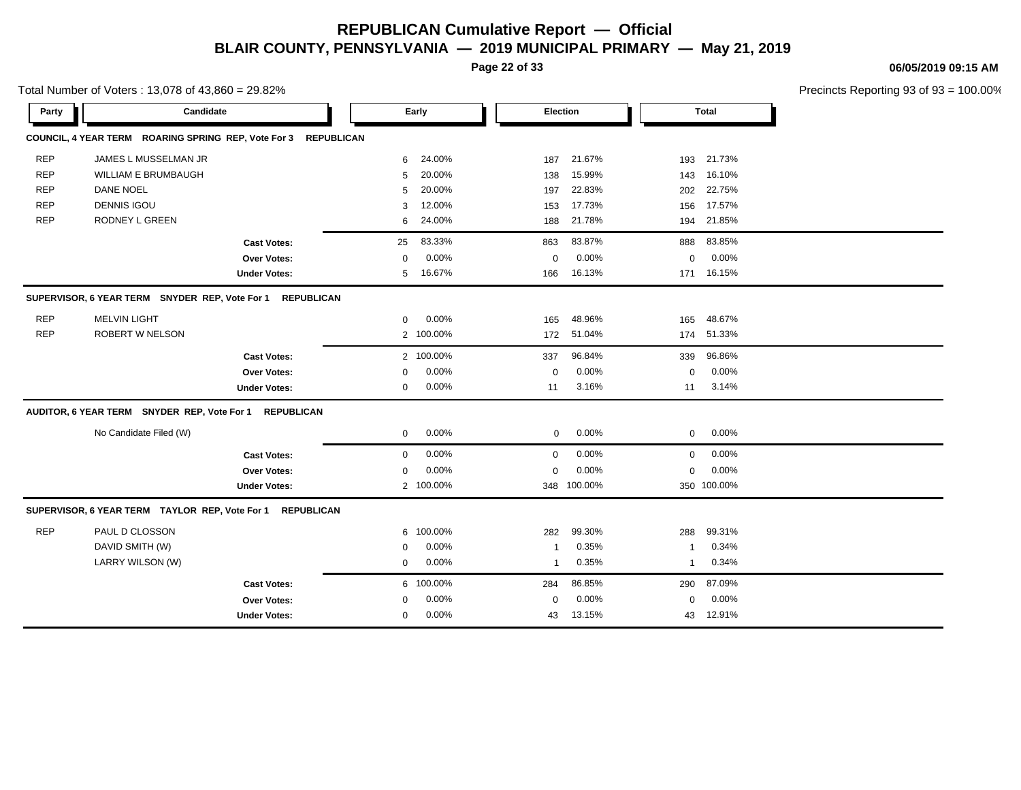**Page 22 of 33**

**06/05/2019 09:15 AM**

|            | Total Number of Voters: 13,078 of 43,860 = 29.82%         |                                                                |             |           |              |             |             |              | Precincts Reporting 93 of 93 |
|------------|-----------------------------------------------------------|----------------------------------------------------------------|-------------|-----------|--------------|-------------|-------------|--------------|------------------------------|
| Party      | Candidate                                                 |                                                                |             | Early     |              | Election    |             | <b>Total</b> |                              |
|            |                                                           | COUNCIL, 4 YEAR TERM ROARING SPRING REP, Vote For 3 REPUBLICAN |             |           |              |             |             |              |                              |
| <b>REP</b> | JAMES L MUSSELMAN JR                                      |                                                                | 6           | 24.00%    | 187          | 21.67%      | 193         | 21.73%       |                              |
| <b>REP</b> | WILLIAM E BRUMBAUGH                                       |                                                                | 5           | 20.00%    | 138          | 15.99%      | 143         | 16.10%       |                              |
| <b>REP</b> | <b>DANE NOEL</b>                                          |                                                                | 5           | 20.00%    | 197          | 22.83%      | 202         | 22.75%       |                              |
| <b>REP</b> | <b>DENNIS IGOU</b>                                        |                                                                | 3           | 12.00%    | 153          | 17.73%      | 156         | 17.57%       |                              |
| <b>REP</b> | RODNEY L GREEN                                            |                                                                | 6           | 24.00%    | 188          | 21.78%      | 194         | 21.85%       |                              |
|            |                                                           | <b>Cast Votes:</b>                                             | 25          | 83.33%    | 863          | 83.87%      | 888         | 83.85%       |                              |
|            |                                                           | Over Votes:                                                    | $\mathbf 0$ | 0.00%     | 0            | 0.00%       | $\mathbf 0$ | 0.00%        |                              |
|            |                                                           | <b>Under Votes:</b>                                            | 5           | 16.67%    | 166          | 16.13%      | 171         | 16.15%       |                              |
|            | SUPERVISOR, 6 YEAR TERM SNYDER REP, Vote For 1 REPUBLICAN |                                                                |             |           |              |             |             |              |                              |
| <b>REP</b> | <b>MELVIN LIGHT</b>                                       |                                                                | 0           | 0.00%     | 165          | 48.96%      | 165         | 48.67%       |                              |
| <b>REP</b> | ROBERT W NELSON                                           |                                                                |             | 2 100.00% | 172          | 51.04%      | 174         | 51.33%       |                              |
|            |                                                           | <b>Cast Votes:</b>                                             |             | 2 100.00% | 337          | 96.84%      | 339         | 96.86%       |                              |
|            |                                                           | Over Votes:                                                    | 0           | 0.00%     | $\mathbf 0$  | 0.00%       | $\mathbf 0$ | 0.00%        |                              |
|            |                                                           | <b>Under Votes:</b>                                            | 0           | 0.00%     | 11           | 3.16%       | 11          | 3.14%        |                              |
|            | AUDITOR, 6 YEAR TERM SNYDER REP, Vote For 1               | <b>REPUBLICAN</b>                                              |             |           |              |             |             |              |                              |
|            | No Candidate Filed (W)                                    |                                                                | $\mathbf 0$ | 0.00%     | 0            | 0.00%       | $\mathbf 0$ | 0.00%        |                              |
|            |                                                           | <b>Cast Votes:</b>                                             | $\mathbf 0$ | 0.00%     | $\mathbf 0$  | 0.00%       | $\mathbf 0$ | 0.00%        |                              |
|            |                                                           | Over Votes:                                                    | $\mathbf 0$ | 0.00%     | $\mathbf 0$  | 0.00%       | $\mathbf 0$ | 0.00%        |                              |
|            |                                                           | <b>Under Votes:</b>                                            |             | 2 100.00% |              | 348 100.00% |             | 350 100.00%  |                              |
|            | SUPERVISOR, 6 YEAR TERM TAYLOR REP, Vote For 1 REPUBLICAN |                                                                |             |           |              |             |             |              |                              |
| <b>REP</b> | PAUL D CLOSSON                                            |                                                                | 6           | 100.00%   | 282          | 99.30%      | 288         | 99.31%       |                              |
|            | DAVID SMITH (W)                                           |                                                                | $\Omega$    | 0.00%     | -1           | 0.35%       | -1          | 0.34%        |                              |
|            | LARRY WILSON (W)                                          |                                                                | 0           | 0.00%     | $\mathbf{1}$ | 0.35%       | -1          | 0.34%        |                              |
|            |                                                           | <b>Cast Votes:</b>                                             | 6           | 100.00%   | 284          | 86.85%      | 290         | 87.09%       |                              |
|            |                                                           | <b>Over Votes:</b>                                             | $\Omega$    | 0.00%     | 0            | 0.00%       | 0           | 0.00%        |                              |
|            |                                                           | <b>Under Votes:</b>                                            | $\mathbf 0$ | 0.00%     | 43           | 13.15%      | 43          | 12.91%       |                              |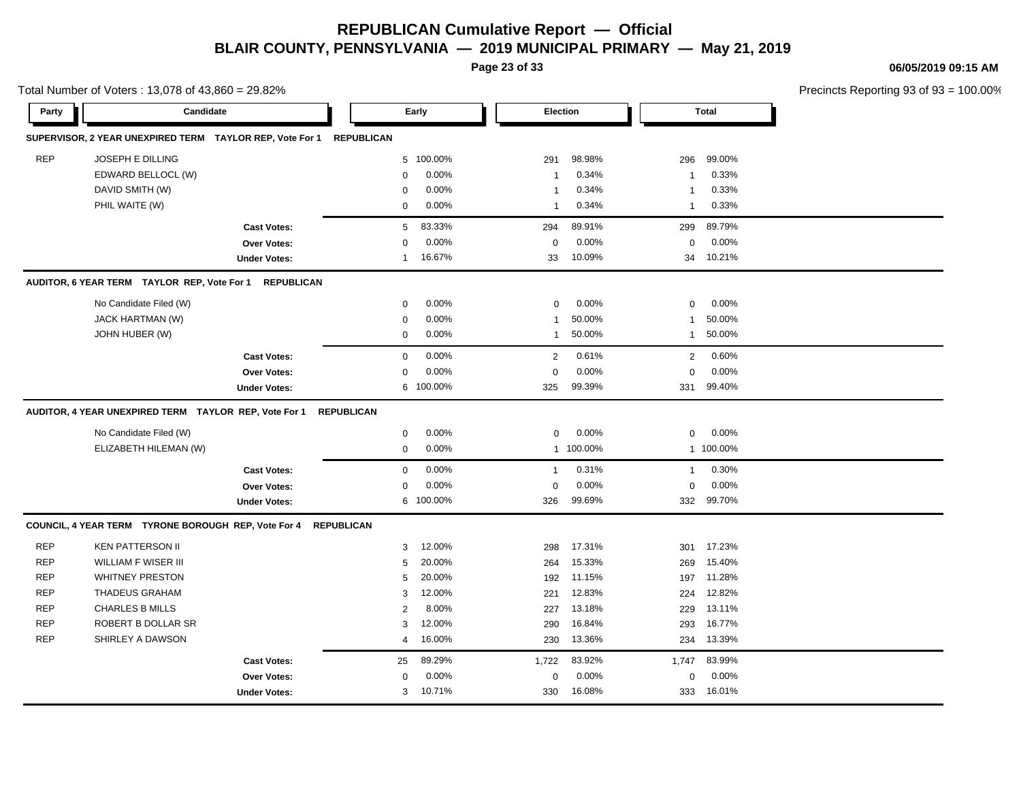**06/05/2019 09:15 AM**

|        |     |        | Precincts Reporting 93 of 93 = 100.00% |
|--------|-----|--------|----------------------------------------|
| 'n     |     | Total  |                                        |
|        |     |        |                                        |
| 98.98% | 296 | 99.00% |                                        |
| 0.34%  |     | 0.33%  |                                        |
| 0.34%  |     | 0.33%  |                                        |
| 0.34%  |     | 0.33%  |                                        |

|            |                                                                |                     |                   |           | Page 23 of 33   |           |                |              |                           |
|------------|----------------------------------------------------------------|---------------------|-------------------|-----------|-----------------|-----------|----------------|--------------|---------------------------|
| Party      | Total Number of Voters: 13,078 of 43,860 = 29.82%<br>Candidate |                     |                   | Early     | <b>Election</b> |           |                | <b>Total</b> | <b>Precincts Reportin</b> |
|            | SUPERVISOR, 2 YEAR UNEXPIRED TERM TAYLOR REP, Vote For 1       |                     | <b>REPUBLICAN</b> |           |                 |           |                |              |                           |
| <b>REP</b> | <b>JOSEPH E DILLING</b>                                        |                     |                   | 5 100.00% | 291             | 98.98%    | 296            | 99.00%       |                           |
|            | EDWARD BELLOCL (W)                                             |                     | $\mathbf 0$       | $0.00\%$  | $\mathbf{1}$    | 0.34%     | $\mathbf{1}$   | 0.33%        |                           |
|            | DAVID SMITH (W)                                                |                     | $\mathbf 0$       | 0.00%     | $\mathbf{1}$    | 0.34%     | $\mathbf{1}$   | 0.33%        |                           |
|            | PHIL WAITE (W)                                                 |                     | $\mathbf 0$       | 0.00%     | 1               | 0.34%     | $\mathbf{1}$   | 0.33%        |                           |
|            |                                                                | <b>Cast Votes:</b>  | $5\phantom{.0}$   | 83.33%    | 294             | 89.91%    | 299            | 89.79%       |                           |
|            |                                                                | <b>Over Votes:</b>  | $\mathbf 0$       | 0.00%     | $\mathsf 0$     | 0.00%     | $\mathbf 0$    | 0.00%        |                           |
|            |                                                                | <b>Under Votes:</b> | $\mathbf{1}$      | 16.67%    | 33              | 10.09%    | 34             | 10.21%       |                           |
|            | AUDITOR, 6 YEAR TERM TAYLOR REP, Vote For 1                    | <b>REPUBLICAN</b>   |                   |           |                 |           |                |              |                           |
|            | No Candidate Filed (W)                                         |                     | 0                 | 0.00%     | 0               | 0.00%     | $\mathbf 0$    | 0.00%        |                           |
|            | JACK HARTMAN (W)                                               |                     | $\mathbf 0$       | 0.00%     | 1               | 50.00%    | $\mathbf{1}$   | 50.00%       |                           |
|            | JOHN HUBER (W)                                                 |                     | $\mathbf 0$       | 0.00%     | $\mathbf{1}$    | 50.00%    | $\mathbf{1}$   | 50.00%       |                           |
|            |                                                                | <b>Cast Votes:</b>  | $\mathbf 0$       | 0.00%     | $\overline{2}$  | 0.61%     | $\overline{2}$ | 0.60%        |                           |
|            |                                                                | Over Votes:         | $\mathbf 0$       | 0.00%     | 0               | 0.00%     | $\mathbf 0$    | 0.00%        |                           |
|            |                                                                | <b>Under Votes:</b> |                   | 6 100.00% | 325             | 99.39%    | 331            | 99.40%       |                           |
|            |                                                                |                     |                   |           |                 |           |                |              |                           |
|            | AUDITOR, 4 YEAR UNEXPIRED TERM TAYLOR REP, Vote For 1          |                     | <b>REPUBLICAN</b> |           |                 |           |                |              |                           |
|            | No Candidate Filed (W)                                         |                     | $\mathbf 0$       | 0.00%     | $\mathbf 0$     | 0.00%     | $\mathbf 0$    | 0.00%        |                           |
|            | ELIZABETH HILEMAN (W)                                          |                     | $\mathbf 0$       | 0.00%     |                 | 1 100.00% |                | 1 100.00%    |                           |
|            |                                                                | <b>Cast Votes:</b>  | $\mathbf 0$       | 0.00%     | $\mathbf{1}$    | 0.31%     | $\mathbf{1}$   | 0.30%        |                           |
|            |                                                                | <b>Over Votes:</b>  | $\mathbf 0$       | 0.00%     | 0               | 0.00%     | $\mathbf 0$    | 0.00%        |                           |
|            |                                                                | <b>Under Votes:</b> |                   | 6 100.00% | 326             | 99.69%    | 332            | 99.70%       |                           |
|            | COUNCIL, 4 YEAR TERM TYRONE BOROUGH REP, Vote For 4            | <b>REPUBLICAN</b>   |                   |           |                 |           |                |              |                           |
| <b>REP</b> | <b>KEN PATTERSON II</b>                                        |                     | 3                 | 12.00%    | 298             | 17.31%    | 301            | 17.23%       |                           |
| <b>REP</b> | <b>WILLIAM F WISER III</b>                                     |                     | 5                 | 20.00%    | 264             | 15.33%    | 269            | 15.40%       |                           |
| <b>REP</b> | <b>WHITNEY PRESTON</b>                                         |                     | 5                 | 20.00%    | 192             | 11.15%    | 197            | 11.28%       |                           |
| <b>REP</b> | <b>THADEUS GRAHAM</b>                                          |                     | 3                 | 12.00%    | 221             | 12.83%    | 224            | 12.82%       |                           |
| <b>REP</b> | <b>CHARLES B MILLS</b>                                         |                     | $\sqrt{2}$        | 8.00%     | 227             | 13.18%    | 229            | 13.11%       |                           |
| <b>REP</b> | ROBERT B DOLLAR SR                                             |                     | 3                 | 12.00%    | 290             | 16.84%    | 293            | 16.77%       |                           |
| <b>REP</b> | SHIRLEY A DAWSON                                               |                     | $\overline{4}$    | 16.00%    | 230             | 13.36%    | 234            | 13.39%       |                           |
|            |                                                                | <b>Cast Votes:</b>  | 25                | 89.29%    | 1,722           | 83.92%    | 1,747          | 83.99%       |                           |
|            |                                                                | <b>Over Votes:</b>  | 0                 | 0.00%     | 0               | 0.00%     | 0              | 0.00%        |                           |
|            |                                                                | <b>Under Votes:</b> | 3                 | 10.71%    | 330             | 16.08%    | 333            | 16.01%       |                           |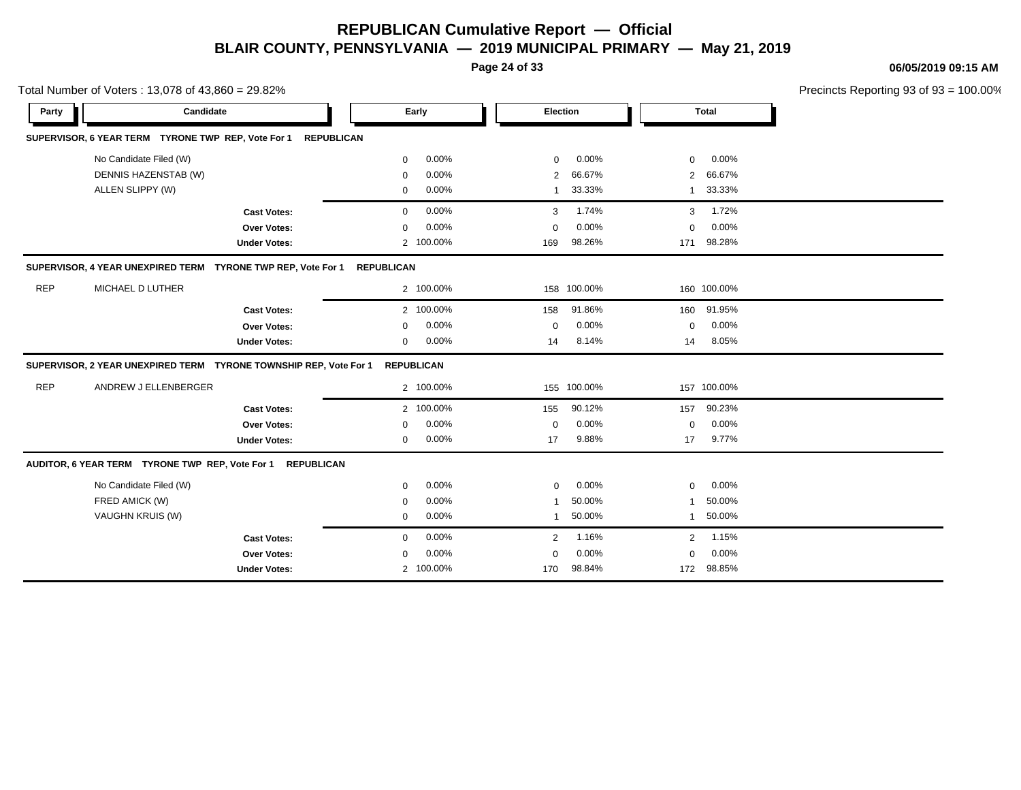**Page 24 of 33**

**06/05/2019 09:15 AM**

|            | Total Number of Voters: 13,078 of 43,860 = 29.82%                  |                     |                      |                          |                          | Precincts Reporting 93 of 93 = 100.00% |
|------------|--------------------------------------------------------------------|---------------------|----------------------|--------------------------|--------------------------|----------------------------------------|
| Party      | Candidate                                                          |                     | Early                | Election                 | <b>Total</b>             |                                        |
|            | SUPERVISOR, 6 YEAR TERM TYRONE TWP REP, Vote For 1                 | <b>REPUBLICAN</b>   |                      |                          |                          |                                        |
|            | No Candidate Filed (W)                                             |                     | 0.00%<br>$\mathbf 0$ | $0.00\%$<br>$\mathbf 0$  | 0.00%<br>0               |                                        |
|            | DENNIS HAZENSTAB (W)                                               |                     | 0.00%<br>$\mathbf 0$ | 66.67%<br>2              | 66.67%<br>$\overline{2}$ |                                        |
|            | ALLEN SLIPPY (W)                                                   |                     | 0.00%<br>$\mathbf 0$ | 33.33%<br>$\overline{1}$ | 33.33%<br>1              |                                        |
|            |                                                                    | <b>Cast Votes:</b>  | 0.00%<br>$\mathbf 0$ | 1.74%<br>3               | 1.72%<br>3               |                                        |
|            |                                                                    | Over Votes:         | 0.00%<br>$\mathbf 0$ | 0.00%<br>$\Omega$        | 0.00%<br>0               |                                        |
|            |                                                                    | <b>Under Votes:</b> | 2 100.00%            | 98.26%<br>169            | 98.28%<br>171            |                                        |
|            | SUPERVISOR, 4 YEAR UNEXPIRED TERM TYRONE TWP REP, Vote For 1       |                     | <b>REPUBLICAN</b>    |                          |                          |                                        |
| <b>REP</b> | MICHAEL D LUTHER                                                   |                     | 2 100.00%            | 158 100.00%              | 160 100.00%              |                                        |
|            |                                                                    | <b>Cast Votes:</b>  | 2 100.00%            | 91.86%<br>158            | 160 91.95%               |                                        |
|            |                                                                    | Over Votes:         | 0.00%<br>0           | 0.00%<br>$\Omega$        | $0.00\%$<br>0            |                                        |
|            |                                                                    | <b>Under Votes:</b> | 0.00%<br>$\mathbf 0$ | 8.14%<br>14              | 8.05%<br>14              |                                        |
|            | SUPERVISOR, 2 YEAR UNEXPIRED TERM  TYRONE TOWNSHIP REP, Vote For 1 |                     | <b>REPUBLICAN</b>    |                          |                          |                                        |
| <b>REP</b> | ANDREW J ELLENBERGER                                               |                     | 2 100.00%            | 155 100.00%              | 157 100.00%              |                                        |
|            |                                                                    | <b>Cast Votes:</b>  | 2 100.00%            | 90.12%<br>155            | 90.23%<br>157            |                                        |
|            |                                                                    | Over Votes:         | 0.00%<br>$\Omega$    | 0.00%<br>$\Omega$        | 0.00%<br>$\Omega$        |                                        |
|            |                                                                    | <b>Under Votes:</b> | 0.00%<br>0           | 9.88%<br>17              | 9.77%<br>17              |                                        |
|            | AUDITOR, 6 YEAR TERM TYRONE TWP REP, Vote For 1 REPUBLICAN         |                     |                      |                          |                          |                                        |
|            | No Candidate Filed (W)                                             |                     | 0.00%<br>$\mathbf 0$ | 0.00%<br>$\mathbf 0$     | 0.00%<br>0               |                                        |
|            | FRED AMICK (W)                                                     |                     | 0.00%<br>$\mathbf 0$ | 50.00%                   | 50.00%                   |                                        |
|            | VAUGHN KRUIS (W)                                                   |                     | 0.00%<br>0           | 50.00%<br>$\overline{1}$ | 50.00%<br>1              |                                        |
|            |                                                                    | <b>Cast Votes:</b>  | 0.00%<br>0           | 1.16%<br>$\overline{2}$  | 1.15%<br>$\overline{2}$  |                                        |
|            |                                                                    | Over Votes:         | 0.00%<br>0           | 0.00%<br>$\Omega$        | 0.00%<br>0               |                                        |
|            |                                                                    | <b>Under Votes:</b> | 2 100.00%            | 98.84%<br>170            | 172 98.85%               |                                        |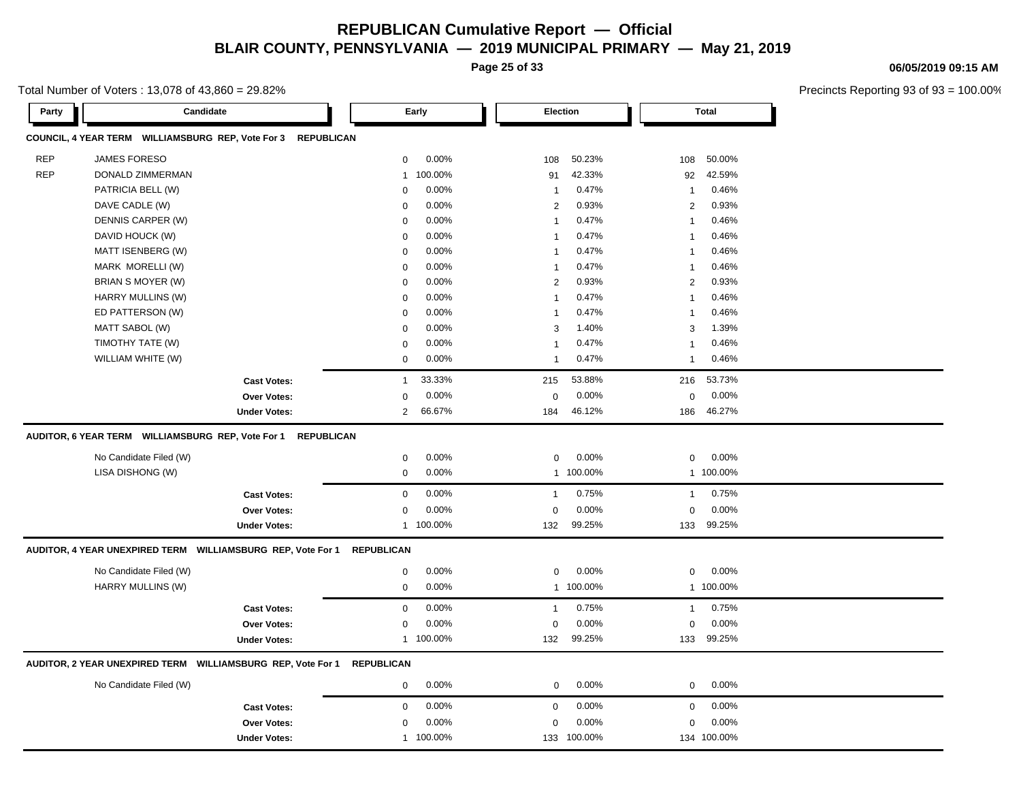**Page 25 of 33**

**06/05/2019 09:15 AM**

| Party      | Candidate                                                                                                        |                     |                            | Early              |                             | Election         |              | Total              |  |
|------------|------------------------------------------------------------------------------------------------------------------|---------------------|----------------------------|--------------------|-----------------------------|------------------|--------------|--------------------|--|
|            | COUNCIL, 4 YEAR TERM WILLIAMSBURG REP, Vote For 3                                                                | <b>REPUBLICAN</b>   |                            |                    |                             |                  |              |                    |  |
| <b>REP</b> | JAMES FORESO                                                                                                     |                     | 0                          | 0.00%              | 108                         | 50.23%           | 108          | 50.00%             |  |
| <b>REP</b> | DONALD ZIMMERMAN                                                                                                 |                     | $\overline{1}$             | 100.00%            | 91                          | 42.33%           | 92           | 42.59%             |  |
|            | PATRICIA BELL (W)                                                                                                |                     | $\mathbf 0$                | 0.00%              | -1                          | 0.47%            | -1           | 0.46%              |  |
|            | DAVE CADLE (W)                                                                                                   |                     | $\mathbf 0$                | 0.00%              | 2                           | 0.93%            | 2            | 0.93%              |  |
|            | DENNIS CARPER (W)                                                                                                |                     | $\mathbf 0$                | 0.00%              | $\mathbf{1}$                | 0.47%            | $\mathbf{1}$ | 0.46%              |  |
|            | DAVID HOUCK (W)                                                                                                  |                     | 0                          | 0.00%              | $\mathbf{1}$                | 0.47%            | -1           | 0.46%              |  |
|            | MATT ISENBERG (W)                                                                                                |                     | 0                          | 0.00%              | -1                          | 0.47%            | -1           | 0.46%              |  |
|            | MARK MORELLI (W)                                                                                                 |                     | $\mathbf 0$                | 0.00%              | $\mathbf{1}$                | 0.47%            | -1           | 0.46%              |  |
|            | BRIAN S MOYER (W)                                                                                                |                     | $\mathbf 0$                | 0.00%              | 2                           | 0.93%            | 2            | 0.93%              |  |
|            | HARRY MULLINS (W)                                                                                                |                     | $\mathbf 0$                | 0.00%              | $\mathbf{1}$                | 0.47%            | -1           | 0.46%              |  |
|            | ED PATTERSON (W)                                                                                                 |                     | $\mathbf 0$                | 0.00%              | $\overline{1}$              | 0.47%            | 1            | 0.46%              |  |
|            | MATT SABOL (W)                                                                                                   |                     | 0                          | 0.00%              | 3                           | 1.40%            | 3            | 1.39%              |  |
|            | TIMOTHY TATE (W)                                                                                                 |                     | 0                          | 0.00%              | -1                          | 0.47%            | $\mathbf{1}$ | 0.46%              |  |
|            | WILLIAM WHITE (W)                                                                                                |                     | $\mathbf 0$                | 0.00%              | -1                          | 0.47%            | -1           | 0.46%              |  |
|            |                                                                                                                  | <b>Cast Votes:</b>  | $\mathbf{1}$               | 33.33%             | 215                         | 53.88%           | 216          | 53.73%             |  |
|            |                                                                                                                  |                     |                            | 0.00%              | $\pmb{0}$                   | 0.00%            | $\Omega$     | 0.00%              |  |
|            |                                                                                                                  | Over Votes:         | $\mathbf 0$                |                    |                             |                  |              |                    |  |
|            |                                                                                                                  | <b>Under Votes:</b> | $\overline{2}$             | 66.67%             | 184                         | 46.12%           | 186          | 46.27%             |  |
|            | AUDITOR, 6 YEAR TERM    WILLIAMSBURG REP, Vote For 1    REPUBLICAN<br>No Candidate Filed (W)<br>LISA DISHONG (W) |                     | $\mathbf 0$<br>$\mathbf 0$ | 0.00%<br>0.00%     | $\mathbf 0$<br>$\mathbf{1}$ | 0.00%<br>100.00% | 0            | 0.00%<br>1 100.00% |  |
|            |                                                                                                                  |                     |                            |                    |                             |                  |              |                    |  |
|            |                                                                                                                  | <b>Cast Votes:</b>  | $\mathbf 0$                | 0.00%              | $\mathbf{1}$                | 0.75%            | $\mathbf{1}$ | 0.75%              |  |
|            |                                                                                                                  | Over Votes:         | 0                          | 0.00%<br>1 100.00% | 0<br>132                    | 0.00%<br>99.25%  | 0            | 0.00%<br>99.25%    |  |
|            | AUDITOR, 4 YEAR UNEXPIRED TERM WILLIAMSBURG REP, Vote For 1                                                      | <b>Under Votes:</b> | <b>REPUBLICAN</b>          |                    |                             |                  | 133          |                    |  |
|            |                                                                                                                  |                     |                            |                    |                             |                  |              |                    |  |
|            | No Candidate Filed (W)                                                                                           |                     | 0                          | 0.00%              | $\mathbf 0$                 | 0.00%            | 0            | 0.00%              |  |
|            | HARRY MULLINS (W)                                                                                                |                     | $\mathbf 0$                | 0.00%              | $\mathbf{1}$                | 100.00%          |              | 1 100.00%          |  |
|            |                                                                                                                  | <b>Cast Votes:</b>  | $\mathbf 0$                | 0.00%              | $\mathbf{1}$                | 0.75%            | $\mathbf{1}$ | 0.75%              |  |
|            |                                                                                                                  | <b>Over Votes:</b>  | 0                          | 0.00%              | $\mathbf 0$                 | 0.00%            | 0            | 0.00%              |  |
|            |                                                                                                                  | <b>Under Votes:</b> |                            | 1 100.00%          | 132                         | 99.25%           | 133          | 99.25%             |  |
|            | AUDITOR, 2 YEAR UNEXPIRED TERM WILLIAMSBURG REP, Vote For 1                                                      |                     | <b>REPUBLICAN</b>          |                    |                             |                  |              |                    |  |
|            | No Candidate Filed (W)                                                                                           |                     | 0                          | 0.00%              | $\mathbf{0}$                | 0.00%            | $\mathbf 0$  | 0.00%              |  |
|            |                                                                                                                  | <b>Cast Votes:</b>  | 0                          | 0.00%              | $\mathbf 0$                 | 0.00%            | 0            | $0.00\%$           |  |
|            |                                                                                                                  | <b>Over Votes:</b>  | 0                          | 0.00%              | 0                           | 0.00%            | 0            | 0.00%              |  |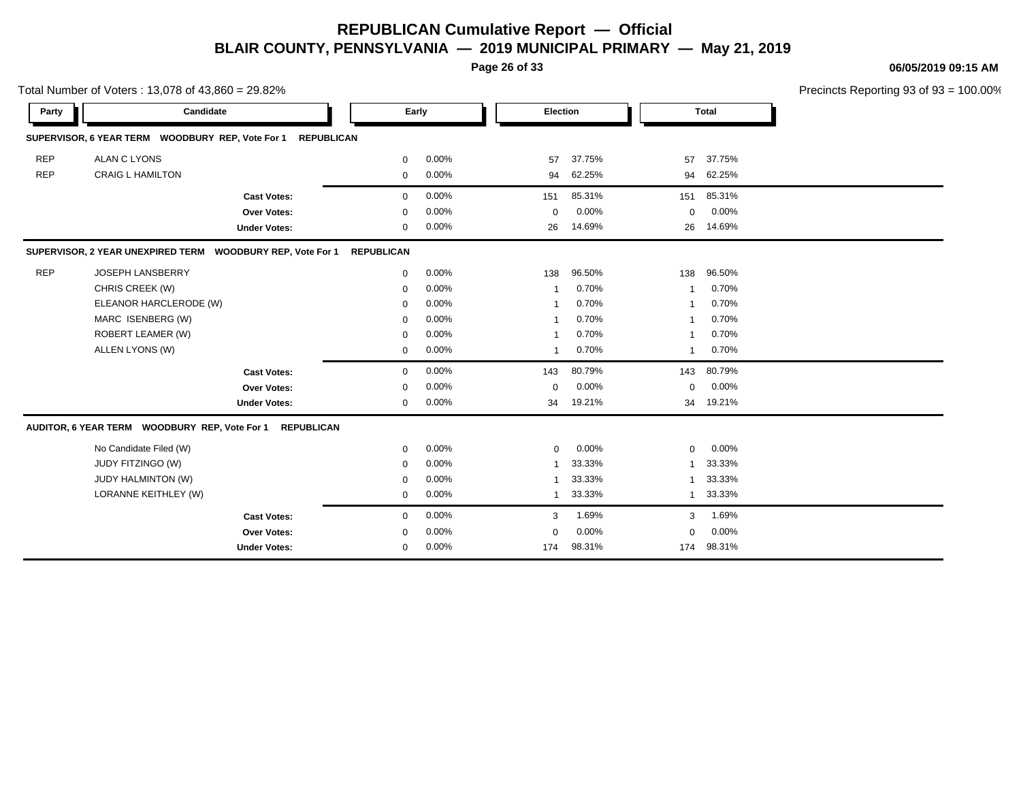**Page 26 of 33**

**06/05/2019 09:15 AM**

|            | Total Number of Voters: 13,078 of 43,860 = 29.82%          |                   |       |              |        |                |              | Precincts Reporting 93 of 93 = 100.00% |
|------------|------------------------------------------------------------|-------------------|-------|--------------|--------|----------------|--------------|----------------------------------------|
| Party      | Candidate                                                  |                   | Early | Election     |        |                | <b>Total</b> |                                        |
|            | SUPERVISOR, 6 YEAR TERM WOODBURY REP, Vote For 1           | <b>REPUBLICAN</b> |       |              |        |                |              |                                        |
| <b>REP</b> | <b>ALAN C LYONS</b>                                        | $\mathbf 0$       | 0.00% | 57           | 37.75% | 57             | 37.75%       |                                        |
| <b>REP</b> | <b>CRAIG L HAMILTON</b>                                    | 0                 | 0.00% | 94           | 62.25% | 94             | 62.25%       |                                        |
|            | <b>Cast Votes:</b>                                         | $\mathbf 0$       | 0.00% | 151          | 85.31% | 151            | 85.31%       |                                        |
|            | <b>Over Votes:</b>                                         | $\mathbf 0$       | 0.00% | $\mathbf 0$  | 0.00%  | $\mathbf 0$    | 0.00%        |                                        |
|            | <b>Under Votes:</b>                                        | 0                 | 0.00% | 26           | 14.69% | 26             | 14.69%       |                                        |
|            | SUPERVISOR, 2 YEAR UNEXPIRED TERM WOODBURY REP, Vote For 1 | <b>REPUBLICAN</b> |       |              |        |                |              |                                        |
| <b>REP</b> | JOSEPH LANSBERRY                                           | 0                 | 0.00% | 138          | 96.50% | 138            | 96.50%       |                                        |
|            | CHRIS CREEK (W)                                            | $\Omega$          | 0.00% |              | 0.70%  | $\overline{1}$ | 0.70%        |                                        |
|            | ELEANOR HARCLERODE (W)                                     | $\mathbf 0$       | 0.00% |              | 0.70%  | $\mathbf 1$    | 0.70%        |                                        |
|            | MARC ISENBERG (W)                                          | $\Omega$          | 0.00% |              | 0.70%  | $\overline{1}$ | 0.70%        |                                        |
|            | ROBERT LEAMER (W)                                          | $\Omega$          | 0.00% |              | 0.70%  | $\overline{1}$ | 0.70%        |                                        |
|            | ALLEN LYONS (W)                                            | $\mathbf 0$       | 0.00% | $\mathbf{1}$ | 0.70%  | $\overline{1}$ | 0.70%        |                                        |
|            | <b>Cast Votes:</b>                                         | 0                 | 0.00% | 143          | 80.79% | 143            | 80.79%       |                                        |
|            | Over Votes:                                                | 0                 | 0.00% | 0            | 0.00%  | $\mathbf 0$    | 0.00%        |                                        |
|            | <b>Under Votes:</b>                                        | $\mathbf 0$       | 0.00% | 34           | 19.21% | 34             | 19.21%       |                                        |
|            | AUDITOR, 6 YEAR TERM WOODBURY REP, Vote For 1 REPUBLICAN   |                   |       |              |        |                |              |                                        |
|            | No Candidate Filed (W)                                     | 0                 | 0.00% | $\mathbf{0}$ | 0.00%  | $\mathbf 0$    | 0.00%        |                                        |
|            | JUDY FITZINGO (W)                                          | $\mathbf 0$       | 0.00% |              | 33.33% | $\mathbf{1}$   | 33.33%       |                                        |
|            | JUDY HALMINTON (W)                                         | $\mathbf 0$       | 0.00% |              | 33.33% | $\mathbf{1}$   | 33.33%       |                                        |
|            | LORANNE KEITHLEY (W)                                       | 0                 | 0.00% | 1            | 33.33% | $\mathbf{1}$   | 33.33%       |                                        |
|            | <b>Cast Votes:</b>                                         | 0                 | 0.00% | 3            | 1.69%  | 3              | 1.69%        |                                        |
|            | Over Votes:                                                | $\mathbf 0$       | 0.00% | $\mathbf 0$  | 0.00%  | $\mathbf 0$    | 0.00%        |                                        |
|            | <b>Under Votes:</b>                                        | 0                 | 0.00% | 174          | 98.31% | 174            | 98.31%       |                                        |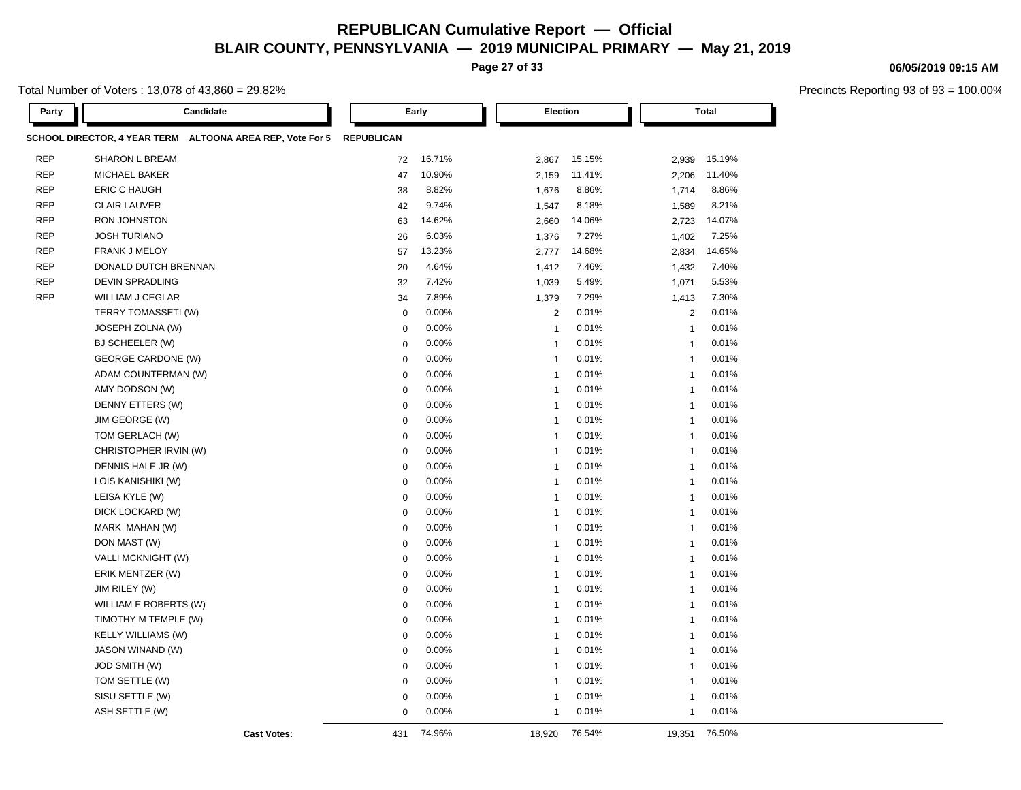**Page 27 of 33**

Total Number of Voters : 13,078 of 43,860 = 29.82%

| Party      | Candidate                                                 |                   | Early  | <b>Election</b>         |        |                | <b>Total</b> |  |
|------------|-----------------------------------------------------------|-------------------|--------|-------------------------|--------|----------------|--------------|--|
|            | SCHOOL DIRECTOR, 4 YEAR TERM ALTOONA AREA REP, Vote For 5 | <b>REPUBLICAN</b> |        |                         |        |                |              |  |
| <b>REP</b> | <b>SHARON L BREAM</b>                                     | 72                | 16.71% | 2,867                   | 15.15% | 2,939          | 15.19%       |  |
| <b>REP</b> | MICHAEL BAKER                                             | 47                | 10.90% | 2,159                   | 11.41% | 2,206          | 11.40%       |  |
| <b>REP</b> | ERIC C HAUGH                                              | 38                | 8.82%  | 1,676                   | 8.86%  | 1,714          | 8.86%        |  |
| <b>REP</b> | <b>CLAIR LAUVER</b>                                       | 42                | 9.74%  | 1,547                   | 8.18%  | 1,589          | 8.21%        |  |
| <b>REP</b> | <b>RON JOHNSTON</b>                                       | 63                | 14.62% | 2,660                   | 14.06% | 2,723          | 14.07%       |  |
| <b>REP</b> | <b>JOSH TURIANO</b>                                       | 26                | 6.03%  | 1,376                   | 7.27%  | 1,402          | 7.25%        |  |
| <b>REP</b> | <b>FRANK J MELOY</b>                                      | 57                | 13.23% | 2,777                   | 14.68% | 2,834          | 14.65%       |  |
| <b>REP</b> | DONALD DUTCH BRENNAN                                      | 20                | 4.64%  | 1,412                   | 7.46%  | 1,432          | 7.40%        |  |
| <b>REP</b> | <b>DEVIN SPRADLING</b>                                    | 32                | 7.42%  | 1,039                   | 5.49%  | 1,071          | 5.53%        |  |
| <b>REP</b> | <b>WILLIAM J CEGLAR</b>                                   | 34                | 7.89%  | 1,379                   | 7.29%  | 1,413          | 7.30%        |  |
|            | TERRY TOMASSETI (W)                                       | $\mathbf 0$       | 0.00%  | $\overline{2}$          | 0.01%  | 2              | 0.01%        |  |
|            | JOSEPH ZOLNA (W)                                          | $\mathbf 0$       | 0.00%  | $\mathbf{1}$            | 0.01%  | $\overline{1}$ | 0.01%        |  |
|            | BJ SCHEELER (W)                                           | $\mathbf 0$       | 0.00%  | $\overline{1}$          | 0.01%  | $\overline{1}$ | 0.01%        |  |
|            | <b>GEORGE CARDONE (W)</b>                                 | $\mathbf 0$       | 0.00%  | $\overline{1}$          | 0.01%  | $\overline{1}$ | 0.01%        |  |
|            | ADAM COUNTERMAN (W)                                       | $\mathbf 0$       | 0.00%  | $\overline{1}$          | 0.01%  | $\overline{1}$ | 0.01%        |  |
|            | AMY DODSON (W)                                            | $\mathbf 0$       | 0.00%  | $\mathbf{1}$            | 0.01%  | $\overline{1}$ | 0.01%        |  |
|            | DENNY ETTERS (W)                                          | $\mathbf 0$       | 0.00%  | $\overline{1}$          | 0.01%  | $\overline{1}$ | 0.01%        |  |
|            | JIM GEORGE (W)                                            | $\mathbf 0$       | 0.00%  | $\overline{1}$          | 0.01%  | $\overline{1}$ | 0.01%        |  |
|            | TOM GERLACH (W)                                           | $\mathbf 0$       | 0.00%  | $\overline{1}$          | 0.01%  | $\overline{1}$ | 0.01%        |  |
|            | CHRISTOPHER IRVIN (W)                                     | $\mathbf 0$       | 0.00%  | $\overline{1}$          | 0.01%  | $\overline{1}$ | 0.01%        |  |
|            | DENNIS HALE JR (W)                                        | $\mathbf 0$       | 0.00%  | $\overline{1}$          | 0.01%  | $\overline{1}$ | 0.01%        |  |
|            | LOIS KANISHIKI (W)                                        | $\mathbf 0$       | 0.00%  | $\overline{1}$          | 0.01%  | $\overline{1}$ | 0.01%        |  |
|            | LEISA KYLE (W)                                            | $\mathbf 0$       | 0.00%  | $\overline{1}$          | 0.01%  | $\overline{1}$ | 0.01%        |  |
|            | DICK LOCKARD (W)                                          | $\mathbf 0$       | 0.00%  | $\overline{1}$          | 0.01%  | $\overline{1}$ | 0.01%        |  |
|            | MARK MAHAN (W)                                            | $\Omega$          | 0.00%  | $\overline{1}$          | 0.01%  | $\mathbf{1}$   | 0.01%        |  |
|            | DON MAST (W)                                              | $\mathbf 0$       | 0.00%  | $\overline{1}$          | 0.01%  | $\overline{1}$ | 0.01%        |  |
|            | VALLI MCKNIGHT (W)                                        | $\mathbf 0$       | 0.00%  | $\overline{1}$          | 0.01%  | $\overline{1}$ | 0.01%        |  |
|            | ERIK MENTZER (W)                                          | $\mathbf 0$       | 0.00%  | $\overline{1}$          | 0.01%  | $\mathbf{1}$   | 0.01%        |  |
|            | JIM RILEY (W)                                             | $\mathbf 0$       | 0.00%  | $\overline{1}$          | 0.01%  | $\overline{1}$ | 0.01%        |  |
|            | WILLIAM E ROBERTS (W)                                     | $\mathbf 0$       | 0.00%  | $\overline{1}$          | 0.01%  | $\mathbf{1}$   | 0.01%        |  |
|            | TIMOTHY M TEMPLE (W)                                      | $\mathbf 0$       | 0.00%  | $\overline{1}$          | 0.01%  | $\overline{1}$ | 0.01%        |  |
|            | <b>KELLY WILLIAMS (W)</b>                                 | $\mathbf 0$       | 0.00%  | $\overline{1}$          | 0.01%  | $\overline{1}$ | 0.01%        |  |
|            | JASON WINAND (W)                                          | $\mathbf 0$       | 0.00%  | $\overline{1}$          | 0.01%  | $\overline{1}$ | 0.01%        |  |
|            | JOD SMITH (W)                                             | $\mathbf 0$       | 0.00%  | $\overline{1}$          | 0.01%  | $\overline{1}$ | 0.01%        |  |
|            | TOM SETTLE (W)                                            | $\mathbf 0$       | 0.00%  | $\overline{1}$          | 0.01%  | $\overline{1}$ | 0.01%        |  |
|            | SISU SETTLE (W)                                           | $\mathbf 0$       | 0.00%  | $\overline{1}$          | 0.01%  | $\overline{1}$ | 0.01%        |  |
|            | ASH SETTLE (W)                                            | $\Omega$          | 0.00%  | $\overline{\mathbf{1}}$ | 0.01%  | $\mathbf{1}$   | 0.01%        |  |
|            | <b>Cast Votes:</b>                                        | 431               | 74.96% | 18,920                  | 76.54% | 19,351         | 76.50%       |  |

#### **06/05/2019 09:15 AM**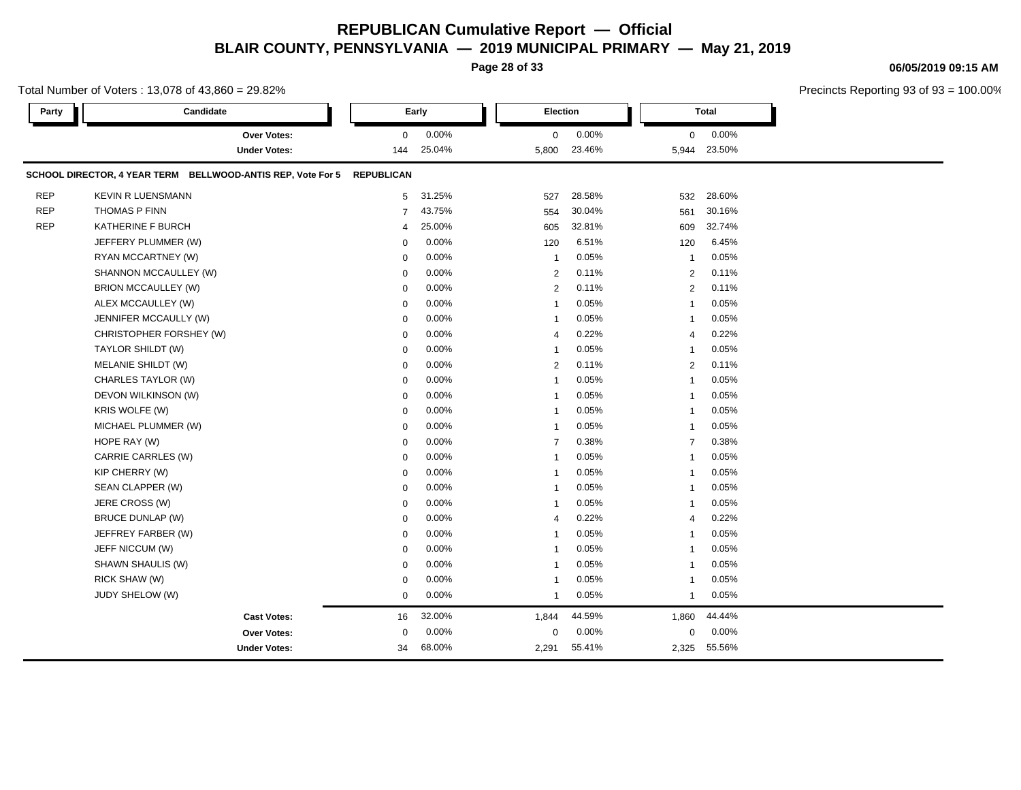**Page 28 of 33**

#### **06/05/2019 09:15 AM**

|            | Total Number of Voters: 13,078 of 43,860 = 29.82%                      |                |                 |                |                 |                      |                    | Precincts Reporting 93 of 93 = |
|------------|------------------------------------------------------------------------|----------------|-----------------|----------------|-----------------|----------------------|--------------------|--------------------------------|
| Party      | Candidate                                                              |                | Early           | Election       |                 |                      | <b>Total</b>       |                                |
|            | Over Votes:<br><b>Under Votes:</b>                                     | 0<br>144       | 0.00%<br>25.04% | 0<br>5,800     | 0.00%<br>23.46% | $\mathbf 0$<br>5,944 | $0.00\%$<br>23.50% |                                |
|            |                                                                        |                |                 |                |                 |                      |                    |                                |
|            | SCHOOL DIRECTOR, 4 YEAR TERM BELLWOOD-ANTIS REP, Vote For 5 REPUBLICAN |                |                 |                |                 |                      |                    |                                |
| <b>REP</b> | <b>KEVIN R LUENSMANN</b>                                               | 5              | 31.25%          | 527            | 28.58%          | 532                  | 28.60%             |                                |
| <b>REP</b> | THOMAS P FINN                                                          | $\overline{7}$ | 43.75%          | 554            | 30.04%          | 561                  | 30.16%             |                                |
| <b>REP</b> | KATHERINE F BURCH                                                      | 4              | 25.00%          | 605            | 32.81%          | 609                  | 32.74%             |                                |
|            | JEFFERY PLUMMER (W)                                                    | 0              | 0.00%           | 120            | 6.51%           | 120                  | 6.45%              |                                |
|            | RYAN MCCARTNEY (W)                                                     | $\mathbf 0$    | 0.00%           | $\mathbf{1}$   | 0.05%           | -1                   | 0.05%              |                                |
|            | SHANNON MCCAULLEY (W)                                                  | $\mathbf 0$    | 0.00%           | $\overline{2}$ | 0.11%           | $\overline{2}$       | 0.11%              |                                |
|            | <b>BRION MCCAULLEY (W)</b>                                             | $\mathbf 0$    | 0.00%           | $\overline{2}$ | 0.11%           | $\overline{2}$       | 0.11%              |                                |
|            | ALEX MCCAULLEY (W)                                                     | 0              | 0.00%           | $\mathbf{1}$   | 0.05%           | 1                    | 0.05%              |                                |
|            | JENNIFER MCCAULLY (W)                                                  | 0              | 0.00%           | $\mathbf{1}$   | 0.05%           | 1                    | 0.05%              |                                |
|            | CHRISTOPHER FORSHEY (W)                                                | $\mathbf 0$    | 0.00%           | $\overline{4}$ | 0.22%           | 4                    | 0.22%              |                                |
|            | TAYLOR SHILDT (W)                                                      | $\mathbf 0$    | 0.00%           | $\mathbf{1}$   | 0.05%           |                      | 0.05%              |                                |
|            | MELANIE SHILDT (W)                                                     | $\mathbf 0$    | 0.00%           | $\overline{2}$ | 0.11%           | $\overline{2}$       | 0.11%              |                                |
|            | CHARLES TAYLOR (W)                                                     | $\mathbf 0$    | 0.00%           | $\mathbf{1}$   | 0.05%           |                      | 0.05%              |                                |
|            | DEVON WILKINSON (W)                                                    | 0              | 0.00%           | $\mathbf{1}$   | 0.05%           | 1                    | 0.05%              |                                |
|            | KRIS WOLFE (W)                                                         | $\mathbf 0$    | 0.00%           | $\mathbf{1}$   | 0.05%           |                      | 0.05%              |                                |
|            | MICHAEL PLUMMER (W)                                                    | $\mathbf 0$    | 0.00%           | $\mathbf{1}$   | 0.05%           | 1                    | 0.05%              |                                |
|            | HOPE RAY (W)                                                           | $\mathbf 0$    | 0.00%           | $\overline{7}$ | 0.38%           | $\overline{7}$       | 0.38%              |                                |
|            | CARRIE CARRLES (W)                                                     | $\mathbf 0$    | 0.00%           | $\overline{1}$ | 0.05%           |                      | 0.05%              |                                |
|            | KIP CHERRY (W)                                                         | $\mathbf 0$    | 0.00%           | $\mathbf{1}$   | 0.05%           | 1                    | 0.05%              |                                |
|            | SEAN CLAPPER (W)                                                       | $\mathbf 0$    | 0.00%           | 1              | 0.05%           |                      | 0.05%              |                                |
|            | JERE CROSS (W)                                                         | $\mathbf 0$    | 0.00%           | $\overline{1}$ | 0.05%           |                      | 0.05%              |                                |
|            | <b>BRUCE DUNLAP (W)</b>                                                | $\mathbf 0$    | 0.00%           | $\overline{4}$ | 0.22%           | 4                    | 0.22%              |                                |
|            | JEFFREY FARBER (W)                                                     | $\mathbf 0$    | 0.00%           | $\mathbf{1}$   | 0.05%           |                      | 0.05%              |                                |
|            | JEFF NICCUM (W)                                                        | $\mathbf 0$    | 0.00%           | $\mathbf{1}$   | 0.05%           | 1                    | 0.05%              |                                |
|            | SHAWN SHAULIS (W)                                                      | $\mathbf 0$    | 0.00%           | $\mathbf 1$    | 0.05%           |                      | 0.05%              |                                |
|            | RICK SHAW (W)                                                          | $\mathbf 0$    | 0.00%           | $\overline{1}$ | 0.05%           |                      | 0.05%              |                                |
|            | JUDY SHELOW (W)                                                        | $\mathbf 0$    | 0.00%           | $\mathbf{1}$   | 0.05%           | 1                    | 0.05%              |                                |
|            | <b>Cast Votes:</b>                                                     | 16             | 32.00%          | 1,844          | 44.59%          | 1,860                | 44.44%             |                                |
|            | Over Votes:                                                            | $\mathbf 0$    | 0.00%           | $\mathbf 0$    | 0.00%           | 0                    | 0.00%              |                                |
|            | <b>Under Votes:</b>                                                    | 34             | 68.00%          | 2,291          | 55.41%          | 2,325                | 55.56%             |                                |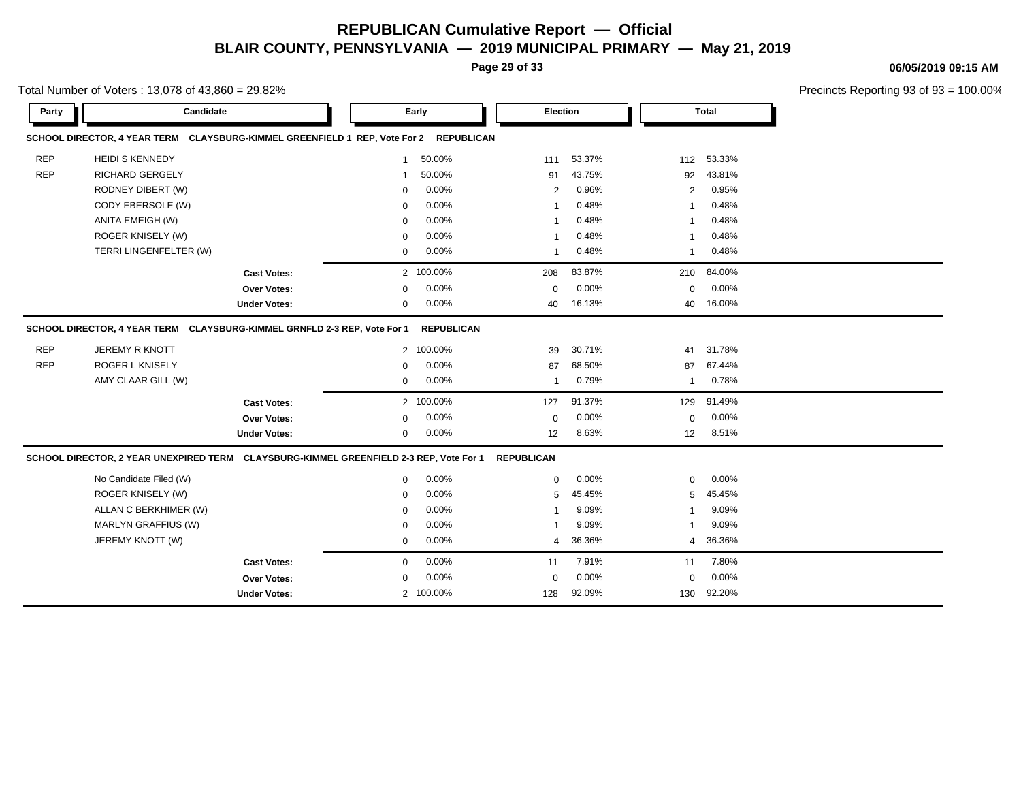**Page 29 of 33**

#### **06/05/2019 09:15 AM**

|            | Total Number of Voters: 13,078 of 43,860 = 29.82%                                      |                                                        |                   |                           |                           |                           | Precincts Reporting 93 of |
|------------|----------------------------------------------------------------------------------------|--------------------------------------------------------|-------------------|---------------------------|---------------------------|---------------------------|---------------------------|
| Party      | Candidate                                                                              | Early                                                  | Election          |                           |                           | <b>Total</b>              |                           |
|            | SCHOOL DIRECTOR, 4 YEAR TERM CLAYSBURG-KIMMEL GREENFIELD 1 REP, Vote For 2 REPUBLICAN  |                                                        |                   |                           |                           |                           |                           |
| <b>REP</b> | <b>HEIDI S KENNEDY</b>                                                                 | 50.00%<br>$\mathbf{1}$                                 | 111               | 53.37%                    | 112                       | 53.33%                    |                           |
| <b>REP</b> | RICHARD GERGELY                                                                        | 50.00%<br>-1                                           | 91                | 43.75%                    | 92                        | 43.81%                    |                           |
|            | RODNEY DIBERT (W)                                                                      | 0.00%<br>$\Omega$                                      | $\overline{2}$    | 0.96%                     | 2                         | 0.95%                     |                           |
|            | CODY EBERSOLE (W)                                                                      | 0.00%<br>$\Omega$                                      | 1                 | 0.48%                     | $\mathbf{1}$              | 0.48%                     |                           |
|            | ANITA EMEIGH (W)                                                                       | 0.00%<br>$\mathbf 0$                                   | 1                 | 0.48%                     | $\mathbf{1}$              | 0.48%                     |                           |
|            | ROGER KNISELY (W)                                                                      | 0.00%<br>$\mathbf 0$                                   | 1                 | 0.48%                     | $\mathbf{1}$              | 0.48%                     |                           |
|            | TERRI LINGENFELTER (W)                                                                 | 0.00%<br>0                                             | $\mathbf{1}$      | 0.48%                     | $\mathbf{1}$              | 0.48%                     |                           |
|            | <b>Cast Votes:</b>                                                                     | 2 100.00%                                              | 208               | 83.87%                    | 210                       | 84.00%                    |                           |
|            | Over Votes:                                                                            | 0.00%<br>$\Omega$                                      | 0                 | 0.00%                     | $\mathbf 0$               | 0.00%                     |                           |
|            | <b>Under Votes:</b>                                                                    | 0.00%<br>$\mathbf 0$                                   | 40                | 16.13%                    | 40                        | 16.00%                    |                           |
| <b>REP</b> | <b>ROGER L KNISELY</b><br>AMY CLAAR GILL (W)<br><b>Cast Votes:</b>                     | 0.00%<br>$\Omega$<br>0.00%<br>$\mathbf 0$<br>2 100.00% | 87<br>1<br>127    | 68.50%<br>0.79%<br>91.37% | 87<br>$\mathbf{1}$<br>129 | 67.44%<br>0.78%<br>91.49% |                           |
|            | Over Votes:                                                                            | 0.00%<br>$\Omega$                                      | 0                 | 0.00%                     | $\mathbf 0$               | 0.00%                     |                           |
|            | <b>Under Votes:</b>                                                                    | 0.00%<br>$\mathbf 0$                                   | 12                | 8.63%                     | 12                        | 8.51%                     |                           |
|            | SCHOOL DIRECTOR, 2 YEAR UNEXPIRED TERM CLAYSBURG-KIMMEL GREENFIELD 2-3 REP, Vote For 1 |                                                        | <b>REPUBLICAN</b> |                           |                           |                           |                           |
|            | No Candidate Filed (W)                                                                 | 0.00%<br>$\mathbf 0$                                   | 0                 | 0.00%                     | $\mathbf 0$               | 0.00%                     |                           |
|            | ROGER KNISELY (W)                                                                      | 0.00%<br>$\mathbf 0$                                   | 5                 | 45.45%                    | 5                         | 45.45%                    |                           |
|            | ALLAN C BERKHIMER (W)                                                                  | 0.00%<br>0                                             | 1                 | 9.09%                     | $\mathbf{1}$              | 9.09%                     |                           |
|            | MARLYN GRAFFIUS (W)                                                                    | 0.00%<br>$\mathbf 0$                                   | 1                 | 9.09%                     | $\mathbf{1}$              | 9.09%                     |                           |
|            | JEREMY KNOTT (W)                                                                       | 0.00%<br>0                                             | 4                 | 36.36%                    | 4                         | 36.36%                    |                           |
|            | <b>Cast Votes:</b>                                                                     | 0.00%<br>0                                             | 11                | 7.91%                     | 11                        | 7.80%                     |                           |
|            | Over Votes:                                                                            | 0.00%<br>$\Omega$                                      | $\mathbf 0$       | 0.00%                     | $\mathbf 0$               | 0.00%                     |                           |
|            |                                                                                        | 2 100.00%                                              |                   |                           |                           |                           |                           |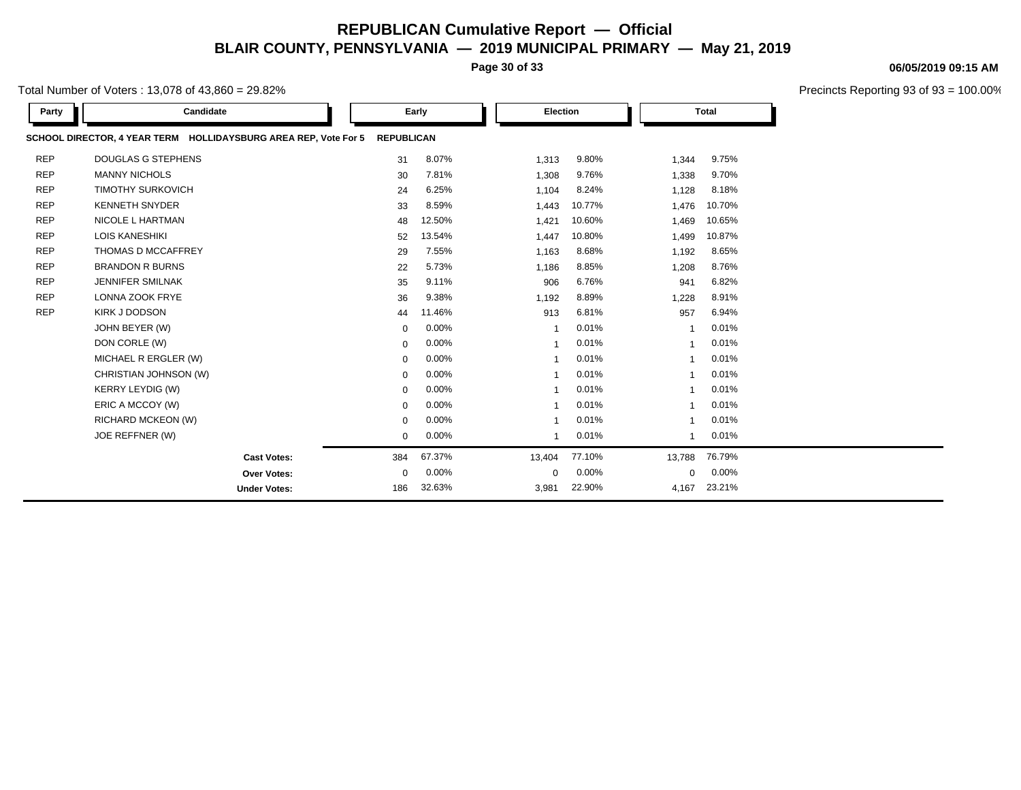**Page 30 of 33**

Total Number of Voters : 13,078 of 43,860 = 29.82%

| Party      | Candidate                                                       |                   | Early    | Election       |        |                | <b>Total</b> |  |
|------------|-----------------------------------------------------------------|-------------------|----------|----------------|--------|----------------|--------------|--|
|            | SCHOOL DIRECTOR, 4 YEAR TERM HOLLIDAYSBURG AREA REP, Vote For 5 | <b>REPUBLICAN</b> |          |                |        |                |              |  |
| <b>REP</b> | <b>DOUGLAS G STEPHENS</b>                                       | 31                | 8.07%    | 1,313          | 9.80%  | 1,344          | 9.75%        |  |
| <b>REP</b> | <b>MANNY NICHOLS</b>                                            | 30                | 7.81%    | 1,308          | 9.76%  | 1,338          | 9.70%        |  |
| <b>REP</b> | <b>TIMOTHY SURKOVICH</b>                                        | 24                | 6.25%    | 1,104          | 8.24%  | 1,128          | 8.18%        |  |
| <b>REP</b> | <b>KENNETH SNYDER</b>                                           | 33                | 8.59%    | 1,443          | 10.77% | 1,476          | 10.70%       |  |
| <b>REP</b> | <b>NICOLE L HARTMAN</b>                                         | 48                | 12.50%   | 1,421          | 10.60% | 1,469          | 10.65%       |  |
| <b>REP</b> | <b>LOIS KANESHIKI</b>                                           | 52                | 13.54%   | 1,447          | 10.80% | 1,499          | 10.87%       |  |
| <b>REP</b> | THOMAS D MCCAFFREY                                              | 29                | 7.55%    | 1,163          | 8.68%  | 1,192          | 8.65%        |  |
| <b>REP</b> | <b>BRANDON R BURNS</b>                                          | 22                | 5.73%    | 1,186          | 8.85%  | 1,208          | 8.76%        |  |
| <b>REP</b> | <b>JENNIFER SMILNAK</b>                                         | 35                | 9.11%    | 906            | 6.76%  | 941            | 6.82%        |  |
| <b>REP</b> | <b>LONNA ZOOK FRYE</b>                                          | 36                | 9.38%    | 1,192          | 8.89%  | 1,228          | 8.91%        |  |
| <b>REP</b> | KIRK J DODSON                                                   | 44                | 11.46%   | 913            | 6.81%  | 957            | 6.94%        |  |
|            | JOHN BEYER (W)                                                  | $\mathbf 0$       | $0.00\%$ | $\overline{1}$ | 0.01%  | $\overline{1}$ | 0.01%        |  |
|            | DON CORLE (W)                                                   | $\mathbf 0$       | $0.00\%$ | -1             | 0.01%  | $\overline{1}$ | 0.01%        |  |
|            | MICHAEL R ERGLER (W)                                            | $\mathbf 0$       | 0.00%    |                | 0.01%  | $\overline{1}$ | 0.01%        |  |
|            | CHRISTIAN JOHNSON (W)                                           | $\mathbf 0$       | 0.00%    |                | 0.01%  |                | 0.01%        |  |
|            | <b>KERRY LEYDIG (W)</b>                                         | $\mathbf 0$       | $0.00\%$ | -1             | 0.01%  | -1             | 0.01%        |  |
|            | ERIC A MCCOY (W)                                                | 0                 | $0.00\%$ |                | 0.01%  |                | 0.01%        |  |
|            | RICHARD MCKEON (W)                                              | $\mathbf 0$       | $0.00\%$ |                | 0.01%  |                | 0.01%        |  |
|            | JOE REFFNER (W)                                                 | $\mathbf 0$       | 0.00%    | -1             | 0.01%  | 1              | 0.01%        |  |
|            | <b>Cast Votes:</b>                                              | 384               | 67.37%   | 13,404         | 77.10% | 13,788         | 76.79%       |  |
|            | Over Votes:                                                     | $\mathbf 0$       | 0.00%    | $\mathbf 0$    | 0.00%  | 0              | 0.00%        |  |
|            | <b>Under Votes:</b>                                             | 186               | 32.63%   | 3,981          | 22.90% | 4,167          | 23.21%       |  |

#### **06/05/2019 09:15 AM**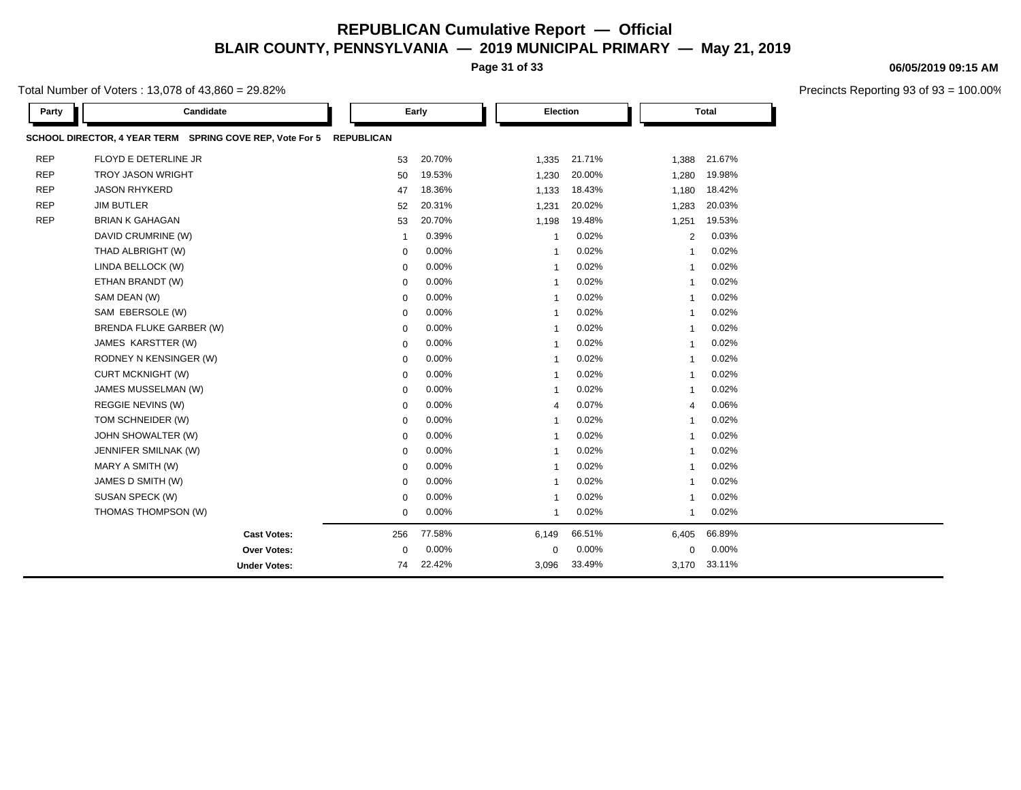**Page 31 of 33**

Total Number of Voters : 13,078 of 43,860 = 29.82%

| Party      | Candidate                                                |                   | Early    | Election                |        |                | <b>Total</b> |  |
|------------|----------------------------------------------------------|-------------------|----------|-------------------------|--------|----------------|--------------|--|
|            | SCHOOL DIRECTOR, 4 YEAR TERM SPRING COVE REP, Vote For 5 | <b>REPUBLICAN</b> |          |                         |        |                |              |  |
| <b>REP</b> | FLOYD E DETERLINE JR                                     | 53                | 20.70%   | 1,335                   | 21.71% | 1,388          | 21.67%       |  |
| <b>REP</b> | <b>TROY JASON WRIGHT</b>                                 | 50                | 19.53%   | 1,230                   | 20.00% | 1,280          | 19.98%       |  |
| <b>REP</b> | <b>JASON RHYKERD</b>                                     | 47                | 18.36%   | 1,133                   | 18.43% | 1,180          | 18.42%       |  |
| <b>REP</b> | <b>JIM BUTLER</b>                                        | 52                | 20.31%   | 1,231                   | 20.02% | 1,283          | 20.03%       |  |
| <b>REP</b> | <b>BRIAN K GAHAGAN</b>                                   | 53                | 20.70%   | 1,198                   | 19.48% | 1,251          | 19.53%       |  |
|            | DAVID CRUMRINE (W)                                       | $\overline{1}$    | 0.39%    | $\mathbf 1$             | 0.02%  | $\overline{2}$ | 0.03%        |  |
|            | THAD ALBRIGHT (W)                                        | $\mathbf 0$       | 0.00%    | $\overline{1}$          | 0.02%  | $\overline{1}$ | 0.02%        |  |
|            | LINDA BELLOCK (W)                                        | $\mathbf 0$       | 0.00%    | -1                      | 0.02%  | -1             | 0.02%        |  |
|            | ETHAN BRANDT (W)                                         | $\mathbf 0$       | 0.00%    | $\overline{\mathbf{1}}$ | 0.02%  | -1             | 0.02%        |  |
|            | SAM DEAN (W)                                             | $\mathbf 0$       | 0.00%    | $\overline{1}$          | 0.02%  | $\mathbf{1}$   | 0.02%        |  |
|            | SAM EBERSOLE (W)                                         | 0                 | $0.00\%$ | -1                      | 0.02%  | -1             | 0.02%        |  |
|            | BRENDA FLUKE GARBER (W)                                  | $\mathbf 0$       | 0.00%    | $\overline{\mathbf{1}}$ | 0.02%  | -1             | 0.02%        |  |
|            | JAMES KARSTTER (W)                                       | $\mathbf 0$       | 0.00%    | -1                      | 0.02%  | -1             | 0.02%        |  |
|            | RODNEY N KENSINGER (W)                                   | $\mathbf 0$       | 0.00%    | $\overline{\mathbf{1}}$ | 0.02%  | -1             | 0.02%        |  |
|            | <b>CURT MCKNIGHT (W)</b>                                 | $\mathbf 0$       | $0.00\%$ | $\overline{1}$          | 0.02%  | $\overline{1}$ | 0.02%        |  |
|            | JAMES MUSSELMAN (W)                                      | $\mathbf 0$       | $0.00\%$ | -1                      | 0.02%  | $\overline{1}$ | 0.02%        |  |
|            | REGGIE NEVINS (W)                                        | 0                 | 0.00%    | $\overline{4}$          | 0.07%  | $\overline{4}$ | 0.06%        |  |
|            | TOM SCHNEIDER (W)                                        | $\mathbf 0$       | $0.00\%$ | -1                      | 0.02%  | -1             | 0.02%        |  |
|            | JOHN SHOWALTER (W)                                       | $\mathbf 0$       | 0.00%    | $\overline{\mathbf{1}}$ | 0.02%  | -1             | 0.02%        |  |
|            | JENNIFER SMILNAK (W)                                     | $\mathbf 0$       | 0.00%    | $\overline{1}$          | 0.02%  | $\overline{1}$ | 0.02%        |  |
|            | MARY A SMITH (W)                                         | 0                 | $0.00\%$ | -1                      | 0.02%  | -1             | 0.02%        |  |
|            | JAMES D SMITH (W)                                        | $\mathbf 0$       | 0.00%    | $\overline{\mathbf{1}}$ | 0.02%  | $\overline{1}$ | 0.02%        |  |
|            | SUSAN SPECK (W)                                          | $\mathbf 0$       | 0.00%    | -1                      | 0.02%  | -1             | 0.02%        |  |
|            | THOMAS THOMPSON (W)                                      | $\mathbf 0$       | 0.00%    | $\overline{1}$          | 0.02%  | 1              | 0.02%        |  |
|            | <b>Cast Votes:</b>                                       | 256               | 77.58%   | 6,149                   | 66.51% | 6,405          | 66.89%       |  |
|            | <b>Over Votes:</b>                                       | $\mathbf 0$       | $0.00\%$ | $\mathbf 0$             | 0.00%  | 0              | 0.00%        |  |
|            | <b>Under Votes:</b>                                      | 74                | 22.42%   | 3,096                   | 33.49% | 3,170          | 33.11%       |  |

#### **06/05/2019 09:15 AM**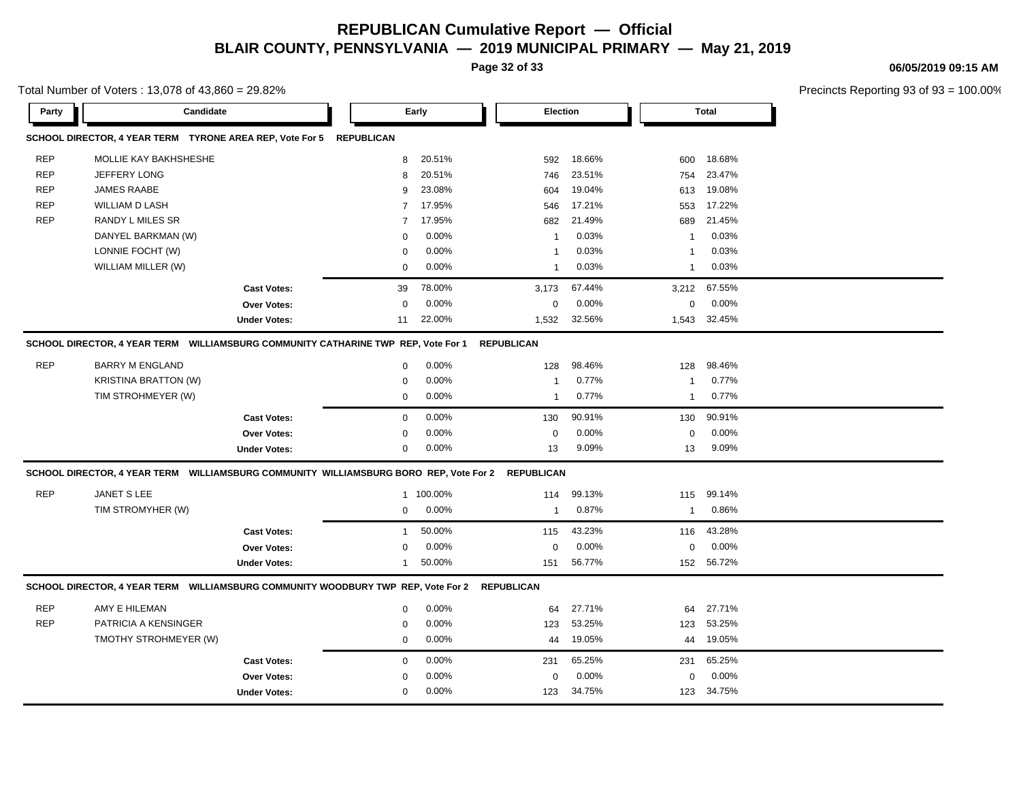**Page 32 of 33**

**06/05/2019 09:15 AM**

Total Number of Voters : 13,078 of 43,860 = 29.82%

| Precincts Reporting 93 of 93 = 100.00% |  |  |  |
|----------------------------------------|--|--|--|
|----------------------------------------|--|--|--|

|            | $O(G)$ in the contract of voices. To, or our $\to$ , $O(O)$ = 20.0270                            |                     |                |           |                   |        |              |              | Theoritus inducting as or as |
|------------|--------------------------------------------------------------------------------------------------|---------------------|----------------|-----------|-------------------|--------|--------------|--------------|------------------------------|
| Party      | Candidate                                                                                        |                     |                | Early     | Election          |        |              | Total        |                              |
|            | SCHOOL DIRECTOR, 4 YEAR TERM TYRONE AREA REP, Vote For 5 REPUBLICAN                              |                     |                |           |                   |        |              |              |                              |
| <b>REP</b> | MOLLIE KAY BAKHSHESHE                                                                            |                     | 8              | 20.51%    | 592               | 18.66% | 600          | 18.68%       |                              |
| <b>REP</b> | JEFFERY LONG                                                                                     |                     | 8              | 20.51%    | 746               | 23.51% | 754          | 23.47%       |                              |
| <b>REP</b> | JAMES RAABE                                                                                      |                     | 9              | 23.08%    | 604               | 19.04% | 613          | 19.08%       |                              |
| <b>REP</b> | WILLIAM D LASH                                                                                   |                     | 7              | 17.95%    | 546               | 17.21% | 553          | 17.22%       |                              |
| <b>REP</b> | <b>RANDY L MILES SR</b>                                                                          |                     | $\overline{7}$ | 17.95%    | 682               | 21.49% | 689          | 21.45%       |                              |
|            | DANYEL BARKMAN (W)                                                                               |                     | $\mathbf 0$    | 0.00%     | $\mathbf{1}$      | 0.03%  | -1           | 0.03%        |                              |
|            | LONNIE FOCHT (W)                                                                                 |                     | $\mathbf 0$    | 0.00%     | $\overline{1}$    | 0.03%  | -1           | 0.03%        |                              |
|            | WILLIAM MILLER (W)                                                                               |                     | 0              | 0.00%     | $\overline{1}$    | 0.03%  | $\mathbf{1}$ | 0.03%        |                              |
|            |                                                                                                  | <b>Cast Votes:</b>  | 39             | 78.00%    | 3,173             | 67.44% |              | 3,212 67.55% |                              |
|            |                                                                                                  | Over Votes:         | 0              | 0.00%     | $\mathbf 0$       | 0.00%  | 0            | 0.00%        |                              |
|            |                                                                                                  | <b>Under Votes:</b> | 11             | 22.00%    | 1,532             | 32.56% |              | 1,543 32.45% |                              |
|            | SCHOOL DIRECTOR, 4 YEAR TERM WILLIAMSBURG COMMUNITY CATHARINE TWP REP, Vote For 1                |                     |                |           | <b>REPUBLICAN</b> |        |              |              |                              |
| <b>REP</b> | <b>BARRY M ENGLAND</b>                                                                           |                     | $\mathbf 0$    | 0.00%     | 128               | 98.46% | 128          | 98.46%       |                              |
|            | <b>KRISTINA BRATTON (W)</b>                                                                      |                     | $\mathbf 0$    | 0.00%     | $\mathbf{1}$      | 0.77%  | $\mathbf{1}$ | 0.77%        |                              |
|            | TIM STROHMEYER (W)                                                                               |                     | 0              | 0.00%     | $\mathbf{1}$      | 0.77%  | $\mathbf{1}$ | 0.77%        |                              |
|            |                                                                                                  | <b>Cast Votes:</b>  | $\mathbf 0$    | 0.00%     | 130               | 90.91% | 130          | 90.91%       |                              |
|            |                                                                                                  | Over Votes:         | 0              | 0.00%     | 0                 | 0.00%  | 0            | $0.00\%$     |                              |
|            |                                                                                                  | <b>Under Votes:</b> | 0              | 0.00%     | 13                | 9.09%  | 13           | 9.09%        |                              |
|            | SCHOOL DIRECTOR, 4 YEAR TERM WILLIAMSBURG COMMUNITY WILLIAMSBURG BORO REP, Vote For 2 REPUBLICAN |                     |                |           |                   |        |              |              |                              |
| <b>REP</b> | JANET S LEE                                                                                      |                     |                | 1 100.00% | 114               | 99.13% | 115          | 99.14%       |                              |
|            | TIM STROMYHER (W)                                                                                |                     | 0              | 0.00%     | $\mathbf{1}$      | 0.87%  | $\mathbf{1}$ | 0.86%        |                              |
|            |                                                                                                  | <b>Cast Votes:</b>  | $\mathbf{1}$   | 50.00%    | 115               | 43.23% | 116          | 43.28%       |                              |
|            |                                                                                                  | Over Votes:         | 0              | 0.00%     | 0                 | 0.00%  | $\Omega$     | 0.00%        |                              |
|            |                                                                                                  | <b>Under Votes:</b> | 1              | 50.00%    | 151               | 56.77% | 152          | 56.72%       |                              |
|            | SCHOOL DIRECTOR, 4 YEAR TERM WILLIAMSBURG COMMUNITY WOODBURY TWP REP, Vote For 2                 |                     |                |           | <b>REPUBLICAN</b> |        |              |              |                              |
| <b>REP</b> | AMY E HILEMAN                                                                                    |                     | $\mathbf 0$    | 0.00%     | 64                | 27.71% | 64           | 27.71%       |                              |
| <b>REP</b> | PATRICIA A KENSINGER                                                                             |                     | $\mathbf 0$    | 0.00%     | 123               | 53.25% | 123          | 53.25%       |                              |
|            | TMOTHY STROHMEYER (W)                                                                            |                     | 0              | 0.00%     | 44                | 19.05% | 44           | 19.05%       |                              |
|            |                                                                                                  | <b>Cast Votes:</b>  | $\mathbf 0$    | 0.00%     | 231               | 65.25% | 231          | 65.25%       |                              |
|            |                                                                                                  | Over Votes:         | 0              | 0.00%     | $\mathbf 0$       | 0.00%  | 0            | 0.00%        |                              |
|            |                                                                                                  | <b>Under Votes:</b> | $\mathbf 0$    | 0.00%     | 123               | 34.75% | 123          | 34.75%       |                              |